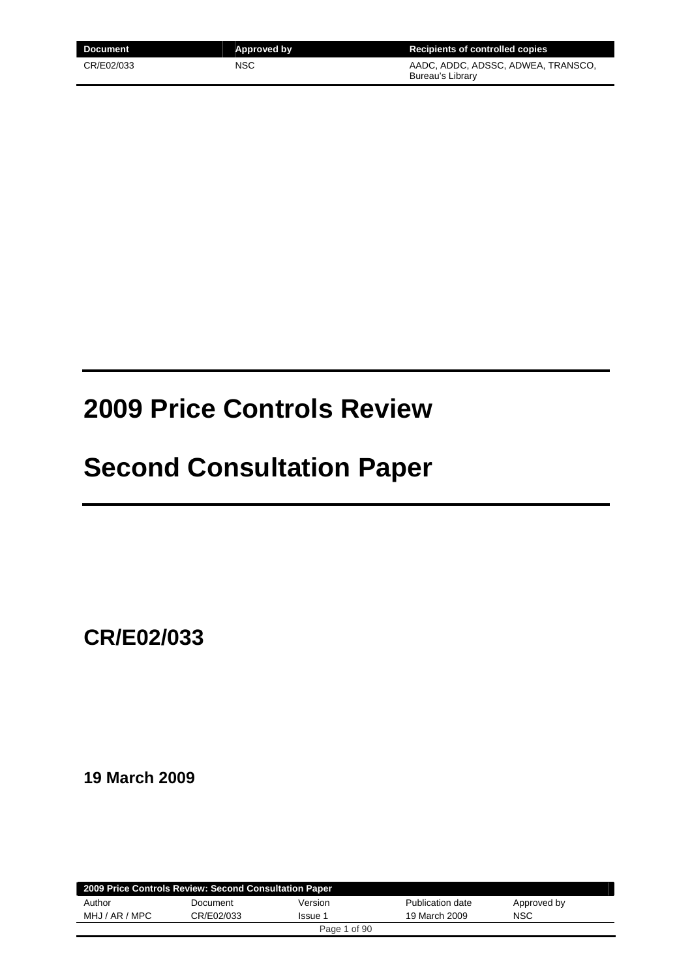| Document   | Approved by | <b>Recipients of controlled copies</b>                 |
|------------|-------------|--------------------------------------------------------|
| CR/E02/033 | <b>NSC</b>  | AADC, ADDC, ADSSC, ADWEA, TRANSCO,<br>Bureau's Library |

# **2009 Price Controls Review**

# **Second Consultation Paper**

**CR/E02/033** 

**19 March 2009** 

|                | 2009 Price Controls Review: Second Consultation Paper |              |                  |             |  |
|----------------|-------------------------------------------------------|--------------|------------------|-------------|--|
| Author         | Document                                              | Version      | Publication date | Approved by |  |
| MHJ / AR / MPC | CR/E02/033                                            | Issue 1      | 19 March 2009    | <b>NSC</b>  |  |
|                |                                                       | Page 1 of 90 |                  |             |  |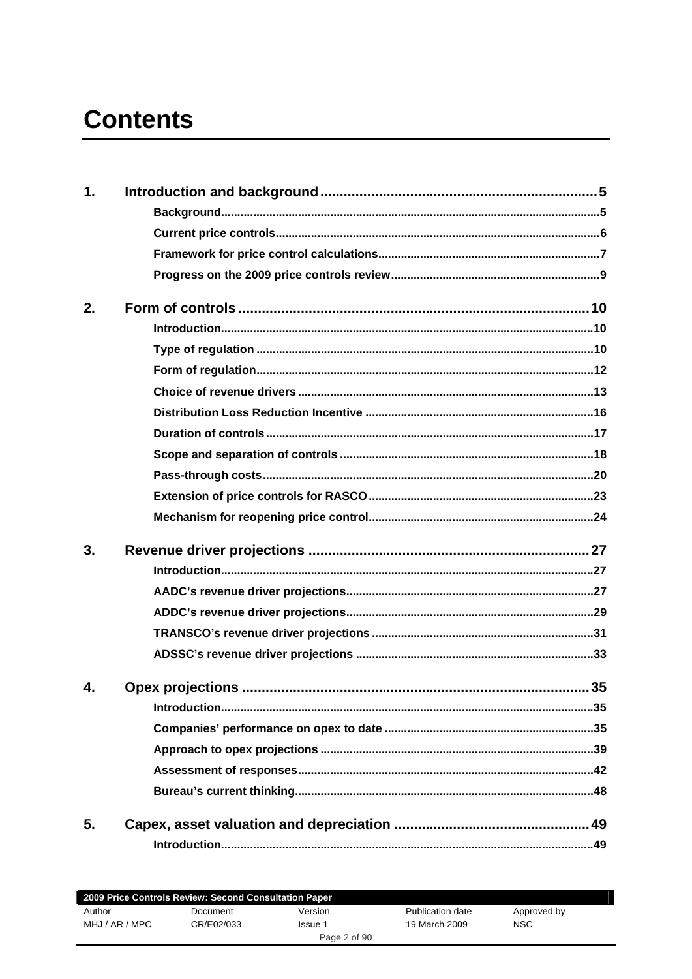# **Contents**

| 1. |  |
|----|--|
|    |  |
|    |  |
|    |  |
|    |  |
| 2. |  |
|    |  |
|    |  |
|    |  |
|    |  |
|    |  |
|    |  |
|    |  |
|    |  |
|    |  |
|    |  |
| 3. |  |
|    |  |
|    |  |
|    |  |
|    |  |
|    |  |
| 4. |  |
|    |  |
|    |  |
|    |  |
|    |  |
|    |  |
| 5. |  |
|    |  |

| 2009 Price Controls Review: Second Consultation Paper |            |              |                  |             |  |
|-------------------------------------------------------|------------|--------------|------------------|-------------|--|
| Author                                                | Document   | Version      | Publication date | Approved by |  |
| MHJ / AR / MPC                                        | CR/E02/033 | Issue 1      | 19 March 2009    | <b>NSC</b>  |  |
|                                                       |            | Page 2 of 90 |                  |             |  |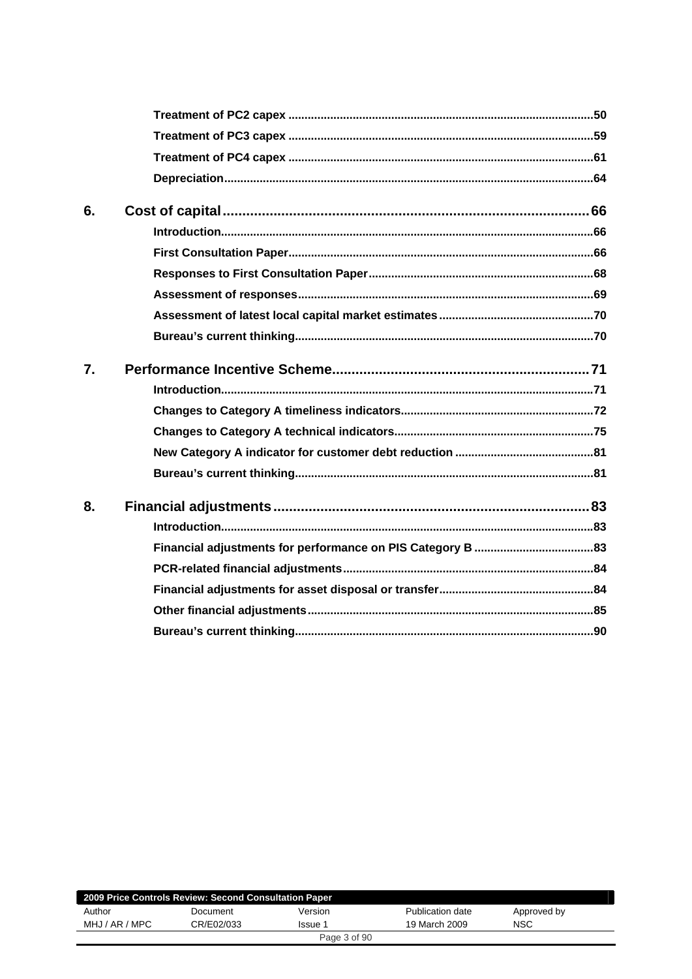| 6. |  |
|----|--|
|    |  |
|    |  |
|    |  |
|    |  |
|    |  |
|    |  |
| 7. |  |
|    |  |
|    |  |
|    |  |
|    |  |
|    |  |
| 8. |  |
|    |  |
|    |  |
|    |  |
|    |  |
|    |  |
|    |  |

|                | 2009 Price Controls Review: Second Consultation Paper |              |                  |             |  |
|----------------|-------------------------------------------------------|--------------|------------------|-------------|--|
| Author         | Document                                              | Version      | Publication date | Approved by |  |
| MHJ / AR / MPC | CR/E02/033                                            | Issue 1      | 19 March 2009    | <b>NSC</b>  |  |
|                |                                                       | Page 3 of 90 |                  |             |  |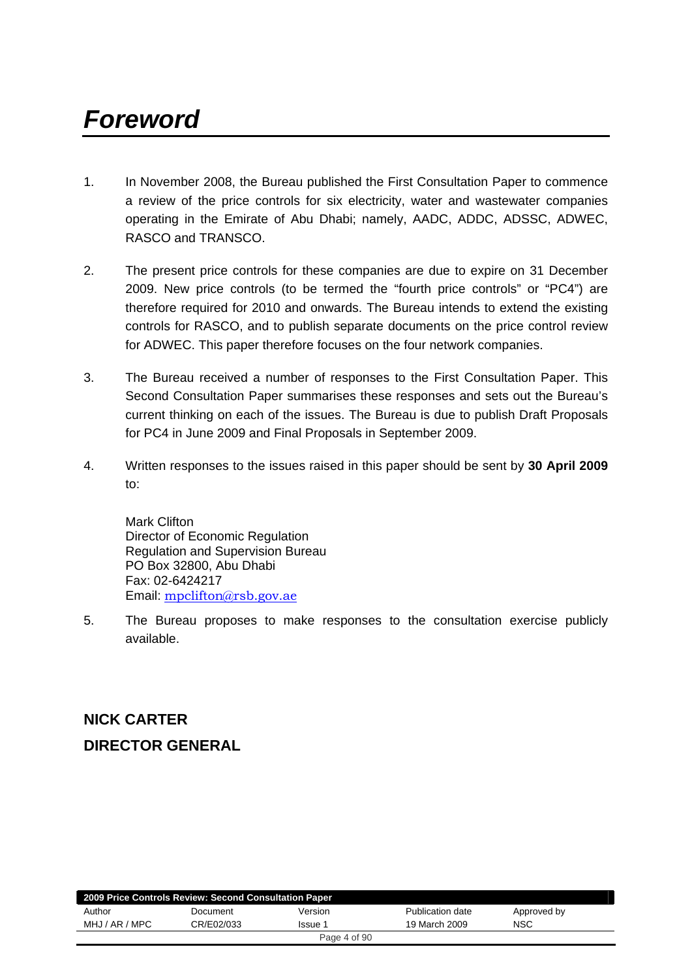# *Foreword*

- 1. In November 2008, the Bureau published the First Consultation Paper to commence a review of the price controls for six electricity, water and wastewater companies operating in the Emirate of Abu Dhabi; namely, AADC, ADDC, ADSSC, ADWEC, RASCO and TRANSCO.
- 2. The present price controls for these companies are due to expire on 31 December 2009. New price controls (to be termed the "fourth price controls" or "PC4") are therefore required for 2010 and onwards. The Bureau intends to extend the existing controls for RASCO, and to publish separate documents on the price control review for ADWEC. This paper therefore focuses on the four network companies.
- 3. The Bureau received a number of responses to the First Consultation Paper. This Second Consultation Paper summarises these responses and sets out the Bureau's current thinking on each of the issues. The Bureau is due to publish Draft Proposals for PC4 in June 2009 and Final Proposals in September 2009.
- 4. Written responses to the issues raised in this paper should be sent by **30 April 2009** to:

Mark Clifton Director of Economic Regulation Regulation and Supervision Bureau PO Box 32800, Abu Dhabi Fax: 02-6424217 Email: mpclifton@rsb.gov.ae

5. The Bureau proposes to make responses to the consultation exercise publicly available.

# **NICK CARTER DIRECTOR GENERAL**

| 2009 Price Controls Review: Second Consultation Paper |            |              |                  |             |  |
|-------------------------------------------------------|------------|--------------|------------------|-------------|--|
| Author                                                | Document   | Version      | Publication date | Approved by |  |
| MHJ / AR / MPC                                        | CR/E02/033 | Issue 1      | 19 March 2009    | <b>NSC</b>  |  |
|                                                       |            | Page 4 of 90 |                  |             |  |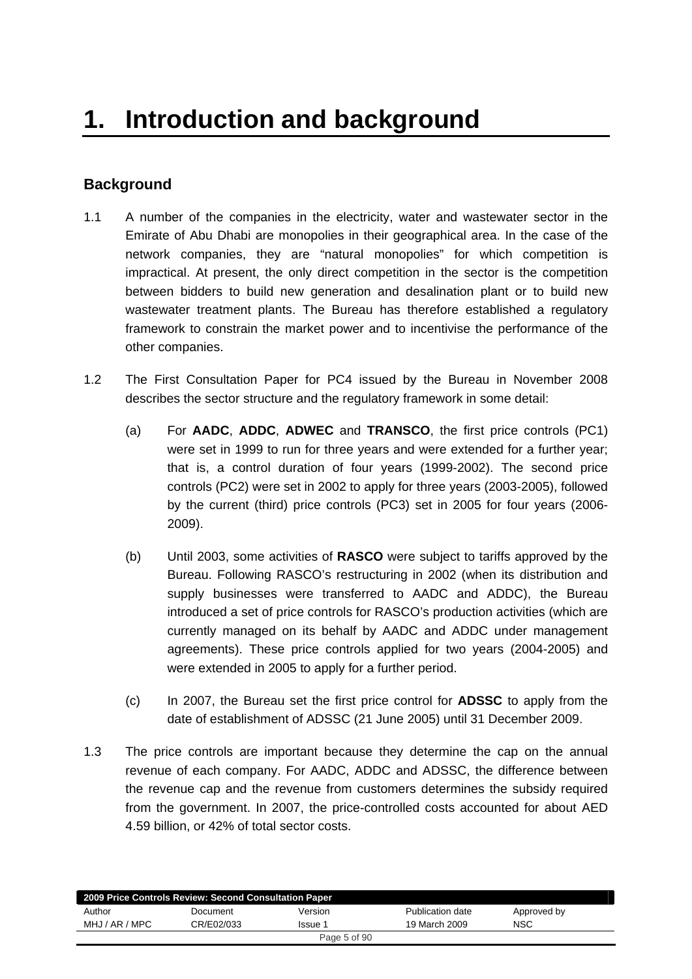# **Background**

- 1.1 A number of the companies in the electricity, water and wastewater sector in the Emirate of Abu Dhabi are monopolies in their geographical area. In the case of the network companies, they are "natural monopolies" for which competition is impractical. At present, the only direct competition in the sector is the competition between bidders to build new generation and desalination plant or to build new wastewater treatment plants. The Bureau has therefore established a regulatory framework to constrain the market power and to incentivise the performance of the other companies.
- 1.2 The First Consultation Paper for PC4 issued by the Bureau in November 2008 describes the sector structure and the regulatory framework in some detail:
	- (a) For **AADC**, **ADDC**, **ADWEC** and **TRANSCO**, the first price controls (PC1) were set in 1999 to run for three years and were extended for a further year; that is, a control duration of four years (1999-2002). The second price controls (PC2) were set in 2002 to apply for three years (2003-2005), followed by the current (third) price controls (PC3) set in 2005 for four years (2006- 2009).
	- (b) Until 2003, some activities of **RASCO** were subject to tariffs approved by the Bureau. Following RASCO's restructuring in 2002 (when its distribution and supply businesses were transferred to AADC and ADDC), the Bureau introduced a set of price controls for RASCO's production activities (which are currently managed on its behalf by AADC and ADDC under management agreements). These price controls applied for two years (2004-2005) and were extended in 2005 to apply for a further period.
	- (c) In 2007, the Bureau set the first price control for **ADSSC** to apply from the date of establishment of ADSSC (21 June 2005) until 31 December 2009.
- 1.3 The price controls are important because they determine the cap on the annual revenue of each company. For AADC, ADDC and ADSSC, the difference between the revenue cap and the revenue from customers determines the subsidy required from the government. In 2007, the price-controlled costs accounted for about AED 4.59 billion, or 42% of total sector costs.

|                | 2009 Price Controls Review: Second Consultation Paper |              |                  |             |  |
|----------------|-------------------------------------------------------|--------------|------------------|-------------|--|
| Author         | Document                                              | Version      | Publication date | Approved by |  |
| MHJ / AR / MPC | CR/E02/033                                            | Issue 1      | 19 March 2009    | <b>NSC</b>  |  |
|                |                                                       | Page 5 of 90 |                  |             |  |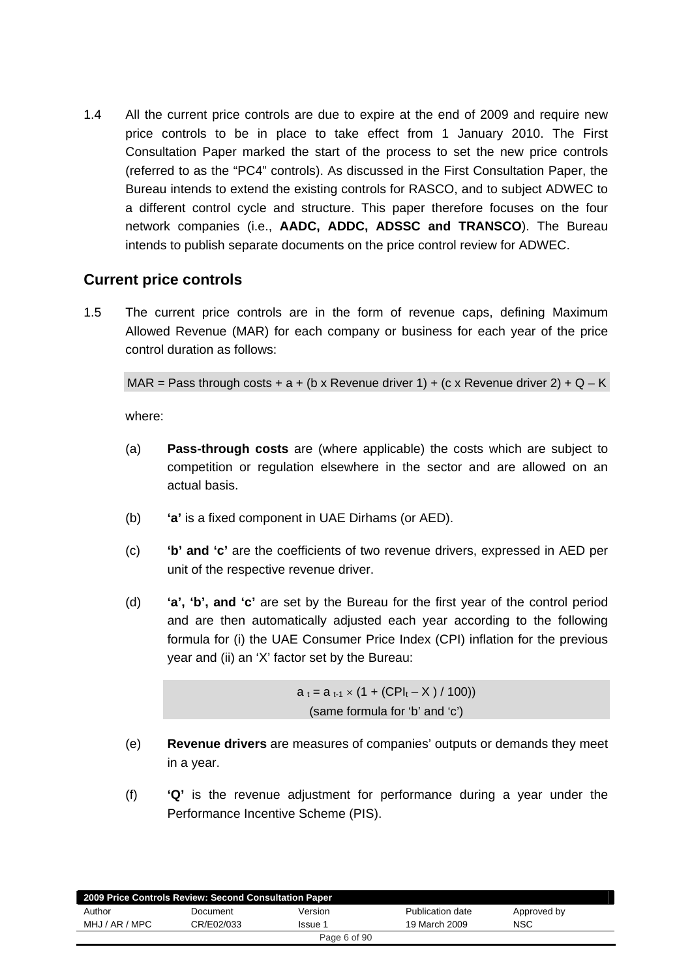1.4 All the current price controls are due to expire at the end of 2009 and require new price controls to be in place to take effect from 1 January 2010. The First Consultation Paper marked the start of the process to set the new price controls (referred to as the "PC4" controls). As discussed in the First Consultation Paper, the Bureau intends to extend the existing controls for RASCO, and to subject ADWEC to a different control cycle and structure. This paper therefore focuses on the four network companies (i.e., **AADC, ADDC, ADSSC and TRANSCO**). The Bureau intends to publish separate documents on the price control review for ADWEC.

# **Current price controls**

1.5 The current price controls are in the form of revenue caps, defining Maximum Allowed Revenue (MAR) for each company or business for each year of the price control duration as follows:

MAR = Pass through costs + a + (b x Revenue driver 1) + (c x Revenue driver 2) + Q – K

where:

- (a) **Pass-through costs** are (where applicable) the costs which are subject to competition or regulation elsewhere in the sector and are allowed on an actual basis.
- (b) **'a'** is a fixed component in UAE Dirhams (or AED).
- (c) **'b' and 'c'** are the coefficients of two revenue drivers, expressed in AED per unit of the respective revenue driver.
- (d) **'a', 'b', and 'c'** are set by the Bureau for the first year of the control period and are then automatically adjusted each year according to the following formula for (i) the UAE Consumer Price Index (CPI) inflation for the previous year and (ii) an 'X' factor set by the Bureau:

 $a_t = a_{t-1} \times (1 + (CPI_t - X) / 100)$ (same formula for 'b' and 'c')

- (e) **Revenue drivers** are measures of companies' outputs or demands they meet in a year.
- (f) **'Q'** is the revenue adjustment for performance during a year under the Performance Incentive Scheme (PIS).

| 2009 Price Controls Review: Second Consultation Paper |            |              |                  |             |
|-------------------------------------------------------|------------|--------------|------------------|-------------|
| Author                                                | Document   | Version      | Publication date | Approved by |
| MHJ / AR / MPC                                        | CR/E02/033 | Issue 1      | 19 March 2009    | <b>NSC</b>  |
|                                                       |            | Page 6 of 90 |                  |             |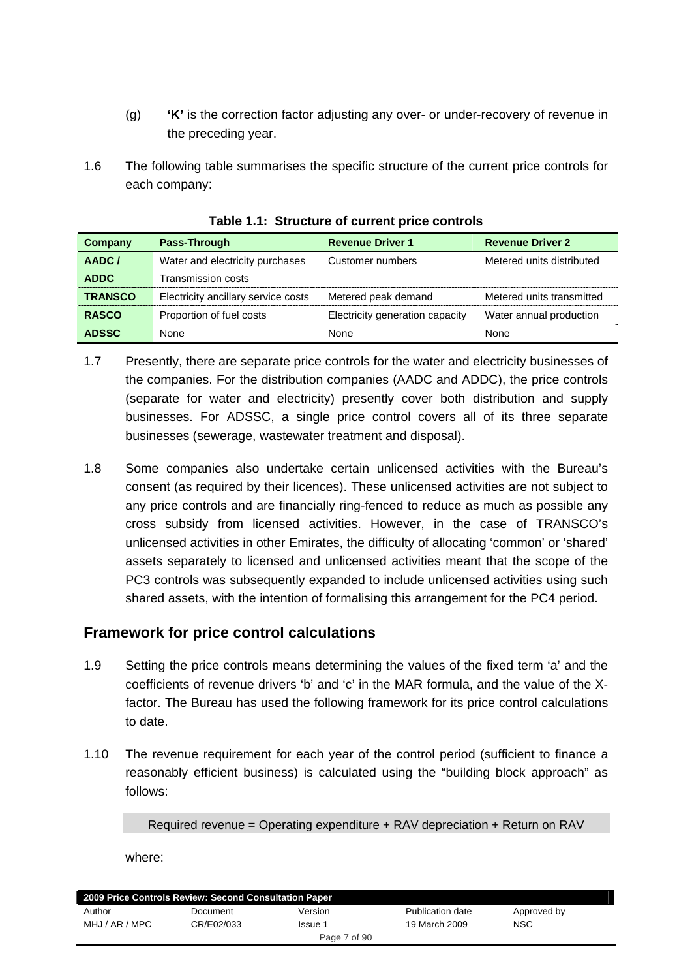- (g) **'K'** is the correction factor adjusting any over- or under-recovery of revenue in the preceding year.
- 1.6 The following table summarises the specific structure of the current price controls for each company:

| Company        | Pass-Through                        | <b>Revenue Driver 1</b>         | <b>Revenue Driver 2</b>   |
|----------------|-------------------------------------|---------------------------------|---------------------------|
| AADC/          | Water and electricity purchases     | Customer numbers                | Metered units distributed |
| <b>ADDC</b>    | Transmission costs                  |                                 |                           |
| <b>TRANSCO</b> | Electricity ancillary service costs | Metered peak demand             | Metered units transmitted |
| <b>RASCO</b>   | Proportion of fuel costs            | Electricity generation capacity | Water annual production   |
| <b>ADSSC</b>   | None                                | None                            | None                      |

**Table 1.1: Structure of current price controls** 

- 1.7 Presently, there are separate price controls for the water and electricity businesses of the companies. For the distribution companies (AADC and ADDC), the price controls (separate for water and electricity) presently cover both distribution and supply businesses. For ADSSC, a single price control covers all of its three separate businesses (sewerage, wastewater treatment and disposal).
- 1.8 Some companies also undertake certain unlicensed activities with the Bureau's consent (as required by their licences). These unlicensed activities are not subject to any price controls and are financially ring-fenced to reduce as much as possible any cross subsidy from licensed activities. However, in the case of TRANSCO's unlicensed activities in other Emirates, the difficulty of allocating 'common' or 'shared' assets separately to licensed and unlicensed activities meant that the scope of the PC3 controls was subsequently expanded to include unlicensed activities using such shared assets, with the intention of formalising this arrangement for the PC4 period.

# **Framework for price control calculations**

- 1.9 Setting the price controls means determining the values of the fixed term 'a' and the coefficients of revenue drivers 'b' and 'c' in the MAR formula, and the value of the Xfactor. The Bureau has used the following framework for its price control calculations to date.
- 1.10 The revenue requirement for each year of the control period (sufficient to finance a reasonably efficient business) is calculated using the "building block approach" as follows:

Required revenue = Operating expenditure + RAV depreciation + Return on RAV

where:

| 2009 Price Controls Review: Second Consultation Paper |            |                |                  |             |
|-------------------------------------------------------|------------|----------------|------------------|-------------|
| Author                                                | Document   | Version        | Publication date | Approved by |
| MHJ / AR / MPC                                        | CR/E02/033 | <b>Issue 1</b> | 19 March 2009    | <b>NSC</b>  |
|                                                       |            | Page 7 of 90   |                  |             |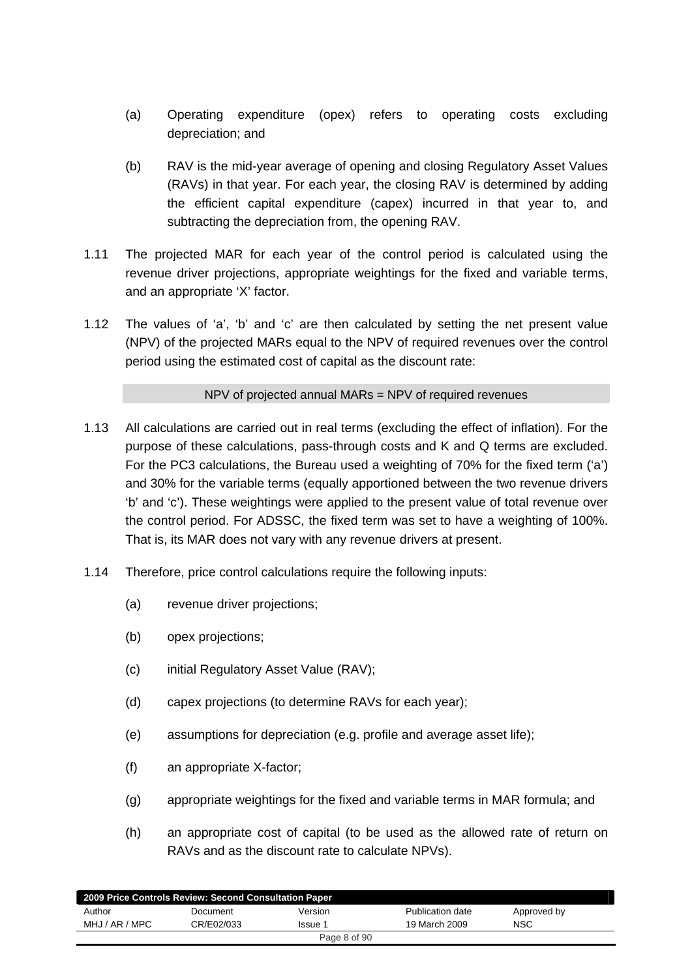- (a) Operating expenditure (opex) refers to operating costs excluding depreciation; and
- (b) RAV is the mid-year average of opening and closing Regulatory Asset Values (RAVs) in that year. For each year, the closing RAV is determined by adding the efficient capital expenditure (capex) incurred in that year to, and subtracting the depreciation from, the opening RAV.
- 1.11 The projected MAR for each year of the control period is calculated using the revenue driver projections, appropriate weightings for the fixed and variable terms, and an appropriate 'X' factor.
- 1.12 The values of 'a', 'b' and 'c' are then calculated by setting the net present value (NPV) of the projected MARs equal to the NPV of required revenues over the control period using the estimated cost of capital as the discount rate:

#### NPV of projected annual MARs = NPV of required revenues

- 1.13 All calculations are carried out in real terms (excluding the effect of inflation). For the purpose of these calculations, pass-through costs and K and Q terms are excluded. For the PC3 calculations, the Bureau used a weighting of 70% for the fixed term ('a') and 30% for the variable terms (equally apportioned between the two revenue drivers 'b' and 'c'). These weightings were applied to the present value of total revenue over the control period. For ADSSC, the fixed term was set to have a weighting of 100%. That is, its MAR does not vary with any revenue drivers at present.
- 1.14 Therefore, price control calculations require the following inputs:
	- (a) revenue driver projections;
	- (b) opex projections;
	- (c) initial Regulatory Asset Value (RAV);
	- (d) capex projections (to determine RAVs for each year);
	- (e) assumptions for depreciation (e.g. profile and average asset life);
	- (f) an appropriate X-factor;
	- (g) appropriate weightings for the fixed and variable terms in MAR formula; and
	- (h) an appropriate cost of capital (to be used as the allowed rate of return on RAVs and as the discount rate to calculate NPVs).

|                | 2009 Price Controls Review: Second Consultation Paper |              |                  |             |
|----------------|-------------------------------------------------------|--------------|------------------|-------------|
| Author         | Document                                              | Version      | Publication date | Approved by |
| MHJ / AR / MPC | CR/E02/033                                            | Issue 1      | 19 March 2009    | <b>NSC</b>  |
|                |                                                       | Page 8 of 90 |                  |             |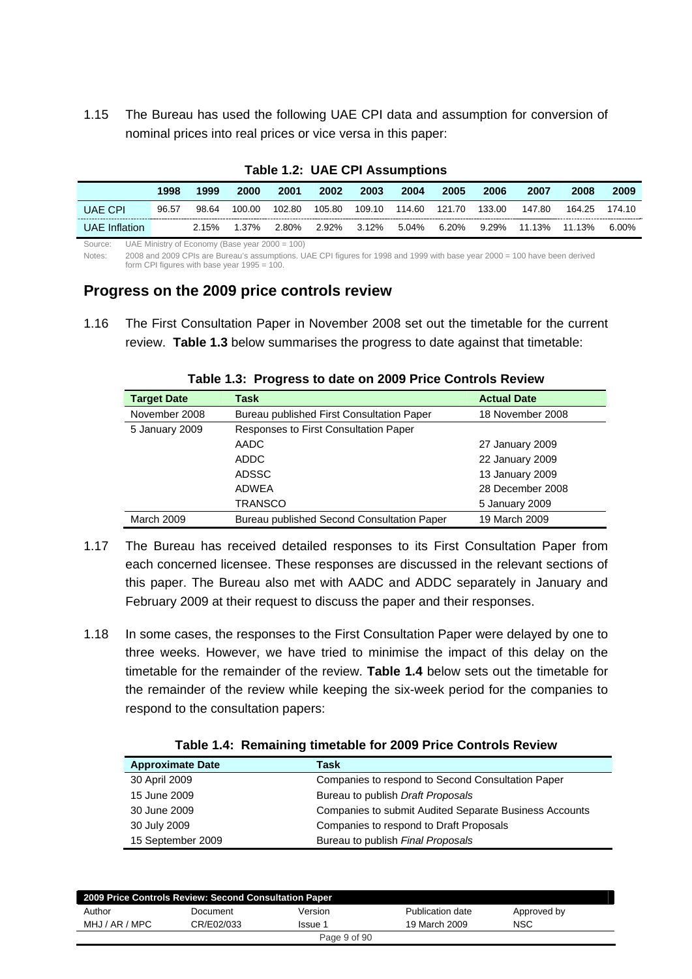1.15 The Bureau has used the following UAE CPI data and assumption for conversion of nominal prices into real prices or vice versa in this paper:

| $1400 \cdot 141 \cdot 141$ |       |       |        |        |        |             |               |       |        |              |        |        |
|----------------------------|-------|-------|--------|--------|--------|-------------|---------------|-------|--------|--------------|--------|--------|
|                            | 1998  | 1999  | 2000   | 2001   | 2002   | 2003        | 2004          | 2005  | 2006   | 2007         | 2008   | 2009   |
| <b>UAE CPI</b>             | 96.57 | 98.64 | 100.00 | 102.80 | 105.80 | 109.10      | 114.60 121.70 |       | 133.00 | 147.80       | 164.25 | 174.10 |
| UAE Inflation              |       | 2.15% | 1.37%  | 2.80%  |        | 2.92% 3.12% | 5.04%         | 6.20% |        | 9.29% 11.13% | 11.13% | 6.00%  |

#### **Table 1.2: UAE CPI Assumptions**

Source: UAE Ministry of Economy (Base year 2000 = 100)

Notes: 2008 and 2009 CPIs are Bureau's assumptions. UAE CPI figures for 1998 and 1999 with base year 2000 = 100 have been derived form CPI figures with base year  $1995 = 100$ .

#### **Progress on the 2009 price controls review**

1.16 The First Consultation Paper in November 2008 set out the timetable for the current review. **Table 1.3** below summarises the progress to date against that timetable:

| <b>Target Date</b> | Task                                         | <b>Actual Date</b> |
|--------------------|----------------------------------------------|--------------------|
| November 2008      | Bureau published First Consultation Paper    | 18 November 2008   |
| 5 January 2009     | <b>Responses to First Consultation Paper</b> |                    |
|                    | AADC                                         | 27 January 2009    |
|                    | ADDC                                         | 22 January 2009    |
|                    | <b>ADSSC</b>                                 | 13 January 2009    |
|                    | ADWEA                                        | 28 December 2008   |
|                    | TRANSCO                                      | 5 January 2009     |
| <b>March 2009</b>  | Bureau published Second Consultation Paper   | 19 March 2009      |

**Table 1.3: Progress to date on 2009 Price Controls Review** 

- 1.17 The Bureau has received detailed responses to its First Consultation Paper from each concerned licensee. These responses are discussed in the relevant sections of this paper. The Bureau also met with AADC and ADDC separately in January and February 2009 at their request to discuss the paper and their responses.
- 1.18 In some cases, the responses to the First Consultation Paper were delayed by one to three weeks. However, we have tried to minimise the impact of this delay on the timetable for the remainder of the review. **Table 1.4** below sets out the timetable for the remainder of the review while keeping the six-week period for the companies to respond to the consultation papers:

| <b>Approximate Date</b> | Task                                                          |
|-------------------------|---------------------------------------------------------------|
| 30 April 2009           | Companies to respond to Second Consultation Paper             |
| 15 June 2009            | Bureau to publish Draft Proposals                             |
| 30 June 2009            | <b>Companies to submit Audited Separate Business Accounts</b> |
| 30 July 2009            | Companies to respond to Draft Proposals                       |
| 15 September 2009       | Bureau to publish Final Proposals                             |

#### **Table 1.4: Remaining timetable for 2009 Price Controls Review**

| 2009 Price Controls Review: Second Consultation Paper |            |              |                  |             |  |
|-------------------------------------------------------|------------|--------------|------------------|-------------|--|
| Author                                                | Document   | Version      | Publication date | Approved by |  |
| MHJ / AR / MPC                                        | CR/E02/033 | Issue 1      | 19 March 2009    | <b>NSC</b>  |  |
|                                                       |            | Page 9 of 90 |                  |             |  |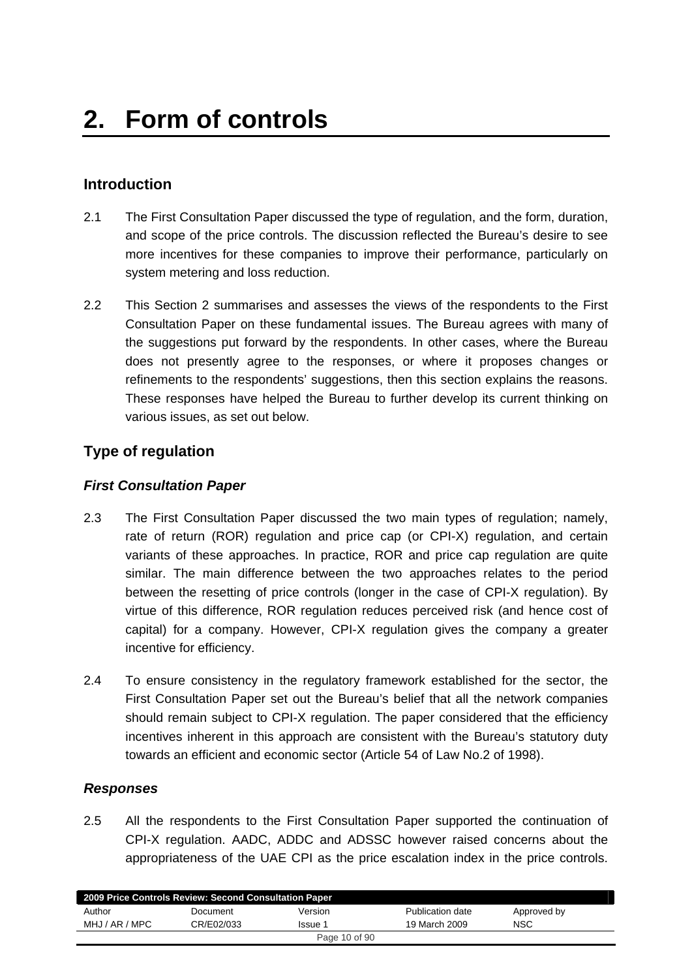# **Introduction**

- 2.1 The First Consultation Paper discussed the type of regulation, and the form, duration, and scope of the price controls. The discussion reflected the Bureau's desire to see more incentives for these companies to improve their performance, particularly on system metering and loss reduction.
- 2.2 This Section 2 summarises and assesses the views of the respondents to the First Consultation Paper on these fundamental issues. The Bureau agrees with many of the suggestions put forward by the respondents. In other cases, where the Bureau does not presently agree to the responses, or where it proposes changes or refinements to the respondents' suggestions, then this section explains the reasons. These responses have helped the Bureau to further develop its current thinking on various issues, as set out below.

# **Type of regulation**

## *First Consultation Paper*

- 2.3 The First Consultation Paper discussed the two main types of regulation; namely, rate of return (ROR) regulation and price cap (or CPI-X) regulation, and certain variants of these approaches. In practice, ROR and price cap regulation are quite similar. The main difference between the two approaches relates to the period between the resetting of price controls (longer in the case of CPI-X regulation). By virtue of this difference, ROR regulation reduces perceived risk (and hence cost of capital) for a company. However, CPI-X regulation gives the company a greater incentive for efficiency.
- 2.4 To ensure consistency in the regulatory framework established for the sector, the First Consultation Paper set out the Bureau's belief that all the network companies should remain subject to CPI-X regulation. The paper considered that the efficiency incentives inherent in this approach are consistent with the Bureau's statutory duty towards an efficient and economic sector (Article 54 of Law No.2 of 1998).

#### *Responses*

2.5 All the respondents to the First Consultation Paper supported the continuation of CPI-X regulation. AADC, ADDC and ADSSC however raised concerns about the appropriateness of the UAE CPI as the price escalation index in the price controls.

| 2009 Price Controls Review: Second Consultation Paper |            |               |                  |             |  |
|-------------------------------------------------------|------------|---------------|------------------|-------------|--|
| Author                                                | Document   | Version       | Publication date | Approved by |  |
| MHJ / AR / MPC                                        | CR/E02/033 | Issue 1       | 19 March 2009    | NSC         |  |
|                                                       |            | Page 10 of 90 |                  |             |  |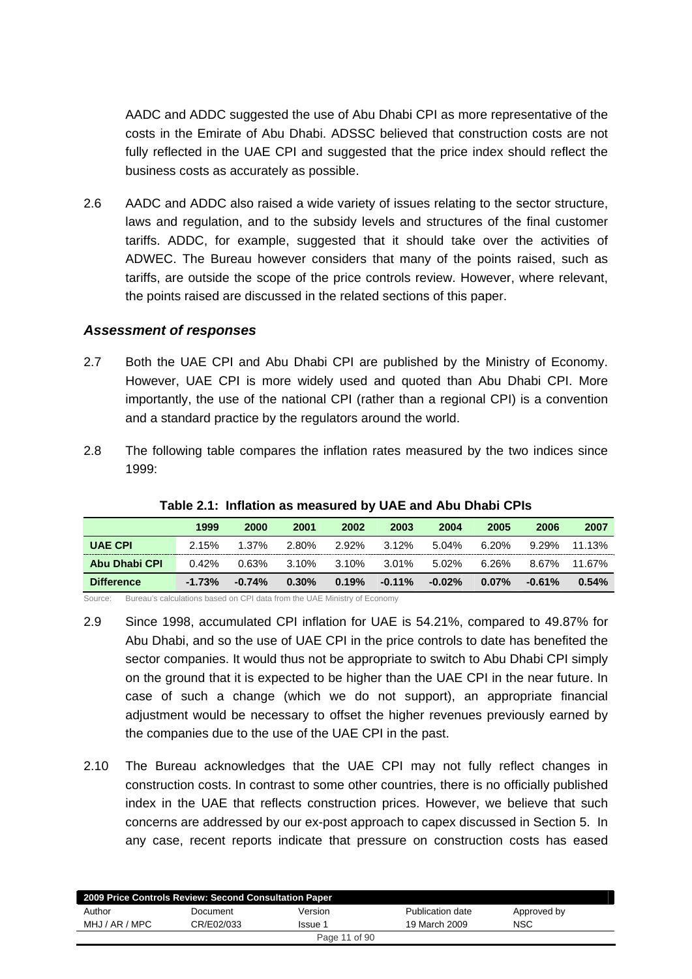AADC and ADDC suggested the use of Abu Dhabi CPI as more representative of the costs in the Emirate of Abu Dhabi. ADSSC believed that construction costs are not fully reflected in the UAE CPI and suggested that the price index should reflect the business costs as accurately as possible.

2.6 AADC and ADDC also raised a wide variety of issues relating to the sector structure, laws and regulation, and to the subsidy levels and structures of the final customer tariffs. ADDC, for example, suggested that it should take over the activities of ADWEC. The Bureau however considers that many of the points raised, such as tariffs, are outside the scope of the price controls review. However, where relevant, the points raised are discussed in the related sections of this paper.

#### *Assessment of responses*

- 2.7 Both the UAE CPI and Abu Dhabi CPI are published by the Ministry of Economy. However, UAE CPI is more widely used and quoted than Abu Dhabi CPI. More importantly, the use of the national CPI (rather than a regional CPI) is a convention and a standard practice by the regulators around the world.
- 2.8 The following table compares the inflation rates measured by the two indices since 1999:

|                   | 1999     | 2000     | 2001     | 2002  | 2003      | 2004      | 2005     | 2006     | 2007   |
|-------------------|----------|----------|----------|-------|-----------|-----------|----------|----------|--------|
| <b>UAE CPI</b>    | 2.15%    | $1.37\%$ | 2.80%    | 2.92% | 3.12%     | 5.04%     | 6.20%    | 9.29%    | 11.13% |
| Abu Dhabi CPI     | 0.42%    | 0.63%    | 3.10%    | 3.10% | 3.01%     | 5.02%     | 6.26%    | 8.67%    | 11.67% |
| <b>Difference</b> | $-1.73%$ | $-0.74%$ | $0.30\%$ | 0.19% | $-0.11\%$ | $-0.02\%$ | $0.07\%$ | $-0.61%$ | 0.54%  |

#### **Table 2.1: Inflation as measured by UAE and Abu Dhabi CPIs**

Source: Bureau's calculations based on CPI data from the UAE Ministry of Economy

- 2.9 Since 1998, accumulated CPI inflation for UAE is 54.21%, compared to 49.87% for Abu Dhabi, and so the use of UAE CPI in the price controls to date has benefited the sector companies. It would thus not be appropriate to switch to Abu Dhabi CPI simply on the ground that it is expected to be higher than the UAE CPI in the near future. In case of such a change (which we do not support), an appropriate financial adjustment would be necessary to offset the higher revenues previously earned by the companies due to the use of the UAE CPI in the past.
- 2.10 The Bureau acknowledges that the UAE CPI may not fully reflect changes in construction costs. In contrast to some other countries, there is no officially published index in the UAE that reflects construction prices. However, we believe that such concerns are addressed by our ex-post approach to capex discussed in Section 5. In any case, recent reports indicate that pressure on construction costs has eased

| 2009 Price Controls Review: Second Consultation Paper |            |               |                  |             |  |
|-------------------------------------------------------|------------|---------------|------------------|-------------|--|
| Author                                                | Document   | Version       | Publication date | Approved by |  |
| MHJ / AR / MPC                                        | CR/E02/033 | Issue 1       | 19 March 2009    | NSC         |  |
|                                                       |            | Page 11 of 90 |                  |             |  |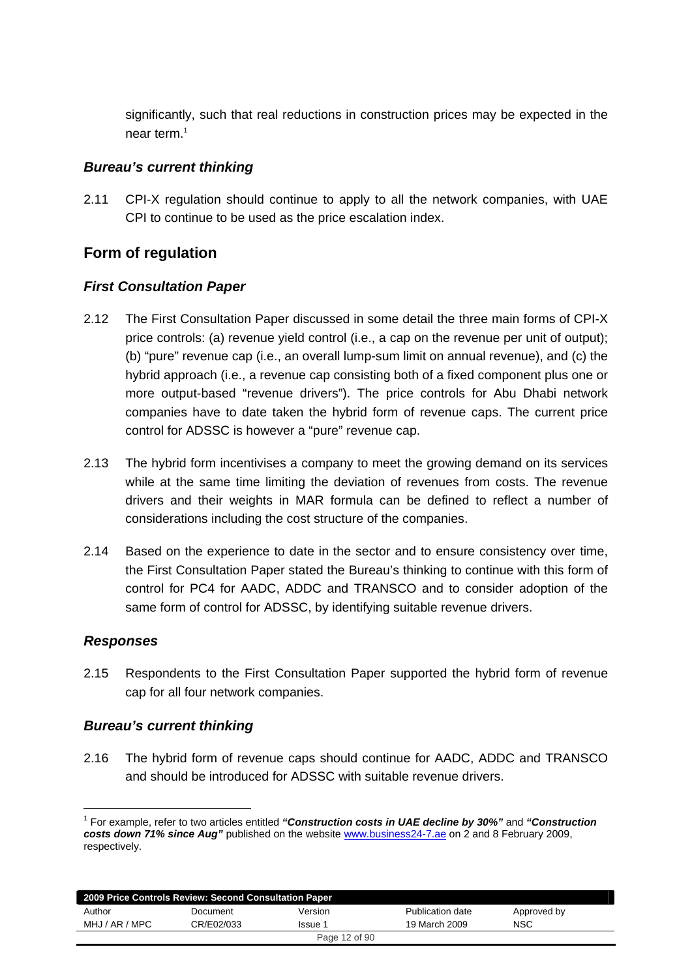significantly, such that real reductions in construction prices may be expected in the near term.<sup>1</sup>

#### *Bureau's current thinking*

2.11 CPI-X regulation should continue to apply to all the network companies, with UAE CPI to continue to be used as the price escalation index.

# **Form of regulation**

## *First Consultation Paper*

- 2.12 The First Consultation Paper discussed in some detail the three main forms of CPI-X price controls: (a) revenue yield control (i.e., a cap on the revenue per unit of output); (b) "pure" revenue cap (i.e., an overall lump-sum limit on annual revenue), and (c) the hybrid approach (i.e., a revenue cap consisting both of a fixed component plus one or more output-based "revenue drivers"). The price controls for Abu Dhabi network companies have to date taken the hybrid form of revenue caps. The current price control for ADSSC is however a "pure" revenue cap.
- 2.13 The hybrid form incentivises a company to meet the growing demand on its services while at the same time limiting the deviation of revenues from costs. The revenue drivers and their weights in MAR formula can be defined to reflect a number of considerations including the cost structure of the companies.
- 2.14 Based on the experience to date in the sector and to ensure consistency over time, the First Consultation Paper stated the Bureau's thinking to continue with this form of control for PC4 for AADC, ADDC and TRANSCO and to consider adoption of the same form of control for ADSSC, by identifying suitable revenue drivers.

## *Responses*

1

2.15 Respondents to the First Consultation Paper supported the hybrid form of revenue cap for all four network companies.

## *Bureau's current thinking*

2.16 The hybrid form of revenue caps should continue for AADC, ADDC and TRANSCO and should be introduced for ADSSC with suitable revenue drivers.

<sup>1</sup> For example, refer to two articles entitled *"Construction costs in UAE decline by 30%"* and *"Construction costs down 71% since Aug"* published on the website www.business24-7.ae on 2 and 8 February 2009, respectively.

|                | 2009 Price Controls Review: Second Consultation Paper |               |                  |             |
|----------------|-------------------------------------------------------|---------------|------------------|-------------|
| Author         | Document                                              | Version       | Publication date | Approved by |
| MHJ / AR / MPC | CR/E02/033                                            | Issue 1       | 19 March 2009    | <b>NSC</b>  |
|                |                                                       | Page 12 of 90 |                  |             |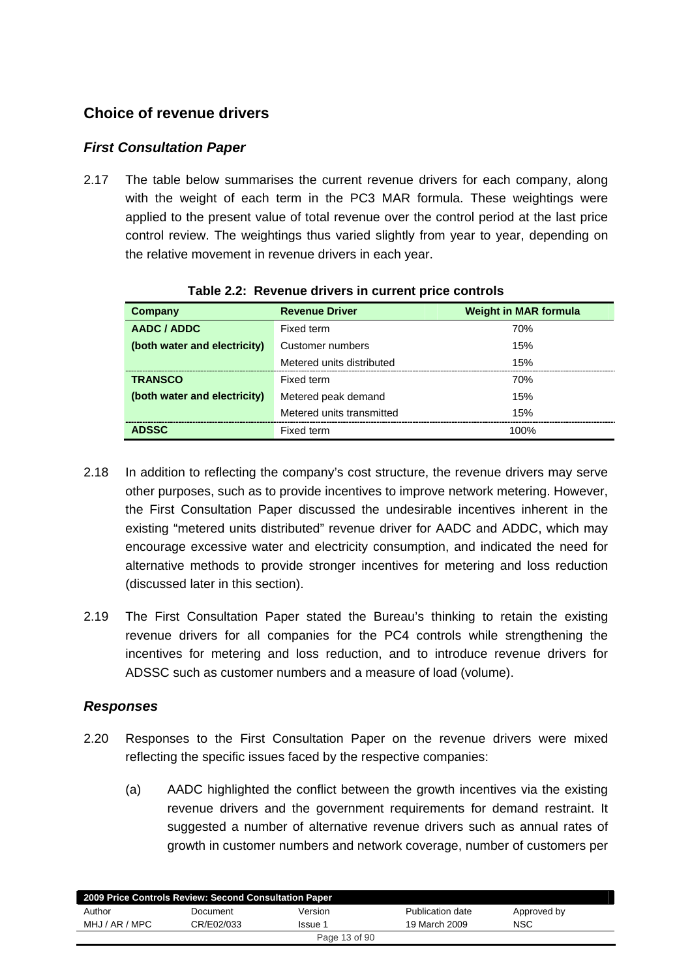# **Choice of revenue drivers**

## *First Consultation Paper*

2.17 The table below summarises the current revenue drivers for each company, along with the weight of each term in the PC3 MAR formula. These weightings were applied to the present value of total revenue over the control period at the last price control review. The weightings thus varied slightly from year to year, depending on the relative movement in revenue drivers in each year.

| Company                      | <b>Revenue Driver</b>     | <b>Weight in MAR formula</b> |  |  |  |  |  |
|------------------------------|---------------------------|------------------------------|--|--|--|--|--|
| AADC / ADDC                  | Fixed term                | 70%                          |  |  |  |  |  |
| (both water and electricity) | Customer numbers          | 15%                          |  |  |  |  |  |
|                              | Metered units distributed | 15%                          |  |  |  |  |  |
| <b>TRANSCO</b>               | Fixed term                | 70%                          |  |  |  |  |  |
| (both water and electricity) | Metered peak demand       | 15%                          |  |  |  |  |  |
|                              | Metered units transmitted | 15%                          |  |  |  |  |  |
| <b>ADSSC</b>                 | Fixed term                | 100%                         |  |  |  |  |  |

**Table 2.2: Revenue drivers in current price controls** 

- 2.18 In addition to reflecting the company's cost structure, the revenue drivers may serve other purposes, such as to provide incentives to improve network metering. However, the First Consultation Paper discussed the undesirable incentives inherent in the existing "metered units distributed" revenue driver for AADC and ADDC, which may encourage excessive water and electricity consumption, and indicated the need for alternative methods to provide stronger incentives for metering and loss reduction (discussed later in this section).
- 2.19 The First Consultation Paper stated the Bureau's thinking to retain the existing revenue drivers for all companies for the PC4 controls while strengthening the incentives for metering and loss reduction, and to introduce revenue drivers for ADSSC such as customer numbers and a measure of load (volume).

#### *Responses*

- 2.20 Responses to the First Consultation Paper on the revenue drivers were mixed reflecting the specific issues faced by the respective companies:
	- (a) AADC highlighted the conflict between the growth incentives via the existing revenue drivers and the government requirements for demand restraint. It suggested a number of alternative revenue drivers such as annual rates of growth in customer numbers and network coverage, number of customers per

| 2009 Price Controls Review: Second Consultation Paper |            |               |                  |             |  |
|-------------------------------------------------------|------------|---------------|------------------|-------------|--|
| Author                                                | Document   | Version       | Publication date | Approved by |  |
| MHJ / AR / MPC                                        | CR/E02/033 | Issue 1       | 19 March 2009    | NSC         |  |
|                                                       |            | Page 13 of 90 |                  |             |  |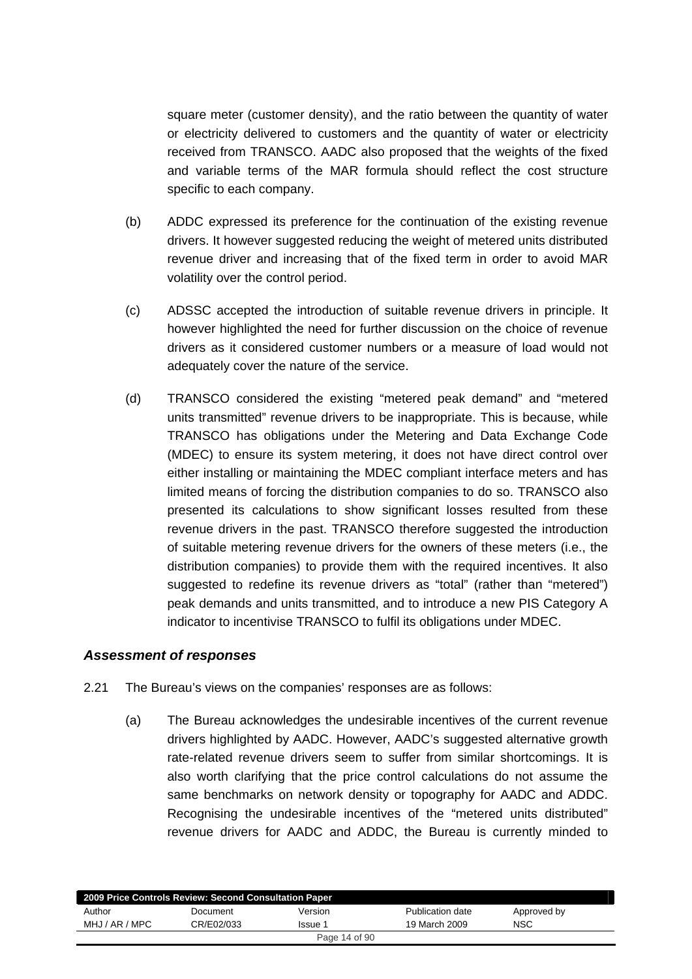square meter (customer density), and the ratio between the quantity of water or electricity delivered to customers and the quantity of water or electricity received from TRANSCO. AADC also proposed that the weights of the fixed and variable terms of the MAR formula should reflect the cost structure specific to each company.

- (b) ADDC expressed its preference for the continuation of the existing revenue drivers. It however suggested reducing the weight of metered units distributed revenue driver and increasing that of the fixed term in order to avoid MAR volatility over the control period.
- (c) ADSSC accepted the introduction of suitable revenue drivers in principle. It however highlighted the need for further discussion on the choice of revenue drivers as it considered customer numbers or a measure of load would not adequately cover the nature of the service.
- (d) TRANSCO considered the existing "metered peak demand" and "metered units transmitted" revenue drivers to be inappropriate. This is because, while TRANSCO has obligations under the Metering and Data Exchange Code (MDEC) to ensure its system metering, it does not have direct control over either installing or maintaining the MDEC compliant interface meters and has limited means of forcing the distribution companies to do so. TRANSCO also presented its calculations to show significant losses resulted from these revenue drivers in the past. TRANSCO therefore suggested the introduction of suitable metering revenue drivers for the owners of these meters (i.e., the distribution companies) to provide them with the required incentives. It also suggested to redefine its revenue drivers as "total" (rather than "metered") peak demands and units transmitted, and to introduce a new PIS Category A indicator to incentivise TRANSCO to fulfil its obligations under MDEC.

#### *Assessment of responses*

- 2.21 The Bureau's views on the companies' responses are as follows:
	- (a) The Bureau acknowledges the undesirable incentives of the current revenue drivers highlighted by AADC. However, AADC's suggested alternative growth rate-related revenue drivers seem to suffer from similar shortcomings. It is also worth clarifying that the price control calculations do not assume the same benchmarks on network density or topography for AADC and ADDC. Recognising the undesirable incentives of the "metered units distributed" revenue drivers for AADC and ADDC, the Bureau is currently minded to

| 2009 Price Controls Review: Second Consultation Paper |            |               |                  |             |  |
|-------------------------------------------------------|------------|---------------|------------------|-------------|--|
| Author                                                | Document   | Version       | Publication date | Approved by |  |
| MHJ / AR / MPC                                        | CR/E02/033 | Issue 1       | 19 March 2009    | NSC         |  |
|                                                       |            | Page 14 of 90 |                  |             |  |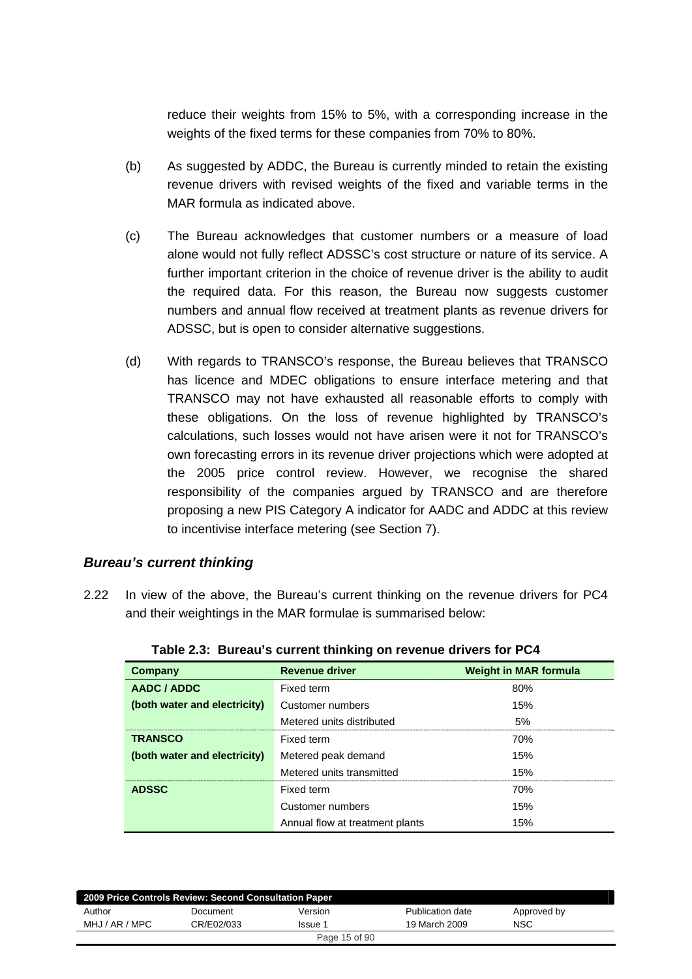reduce their weights from 15% to 5%, with a corresponding increase in the weights of the fixed terms for these companies from 70% to 80%.

- (b) As suggested by ADDC, the Bureau is currently minded to retain the existing revenue drivers with revised weights of the fixed and variable terms in the MAR formula as indicated above.
- (c) The Bureau acknowledges that customer numbers or a measure of load alone would not fully reflect ADSSC's cost structure or nature of its service. A further important criterion in the choice of revenue driver is the ability to audit the required data. For this reason, the Bureau now suggests customer numbers and annual flow received at treatment plants as revenue drivers for ADSSC, but is open to consider alternative suggestions.
- (d) With regards to TRANSCO's response, the Bureau believes that TRANSCO has licence and MDEC obligations to ensure interface metering and that TRANSCO may not have exhausted all reasonable efforts to comply with these obligations. On the loss of revenue highlighted by TRANSCO's calculations, such losses would not have arisen were it not for TRANSCO's own forecasting errors in its revenue driver projections which were adopted at the 2005 price control review. However, we recognise the shared responsibility of the companies argued by TRANSCO and are therefore proposing a new PIS Category A indicator for AADC and ADDC at this review to incentivise interface metering (see Section 7).

#### *Bureau's current thinking*

2.22 In view of the above, the Bureau's current thinking on the revenue drivers for PC4 and their weightings in the MAR formulae is summarised below:

| Company                      | <b>Revenue driver</b>           | <b>Weight in MAR formula</b> |
|------------------------------|---------------------------------|------------------------------|
| AADC / ADDC                  | Fixed term                      | 80%                          |
| (both water and electricity) | Customer numbers                | 15%                          |
|                              | Metered units distributed       | 5%                           |
| <b>TRANSCO</b>               | Fixed term                      | 70%                          |
| (both water and electricity) | Metered peak demand             | 15%                          |
|                              | Metered units transmitted       | 15%                          |
| <b>ADSSC</b>                 | Fixed term                      | 70%                          |
|                              | Customer numbers                | 15%                          |
|                              | Annual flow at treatment plants | 15%                          |

| Table 2.3: Bureau's current thinking on revenue drivers for PC4 |  |  |  |
|-----------------------------------------------------------------|--|--|--|
|                                                                 |  |  |  |

| 2009 Price Controls Review: Second Consultation Paper |            |               |                  |             |
|-------------------------------------------------------|------------|---------------|------------------|-------------|
| Author                                                | Document   | Version       | Publication date | Approved by |
| MHJ / AR / MPC                                        | CR/E02/033 | lssue 1       | 19 March 2009    | <b>NSC</b>  |
|                                                       |            | Page 15 of 90 |                  |             |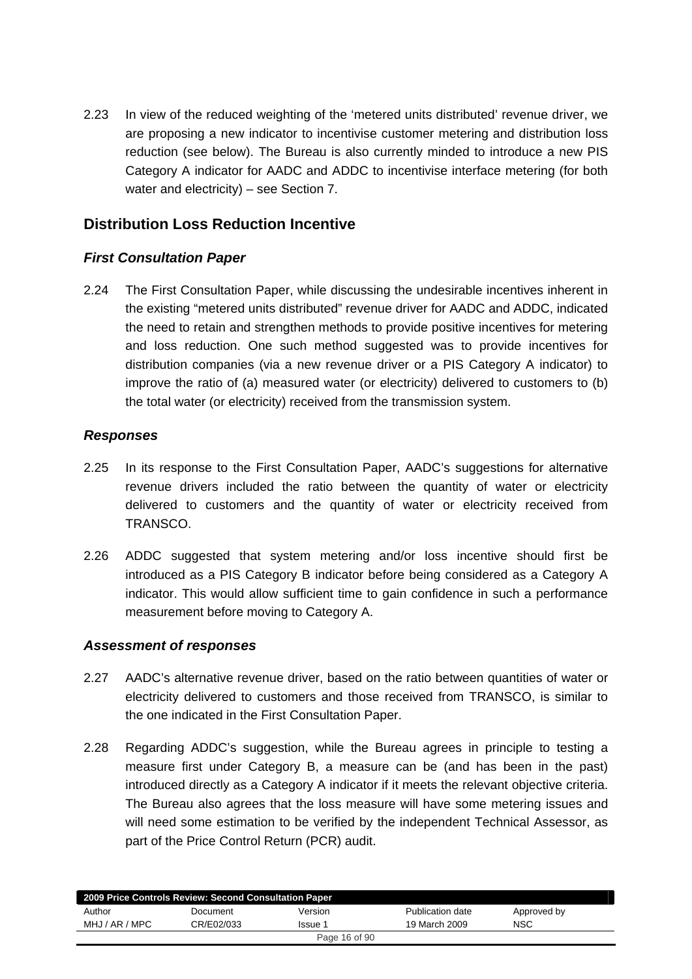2.23 In view of the reduced weighting of the 'metered units distributed' revenue driver, we are proposing a new indicator to incentivise customer metering and distribution loss reduction (see below). The Bureau is also currently minded to introduce a new PIS Category A indicator for AADC and ADDC to incentivise interface metering (for both water and electricity) – see Section 7.

# **Distribution Loss Reduction Incentive**

## *First Consultation Paper*

2.24 The First Consultation Paper, while discussing the undesirable incentives inherent in the existing "metered units distributed" revenue driver for AADC and ADDC, indicated the need to retain and strengthen methods to provide positive incentives for metering and loss reduction. One such method suggested was to provide incentives for distribution companies (via a new revenue driver or a PIS Category A indicator) to improve the ratio of (a) measured water (or electricity) delivered to customers to (b) the total water (or electricity) received from the transmission system.

## *Responses*

- 2.25 In its response to the First Consultation Paper, AADC's suggestions for alternative revenue drivers included the ratio between the quantity of water or electricity delivered to customers and the quantity of water or electricity received from TRANSCO.
- 2.26 ADDC suggested that system metering and/or loss incentive should first be introduced as a PIS Category B indicator before being considered as a Category A indicator. This would allow sufficient time to gain confidence in such a performance measurement before moving to Category A.

#### *Assessment of responses*

- 2.27 AADC's alternative revenue driver, based on the ratio between quantities of water or electricity delivered to customers and those received from TRANSCO, is similar to the one indicated in the First Consultation Paper.
- 2.28 Regarding ADDC's suggestion, while the Bureau agrees in principle to testing a measure first under Category B, a measure can be (and has been in the past) introduced directly as a Category A indicator if it meets the relevant objective criteria. The Bureau also agrees that the loss measure will have some metering issues and will need some estimation to be verified by the independent Technical Assessor, as part of the Price Control Return (PCR) audit.

| 2009 Price Controls Review: Second Consultation Paper |            |         |                  |             |  |  |
|-------------------------------------------------------|------------|---------|------------------|-------------|--|--|
| Author                                                | Document   | Version | Publication date | Approved by |  |  |
| MHJ / AR / MPC                                        | CR/E02/033 | Issue 1 | 19 March 2009    | <b>NSC</b>  |  |  |
| Page 16 of 90                                         |            |         |                  |             |  |  |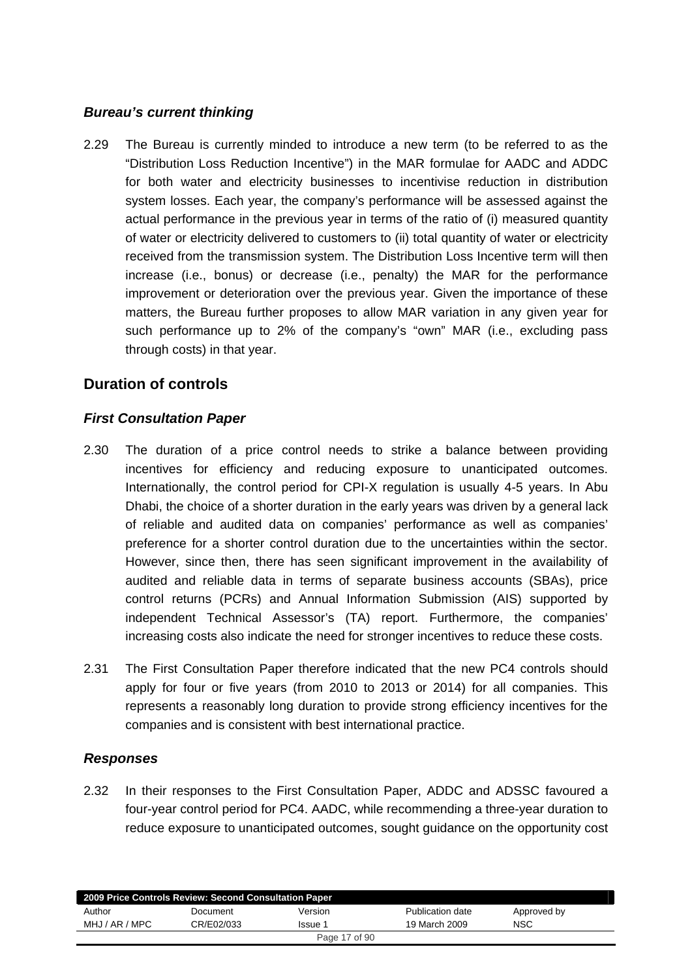#### *Bureau's current thinking*

2.29 The Bureau is currently minded to introduce a new term (to be referred to as the "Distribution Loss Reduction Incentive") in the MAR formulae for AADC and ADDC for both water and electricity businesses to incentivise reduction in distribution system losses. Each year, the company's performance will be assessed against the actual performance in the previous year in terms of the ratio of (i) measured quantity of water or electricity delivered to customers to (ii) total quantity of water or electricity received from the transmission system. The Distribution Loss Incentive term will then increase (i.e., bonus) or decrease (i.e., penalty) the MAR for the performance improvement or deterioration over the previous year. Given the importance of these matters, the Bureau further proposes to allow MAR variation in any given year for such performance up to 2% of the company's "own" MAR (i.e., excluding pass through costs) in that year.

# **Duration of controls**

## *First Consultation Paper*

- 2.30 The duration of a price control needs to strike a balance between providing incentives for efficiency and reducing exposure to unanticipated outcomes. Internationally, the control period for CPI-X regulation is usually 4-5 years. In Abu Dhabi, the choice of a shorter duration in the early years was driven by a general lack of reliable and audited data on companies' performance as well as companies' preference for a shorter control duration due to the uncertainties within the sector. However, since then, there has seen significant improvement in the availability of audited and reliable data in terms of separate business accounts (SBAs), price control returns (PCRs) and Annual Information Submission (AIS) supported by independent Technical Assessor's (TA) report. Furthermore, the companies' increasing costs also indicate the need for stronger incentives to reduce these costs.
- 2.31 The First Consultation Paper therefore indicated that the new PC4 controls should apply for four or five years (from 2010 to 2013 or 2014) for all companies. This represents a reasonably long duration to provide strong efficiency incentives for the companies and is consistent with best international practice.

## *Responses*

2.32 In their responses to the First Consultation Paper, ADDC and ADSSC favoured a four-year control period for PC4. AADC, while recommending a three-year duration to reduce exposure to unanticipated outcomes, sought guidance on the opportunity cost

| 2009 Price Controls Review: Second Consultation Paper |            |         |                  |             |  |
|-------------------------------------------------------|------------|---------|------------------|-------------|--|
| Author                                                | Document   | Version | Publication date | Approved by |  |
| MHJ / AR / MPC                                        | CR/E02/033 | Issue 1 | 19 March 2009    | <b>NSC</b>  |  |
| Page 17 of 90                                         |            |         |                  |             |  |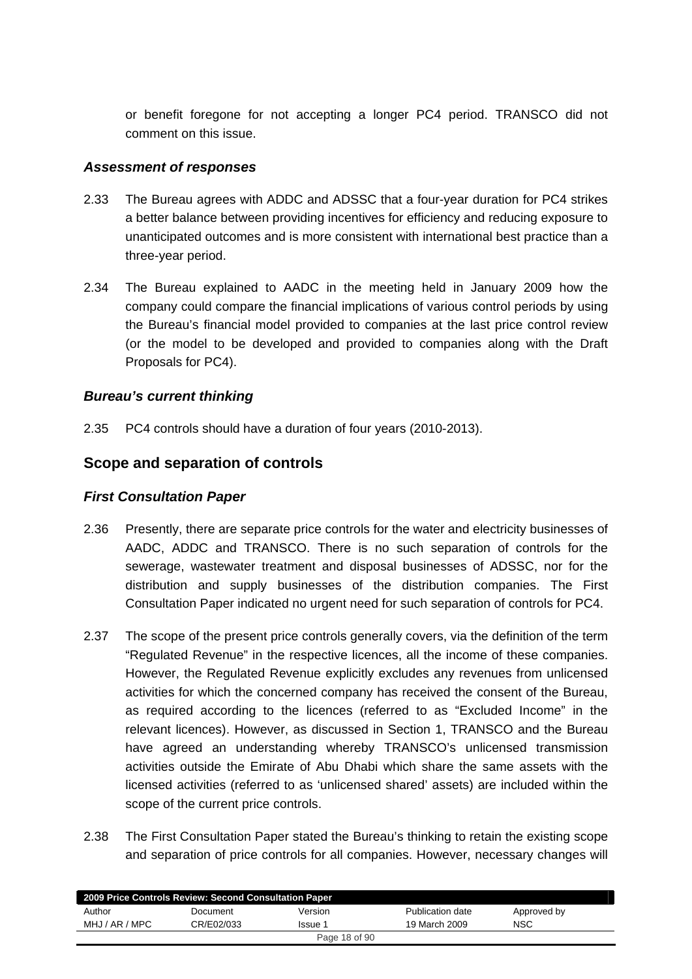or benefit foregone for not accepting a longer PC4 period. TRANSCO did not comment on this issue.

#### *Assessment of responses*

- 2.33 The Bureau agrees with ADDC and ADSSC that a four-year duration for PC4 strikes a better balance between providing incentives for efficiency and reducing exposure to unanticipated outcomes and is more consistent with international best practice than a three-year period.
- 2.34 The Bureau explained to AADC in the meeting held in January 2009 how the company could compare the financial implications of various control periods by using the Bureau's financial model provided to companies at the last price control review (or the model to be developed and provided to companies along with the Draft Proposals for PC4).

## *Bureau's current thinking*

2.35 PC4 controls should have a duration of four years (2010-2013).

# **Scope and separation of controls**

#### *First Consultation Paper*

- 2.36 Presently, there are separate price controls for the water and electricity businesses of AADC, ADDC and TRANSCO. There is no such separation of controls for the sewerage, wastewater treatment and disposal businesses of ADSSC, nor for the distribution and supply businesses of the distribution companies. The First Consultation Paper indicated no urgent need for such separation of controls for PC4.
- 2.37 The scope of the present price controls generally covers, via the definition of the term "Regulated Revenue" in the respective licences, all the income of these companies. However, the Regulated Revenue explicitly excludes any revenues from unlicensed activities for which the concerned company has received the consent of the Bureau, as required according to the licences (referred to as "Excluded Income" in the relevant licences). However, as discussed in Section 1, TRANSCO and the Bureau have agreed an understanding whereby TRANSCO's unlicensed transmission activities outside the Emirate of Abu Dhabi which share the same assets with the licensed activities (referred to as 'unlicensed shared' assets) are included within the scope of the current price controls.
- 2.38 The First Consultation Paper stated the Bureau's thinking to retain the existing scope and separation of price controls for all companies. However, necessary changes will

| 2009 Price Controls Review: Second Consultation Paper |            |         |                  |             |  |  |
|-------------------------------------------------------|------------|---------|------------------|-------------|--|--|
| Author                                                | Document   | Version | Publication date | Approved by |  |  |
| MHJ / AR / MPC                                        | CR/E02/033 | Issue 1 | 19 March 2009    | <b>NSC</b>  |  |  |
| Page 18 of 90                                         |            |         |                  |             |  |  |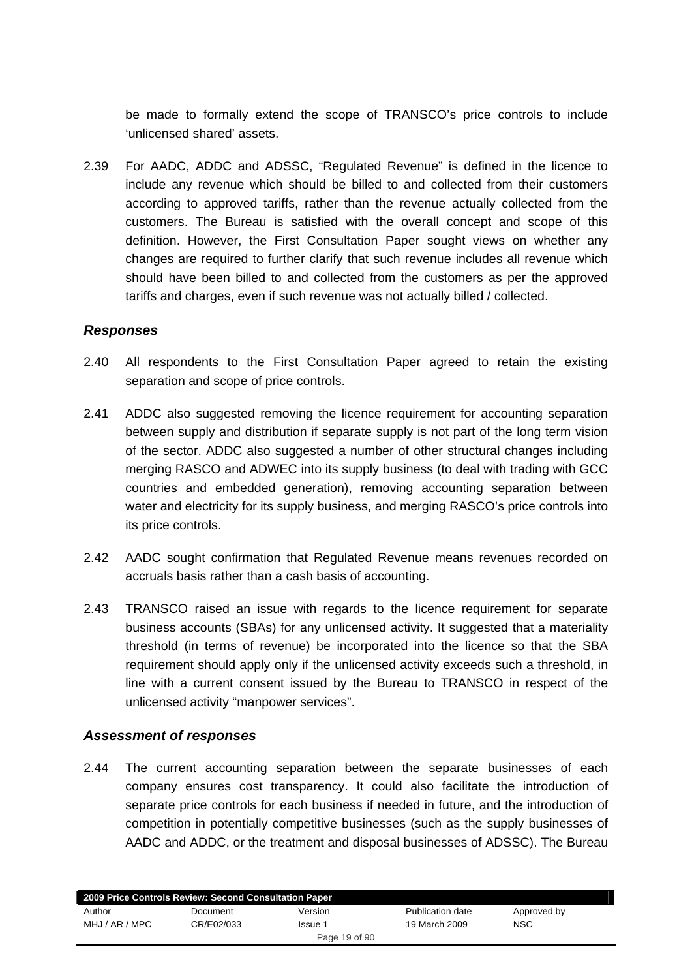be made to formally extend the scope of TRANSCO's price controls to include 'unlicensed shared' assets.

2.39 For AADC, ADDC and ADSSC, "Regulated Revenue" is defined in the licence to include any revenue which should be billed to and collected from their customers according to approved tariffs, rather than the revenue actually collected from the customers. The Bureau is satisfied with the overall concept and scope of this definition. However, the First Consultation Paper sought views on whether any changes are required to further clarify that such revenue includes all revenue which should have been billed to and collected from the customers as per the approved tariffs and charges, even if such revenue was not actually billed / collected.

#### *Responses*

- 2.40 All respondents to the First Consultation Paper agreed to retain the existing separation and scope of price controls.
- 2.41 ADDC also suggested removing the licence requirement for accounting separation between supply and distribution if separate supply is not part of the long term vision of the sector. ADDC also suggested a number of other structural changes including merging RASCO and ADWEC into its supply business (to deal with trading with GCC countries and embedded generation), removing accounting separation between water and electricity for its supply business, and merging RASCO's price controls into its price controls.
- 2.42 AADC sought confirmation that Regulated Revenue means revenues recorded on accruals basis rather than a cash basis of accounting.
- 2.43 TRANSCO raised an issue with regards to the licence requirement for separate business accounts (SBAs) for any unlicensed activity. It suggested that a materiality threshold (in terms of revenue) be incorporated into the licence so that the SBA requirement should apply only if the unlicensed activity exceeds such a threshold, in line with a current consent issued by the Bureau to TRANSCO in respect of the unlicensed activity "manpower services".

#### *Assessment of responses*

2.44 The current accounting separation between the separate businesses of each company ensures cost transparency. It could also facilitate the introduction of separate price controls for each business if needed in future, and the introduction of competition in potentially competitive businesses (such as the supply businesses of AADC and ADDC, or the treatment and disposal businesses of ADSSC). The Bureau

|                | 2009 Price Controls Review: Second Consultation Paper |               |                  |             |  |
|----------------|-------------------------------------------------------|---------------|------------------|-------------|--|
| Author         | Document                                              | Version       | Publication date | Approved by |  |
| MHJ / AR / MPC | CR/E02/033                                            | Issue 1       | 19 March 2009    | <b>NSC</b>  |  |
|                |                                                       | Page 19 of 90 |                  |             |  |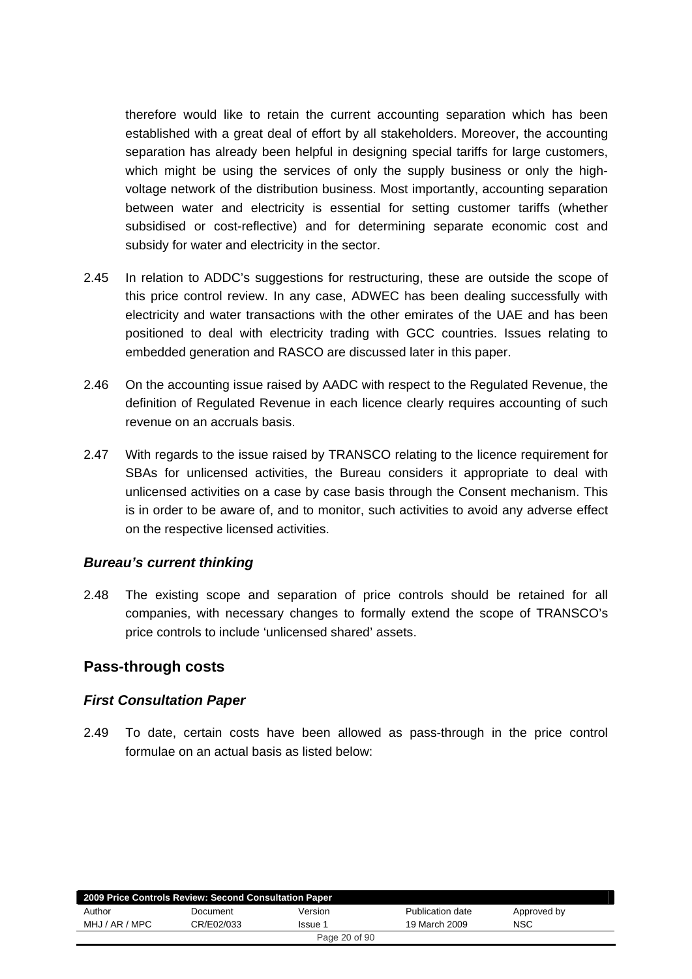therefore would like to retain the current accounting separation which has been established with a great deal of effort by all stakeholders. Moreover, the accounting separation has already been helpful in designing special tariffs for large customers, which might be using the services of only the supply business or only the highvoltage network of the distribution business. Most importantly, accounting separation between water and electricity is essential for setting customer tariffs (whether subsidised or cost-reflective) and for determining separate economic cost and subsidy for water and electricity in the sector.

- 2.45 In relation to ADDC's suggestions for restructuring, these are outside the scope of this price control review. In any case, ADWEC has been dealing successfully with electricity and water transactions with the other emirates of the UAE and has been positioned to deal with electricity trading with GCC countries. Issues relating to embedded generation and RASCO are discussed later in this paper.
- 2.46 On the accounting issue raised by AADC with respect to the Regulated Revenue, the definition of Regulated Revenue in each licence clearly requires accounting of such revenue on an accruals basis.
- 2.47 With regards to the issue raised by TRANSCO relating to the licence requirement for SBAs for unlicensed activities, the Bureau considers it appropriate to deal with unlicensed activities on a case by case basis through the Consent mechanism. This is in order to be aware of, and to monitor, such activities to avoid any adverse effect on the respective licensed activities.

#### *Bureau's current thinking*

2.48 The existing scope and separation of price controls should be retained for all companies, with necessary changes to formally extend the scope of TRANSCO's price controls to include 'unlicensed shared' assets.

#### **Pass-through costs**

#### *First Consultation Paper*

2.49 To date, certain costs have been allowed as pass-through in the price control formulae on an actual basis as listed below:

| 2009 Price Controls Review: Second Consultation Paper |            |               |                  |             |
|-------------------------------------------------------|------------|---------------|------------------|-------------|
| Author                                                | Document   | Version       | Publication date | Approved by |
| MHJ / AR / MPC                                        | CR/E02/033 | lssue 1       | 19 March 2009    | <b>NSC</b>  |
|                                                       |            | Page 20 of 90 |                  |             |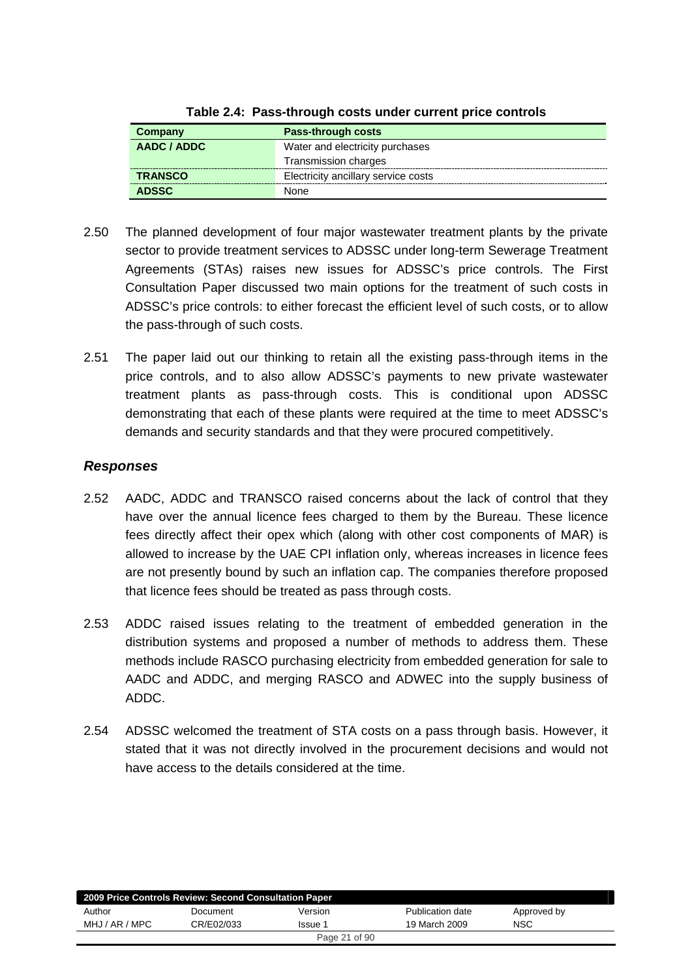| Company        | Pass-through costs                  |
|----------------|-------------------------------------|
| AADC / ADDC    | Water and electricity purchases     |
|                | Transmission charges                |
| <b>TRANSCO</b> | Electricity ancillary service costs |
| <b>ADSSC</b>   | None                                |

- 2.50 The planned development of four major wastewater treatment plants by the private sector to provide treatment services to ADSSC under long-term Sewerage Treatment Agreements (STAs) raises new issues for ADSSC's price controls. The First Consultation Paper discussed two main options for the treatment of such costs in ADSSC's price controls: to either forecast the efficient level of such costs, or to allow the pass-through of such costs.
- 2.51 The paper laid out our thinking to retain all the existing pass-through items in the price controls, and to also allow ADSSC's payments to new private wastewater treatment plants as pass-through costs. This is conditional upon ADSSC demonstrating that each of these plants were required at the time to meet ADSSC's demands and security standards and that they were procured competitively.

## *Responses*

- 2.52 AADC, ADDC and TRANSCO raised concerns about the lack of control that they have over the annual licence fees charged to them by the Bureau. These licence fees directly affect their opex which (along with other cost components of MAR) is allowed to increase by the UAE CPI inflation only, whereas increases in licence fees are not presently bound by such an inflation cap. The companies therefore proposed that licence fees should be treated as pass through costs.
- 2.53 ADDC raised issues relating to the treatment of embedded generation in the distribution systems and proposed a number of methods to address them. These methods include RASCO purchasing electricity from embedded generation for sale to AADC and ADDC, and merging RASCO and ADWEC into the supply business of ADDC.
- 2.54 ADSSC welcomed the treatment of STA costs on a pass through basis. However, it stated that it was not directly involved in the procurement decisions and would not have access to the details considered at the time.

|                | 2009 Price Controls Review: Second Consultation Paper |               |                  |             |  |
|----------------|-------------------------------------------------------|---------------|------------------|-------------|--|
| Author         | Document                                              | Version       | Publication date | Approved by |  |
| MHJ / AR / MPC | CR/E02/033                                            | Issue 1       | 19 March 2009    | NSC         |  |
|                |                                                       | Page 21 of 90 |                  |             |  |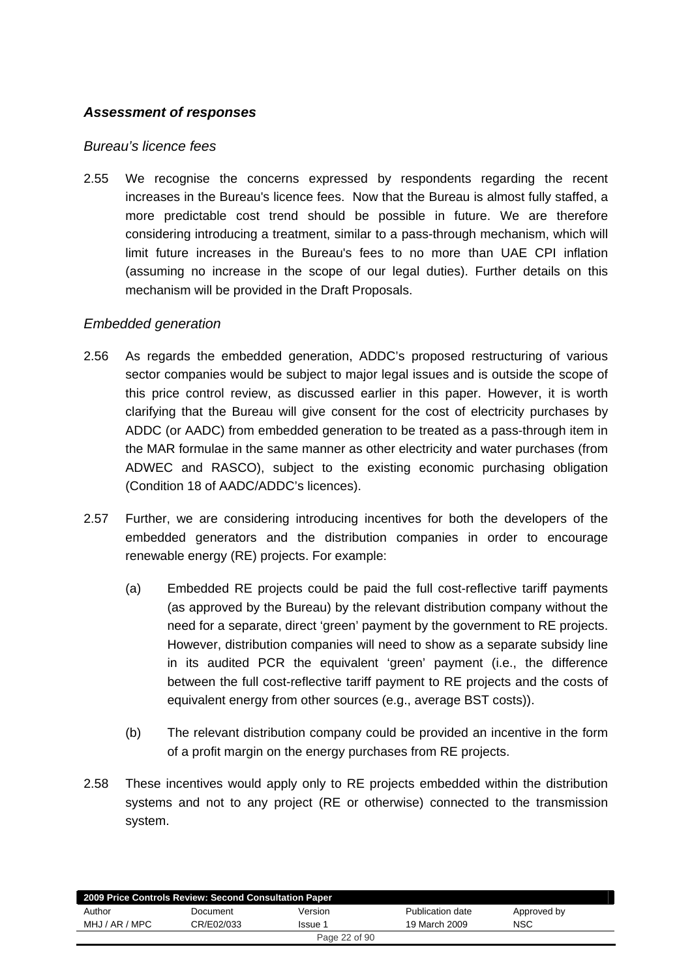## *Assessment of responses*

#### *Bureau's licence fees*

2.55 We recognise the concerns expressed by respondents regarding the recent increases in the Bureau's licence fees. Now that the Bureau is almost fully staffed, a more predictable cost trend should be possible in future. We are therefore considering introducing a treatment, similar to a pass-through mechanism, which will limit future increases in the Bureau's fees to no more than UAE CPI inflation (assuming no increase in the scope of our legal duties). Further details on this mechanism will be provided in the Draft Proposals.

#### *Embedded generation*

- 2.56 As regards the embedded generation, ADDC's proposed restructuring of various sector companies would be subject to major legal issues and is outside the scope of this price control review, as discussed earlier in this paper. However, it is worth clarifying that the Bureau will give consent for the cost of electricity purchases by ADDC (or AADC) from embedded generation to be treated as a pass-through item in the MAR formulae in the same manner as other electricity and water purchases (from ADWEC and RASCO), subject to the existing economic purchasing obligation (Condition 18 of AADC/ADDC's licences).
- 2.57 Further, we are considering introducing incentives for both the developers of the embedded generators and the distribution companies in order to encourage renewable energy (RE) projects. For example:
	- (a) Embedded RE projects could be paid the full cost-reflective tariff payments (as approved by the Bureau) by the relevant distribution company without the need for a separate, direct 'green' payment by the government to RE projects. However, distribution companies will need to show as a separate subsidy line in its audited PCR the equivalent 'green' payment (i.e., the difference between the full cost-reflective tariff payment to RE projects and the costs of equivalent energy from other sources (e.g., average BST costs)).
	- (b) The relevant distribution company could be provided an incentive in the form of a profit margin on the energy purchases from RE projects.
- 2.58 These incentives would apply only to RE projects embedded within the distribution systems and not to any project (RE or otherwise) connected to the transmission system.

|                | 2009 Price Controls Review: Second Consultation Paper |         |                  |             |  |
|----------------|-------------------------------------------------------|---------|------------------|-------------|--|
| Author         | Document                                              | Version | Publication date | Approved by |  |
| MHJ / AR / MPC | CR/E02/033                                            | Issue 1 | 19 March 2009    | <b>NSC</b>  |  |
| Page 22 of 90  |                                                       |         |                  |             |  |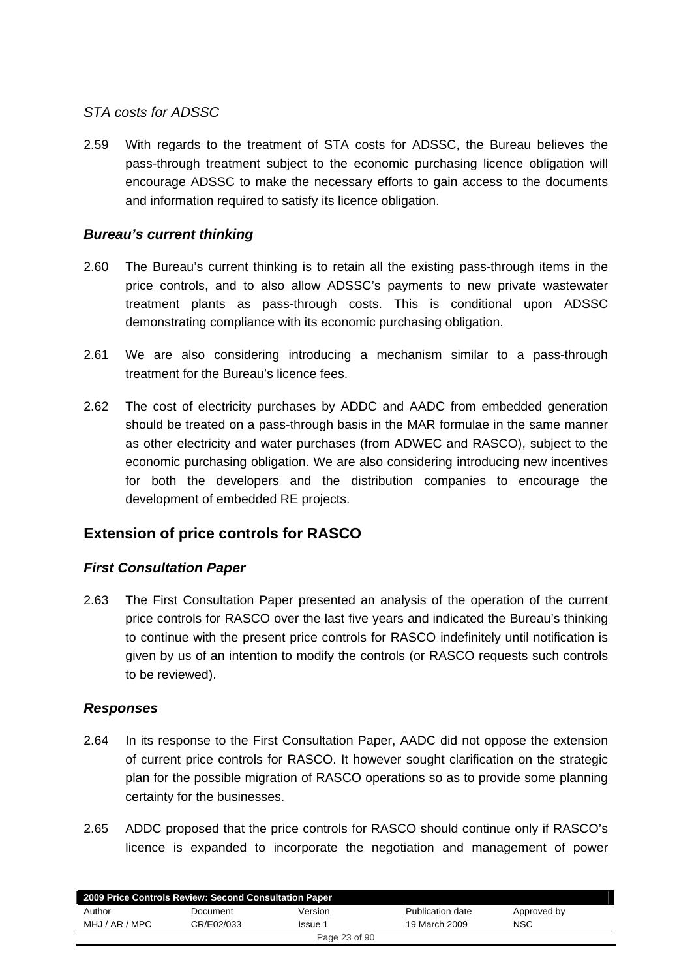#### *STA costs for ADSSC*

2.59 With regards to the treatment of STA costs for ADSSC, the Bureau believes the pass-through treatment subject to the economic purchasing licence obligation will encourage ADSSC to make the necessary efforts to gain access to the documents and information required to satisfy its licence obligation.

## *Bureau's current thinking*

- 2.60 The Bureau's current thinking is to retain all the existing pass-through items in the price controls, and to also allow ADSSC's payments to new private wastewater treatment plants as pass-through costs. This is conditional upon ADSSC demonstrating compliance with its economic purchasing obligation.
- 2.61 We are also considering introducing a mechanism similar to a pass-through treatment for the Bureau's licence fees.
- 2.62 The cost of electricity purchases by ADDC and AADC from embedded generation should be treated on a pass-through basis in the MAR formulae in the same manner as other electricity and water purchases (from ADWEC and RASCO), subject to the economic purchasing obligation. We are also considering introducing new incentives for both the developers and the distribution companies to encourage the development of embedded RE projects.

# **Extension of price controls for RASCO**

#### *First Consultation Paper*

2.63 The First Consultation Paper presented an analysis of the operation of the current price controls for RASCO over the last five years and indicated the Bureau's thinking to continue with the present price controls for RASCO indefinitely until notification is given by us of an intention to modify the controls (or RASCO requests such controls to be reviewed).

#### *Responses*

- 2.64 In its response to the First Consultation Paper, AADC did not oppose the extension of current price controls for RASCO. It however sought clarification on the strategic plan for the possible migration of RASCO operations so as to provide some planning certainty for the businesses.
- 2.65 ADDC proposed that the price controls for RASCO should continue only if RASCO's licence is expanded to incorporate the negotiation and management of power

| 2009 Price Controls Review: Second Consultation Paper |            |         |                  |             |  |  |
|-------------------------------------------------------|------------|---------|------------------|-------------|--|--|
| Author                                                | Document   | Version | Publication date | Approved by |  |  |
| MHJ / AR / MPC                                        | CR/E02/033 | Issue 1 | 19 March 2009    | <b>NSC</b>  |  |  |
| Page 23 of 90                                         |            |         |                  |             |  |  |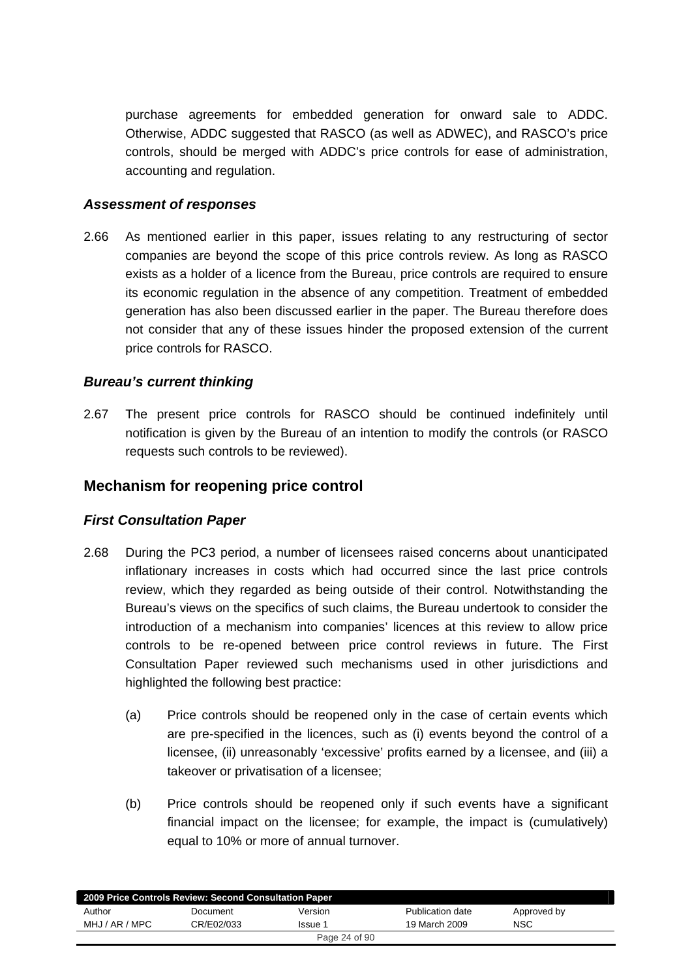purchase agreements for embedded generation for onward sale to ADDC. Otherwise, ADDC suggested that RASCO (as well as ADWEC), and RASCO's price controls, should be merged with ADDC's price controls for ease of administration, accounting and regulation.

#### *Assessment of responses*

2.66 As mentioned earlier in this paper, issues relating to any restructuring of sector companies are beyond the scope of this price controls review. As long as RASCO exists as a holder of a licence from the Bureau, price controls are required to ensure its economic regulation in the absence of any competition. Treatment of embedded generation has also been discussed earlier in the paper. The Bureau therefore does not consider that any of these issues hinder the proposed extension of the current price controls for RASCO.

#### *Bureau's current thinking*

2.67 The present price controls for RASCO should be continued indefinitely until notification is given by the Bureau of an intention to modify the controls (or RASCO requests such controls to be reviewed).

## **Mechanism for reopening price control**

#### *First Consultation Paper*

- 2.68 During the PC3 period, a number of licensees raised concerns about unanticipated inflationary increases in costs which had occurred since the last price controls review, which they regarded as being outside of their control. Notwithstanding the Bureau's views on the specifics of such claims, the Bureau undertook to consider the introduction of a mechanism into companies' licences at this review to allow price controls to be re-opened between price control reviews in future. The First Consultation Paper reviewed such mechanisms used in other jurisdictions and highlighted the following best practice:
	- (a) Price controls should be reopened only in the case of certain events which are pre-specified in the licences, such as (i) events beyond the control of a licensee, (ii) unreasonably 'excessive' profits earned by a licensee, and (iii) a takeover or privatisation of a licensee;
	- (b) Price controls should be reopened only if such events have a significant financial impact on the licensee; for example, the impact is (cumulatively) equal to 10% or more of annual turnover.

| 2009 Price Controls Review: Second Consultation Paper |            |         |                  |             |  |  |  |  |
|-------------------------------------------------------|------------|---------|------------------|-------------|--|--|--|--|
| Author                                                | Document   | Version | Publication date | Approved by |  |  |  |  |
| MHJ / AR / MPC                                        | CR/E02/033 | Issue 1 | 19 March 2009    | <b>NSC</b>  |  |  |  |  |
| Page 24 of 90                                         |            |         |                  |             |  |  |  |  |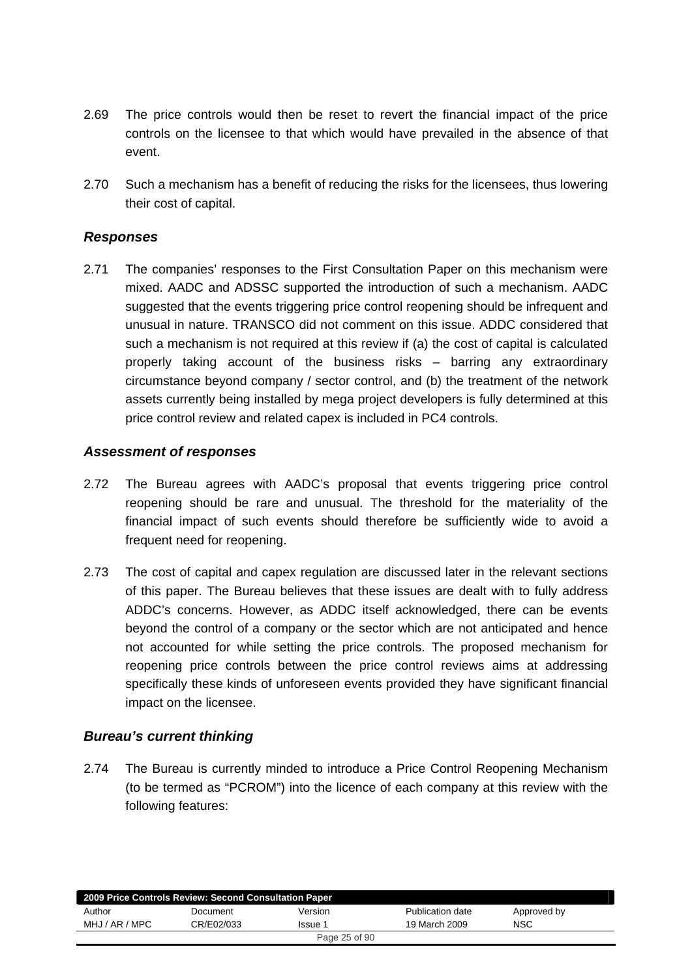- 2.69 The price controls would then be reset to revert the financial impact of the price controls on the licensee to that which would have prevailed in the absence of that event.
- 2.70 Such a mechanism has a benefit of reducing the risks for the licensees, thus lowering their cost of capital.

#### *Responses*

2.71 The companies' responses to the First Consultation Paper on this mechanism were mixed. AADC and ADSSC supported the introduction of such a mechanism. AADC suggested that the events triggering price control reopening should be infrequent and unusual in nature. TRANSCO did not comment on this issue. ADDC considered that such a mechanism is not required at this review if (a) the cost of capital is calculated properly taking account of the business risks – barring any extraordinary circumstance beyond company / sector control, and (b) the treatment of the network assets currently being installed by mega project developers is fully determined at this price control review and related capex is included in PC4 controls.

#### *Assessment of responses*

- 2.72 The Bureau agrees with AADC's proposal that events triggering price control reopening should be rare and unusual. The threshold for the materiality of the financial impact of such events should therefore be sufficiently wide to avoid a frequent need for reopening.
- 2.73 The cost of capital and capex regulation are discussed later in the relevant sections of this paper. The Bureau believes that these issues are dealt with to fully address ADDC's concerns. However, as ADDC itself acknowledged, there can be events beyond the control of a company or the sector which are not anticipated and hence not accounted for while setting the price controls. The proposed mechanism for reopening price controls between the price control reviews aims at addressing specifically these kinds of unforeseen events provided they have significant financial impact on the licensee.

#### *Bureau's current thinking*

2.74 The Bureau is currently minded to introduce a Price Control Reopening Mechanism (to be termed as "PCROM") into the licence of each company at this review with the following features:

| 2009 Price Controls Review: Second Consultation Paper |            |               |                  |             |  |  |  |  |
|-------------------------------------------------------|------------|---------------|------------------|-------------|--|--|--|--|
| Author                                                | Document   | Version       | Publication date | Approved by |  |  |  |  |
| MHJ / AR / MPC                                        | CR/E02/033 | Issue 1       | 19 March 2009    | <b>NSC</b>  |  |  |  |  |
|                                                       |            | Page 25 of 90 |                  |             |  |  |  |  |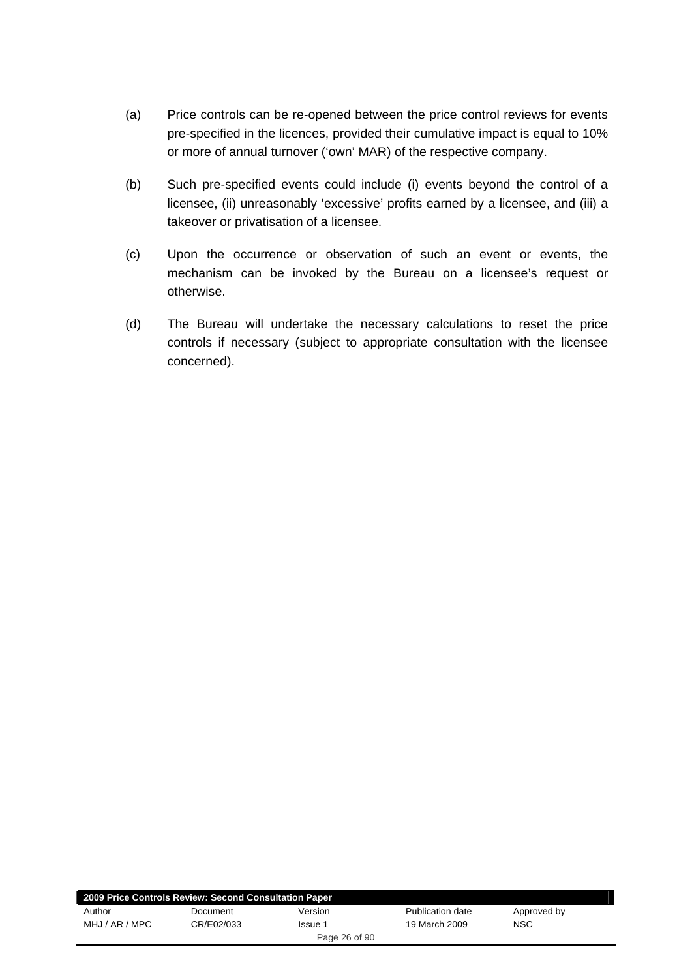- (a) Price controls can be re-opened between the price control reviews for events pre-specified in the licences, provided their cumulative impact is equal to 10% or more of annual turnover ('own' MAR) of the respective company.
- (b) Such pre-specified events could include (i) events beyond the control of a licensee, (ii) unreasonably 'excessive' profits earned by a licensee, and (iii) a takeover or privatisation of a licensee.
- (c) Upon the occurrence or observation of such an event or events, the mechanism can be invoked by the Bureau on a licensee's request or otherwise.
- (d) The Bureau will undertake the necessary calculations to reset the price controls if necessary (subject to appropriate consultation with the licensee concerned).

| 2009 Price Controls Review: Second Consultation Paper |            |         |                  |             |  |  |  |
|-------------------------------------------------------|------------|---------|------------------|-------------|--|--|--|
| Author                                                | Document   | Version | Publication date | Approved by |  |  |  |
| MHJ / AR / MPC                                        | CR/E02/033 | Issue 1 | 19 March 2009    | <b>NSC</b>  |  |  |  |
| Page 26 of 90                                         |            |         |                  |             |  |  |  |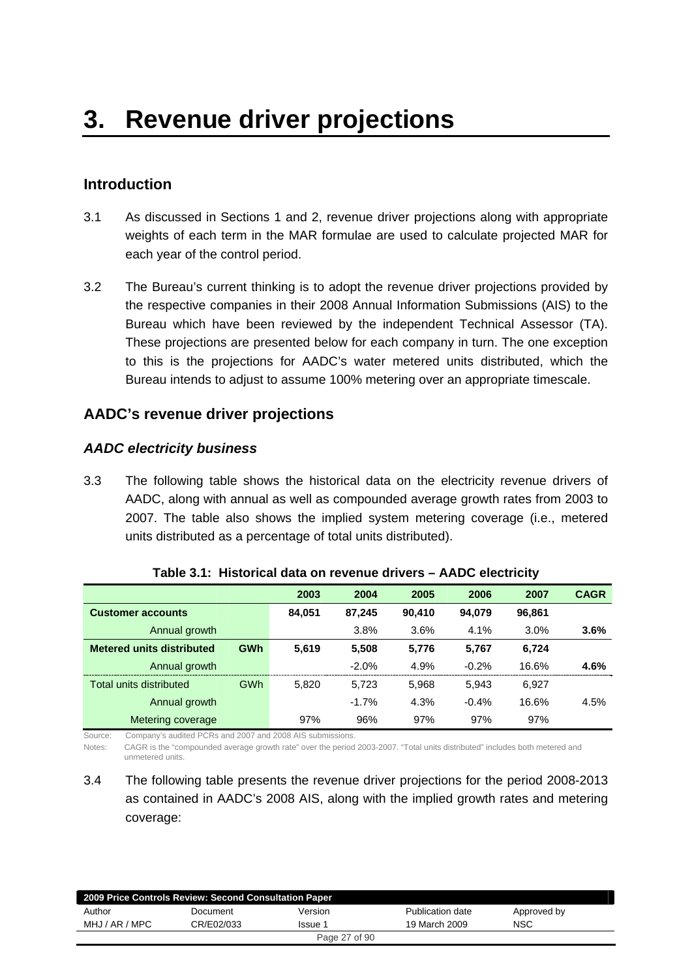# **Introduction**

- 3.1 As discussed in Sections 1 and 2, revenue driver projections along with appropriate weights of each term in the MAR formulae are used to calculate projected MAR for each year of the control period.
- 3.2 The Bureau's current thinking is to adopt the revenue driver projections provided by the respective companies in their 2008 Annual Information Submissions (AIS) to the Bureau which have been reviewed by the independent Technical Assessor (TA). These projections are presented below for each company in turn. The one exception to this is the projections for AADC's water metered units distributed, which the Bureau intends to adjust to assume 100% metering over an appropriate timescale.

## **AADC's revenue driver projections**

## *AADC electricity business*

3.3 The following table shows the historical data on the electricity revenue drivers of AADC, along with annual as well as compounded average growth rates from 2003 to 2007. The table also shows the implied system metering coverage (i.e., metered units distributed as a percentage of total units distributed).

|                                  |            | 2003   | 2004     | 2005   | 2006    | 2007   | <b>CAGR</b> |
|----------------------------------|------------|--------|----------|--------|---------|--------|-------------|
| <b>Customer accounts</b>         |            | 84.051 | 87.245   | 90.410 | 94.079  | 96,861 |             |
| Annual growth                    |            |        | 3.8%     | 3.6%   | 4.1%    | 3.0%   | 3.6%        |
| <b>Metered units distributed</b> | <b>GWh</b> | 5,619  | 5,508    | 5,776  | 5,767   | 6,724  |             |
| Annual growth                    |            |        | $-2.0\%$ | 4.9%   | $-0.2%$ | 16.6%  | 4.6%        |
| Total units distributed          | <b>GWh</b> | 5.820  | 5.723    | 5.968  | 5.943   | 6.927  |             |
| Annual growth                    |            |        | $-1.7%$  | 4.3%   | $-0.4%$ | 16.6%  | 4.5%        |
| Metering coverage                |            | 97%    | 96%      | 97%    | 97%     | 97%    |             |

**Table 3.1: Historical data on revenue drivers – AADC electricity** 

Source: Company's audited PCRs and 2007 and 2008 AIS submissions.

Notes: CAGR is the "compounded average growth rate" over the period 2003-2007. "Total units distributed" includes both metered and unmetered units.

3.4 The following table presents the revenue driver projections for the period 2008-2013 as contained in AADC's 2008 AIS, along with the implied growth rates and metering coverage:

| 2009 Price Controls Review: Second Consultation Paper |            |               |                  |             |  |  |  |  |
|-------------------------------------------------------|------------|---------------|------------------|-------------|--|--|--|--|
| Author                                                | Document   | Version       | Publication date | Approved by |  |  |  |  |
| MHJ / AR / MPC                                        | CR/E02/033 | Issue 1       | 19 March 2009    | NSC         |  |  |  |  |
|                                                       |            | Page 27 of 90 |                  |             |  |  |  |  |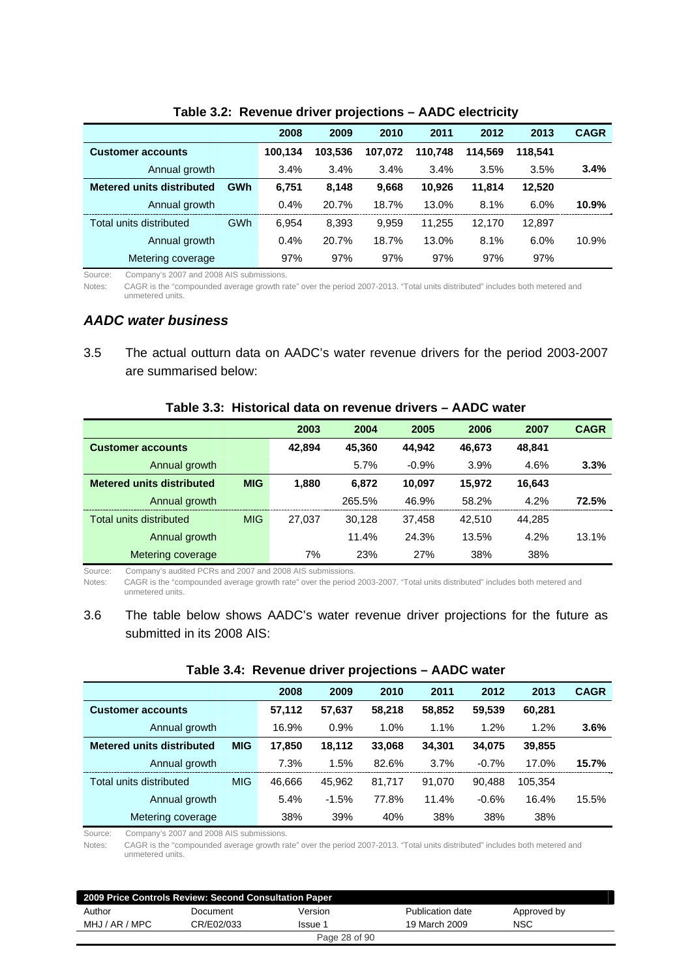|                                  |            | 2008    | 2009    | 2010    | 2011    | 2012    | 2013    | <b>CAGR</b> |
|----------------------------------|------------|---------|---------|---------|---------|---------|---------|-------------|
| <b>Customer accounts</b>         |            | 100.134 | 103.536 | 107.072 | 110.748 | 114.569 | 118.541 |             |
| Annual growth                    |            | 3.4%    | 3.4%    | 3.4%    | 3.4%    | 3.5%    | 3.5%    | 3.4%        |
| <b>Metered units distributed</b> | <b>GWh</b> | 6.751   | 8.148   | 9.668   | 10.926  | 11.814  | 12,520  |             |
| Annual growth                    |            | 0.4%    | 20.7%   | 18.7%   | 13.0%   | 8.1%    | 6.0%    | 10.9%       |
| Total units distributed          | GWh        | 6.954   | 8.393   | 9.959   | 11.255  | 12.170  | 12,897  |             |
| Annual growth                    |            | 0.4%    | 20.7%   | 18.7%   | 13.0%   | 8.1%    | 6.0%    | 10.9%       |
| Metering coverage                |            | 97%     | 97%     | 97%     | 97%     | 97%     | 97%     |             |

#### **Table 3.2: Revenue driver projections – AADC electricity**

Source: Company's 2007 and 2008 AIS submissions.

Notes: CAGR is the "compounded average growth rate" over the period 2007-2013. "Total units distributed" includes both metered and unmetered units.

#### *AADC water business*

3.5 The actual outturn data on AADC's water revenue drivers for the period 2003-2007 are summarised below:

|                                  |            | 2003   | 2004   | 2005    | 2006   | 2007   | <b>CAGR</b> |
|----------------------------------|------------|--------|--------|---------|--------|--------|-------------|
| <b>Customer accounts</b>         |            | 42.894 | 45.360 | 44.942  | 46,673 | 48,841 |             |
| Annual growth                    |            |        | 5.7%   | $-0.9%$ | 3.9%   | 4.6%   | 3.3%        |
| <b>Metered units distributed</b> | <b>MIG</b> | 1,880  | 6.872  | 10.097  | 15,972 | 16,643 |             |
| Annual growth                    |            |        | 265.5% | 46.9%   | 58.2%  | 4.2%   | 72.5%       |
| Total units distributed          | <b>MIG</b> | 27.037 | 30.128 | 37.458  | 42.510 | 44.285 |             |
| Annual growth                    |            |        | 11.4%  | 24.3%   | 13.5%  | 4.2%   | 13.1%       |
| Metering coverage                |            | 7%     | 23%    | 27%     | 38%    | 38%    |             |

#### **Table 3.3: Historical data on revenue drivers – AADC water**

Source: Company's audited PCRs and 2007 and 2008 AIS submissions.

Notes: CAGR is the "compounded average growth rate" over the period 2003-2007. "Total units distributed" includes both metered and unmetered units.

#### 3.6 The table below shows AADC's water revenue driver projections for the future as submitted in its 2008 AIS:

|                                  |            | 2008   | 2009    | 2010   | 2011   | 2012    | 2013    | <b>CAGR</b> |
|----------------------------------|------------|--------|---------|--------|--------|---------|---------|-------------|
| <b>Customer accounts</b>         |            | 57,112 | 57,637  | 58.218 | 58,852 | 59.539  | 60,281  |             |
| Annual growth                    |            | 16.9%  | 0.9%    | 1.0%   | 1.1%   | 1.2%    | 1.2%    | 3.6%        |
| <b>Metered units distributed</b> | <b>MIG</b> | 17.850 | 18.112  | 33,068 | 34.301 | 34.075  | 39,855  |             |
| Annual growth                    |            | 7.3%   | 1.5%    | 82.6%  | 3.7%   | $-0.7%$ | 17.0%   | 15.7%       |
| Total units distributed          | <b>MIG</b> | 46.666 | 45.962  | 81,717 | 91,070 | 90.488  | 105,354 |             |
| Annual growth                    |            | 5.4%   | $-1.5%$ | 77.8%  | 11.4%  | $-0.6%$ | 16.4%   | 15.5%       |
| Metering coverage                |            | 38%    | 39%     | 40%    | 38%    | 38%     | 38%     |             |

#### **Table 3.4: Revenue driver projections – AADC water**

Source: Company's 2007 and 2008 AIS submissions.

Notes: CAGR is the "compounded average growth rate" over the period 2007-2013. "Total units distributed" includes both metered and unmetered units.

| 2009 Price Controls Review: Second Consultation Paper |                       |               |                  |             |  |  |  |  |
|-------------------------------------------------------|-----------------------|---------------|------------------|-------------|--|--|--|--|
| Author                                                | Document              | Version       | Publication date | Approved by |  |  |  |  |
| MHJ / AR / MPC                                        | CR/E02/033<br>Issue 1 |               | 19 March 2009    | <b>NSC</b>  |  |  |  |  |
|                                                       |                       | Page 28 of 90 |                  |             |  |  |  |  |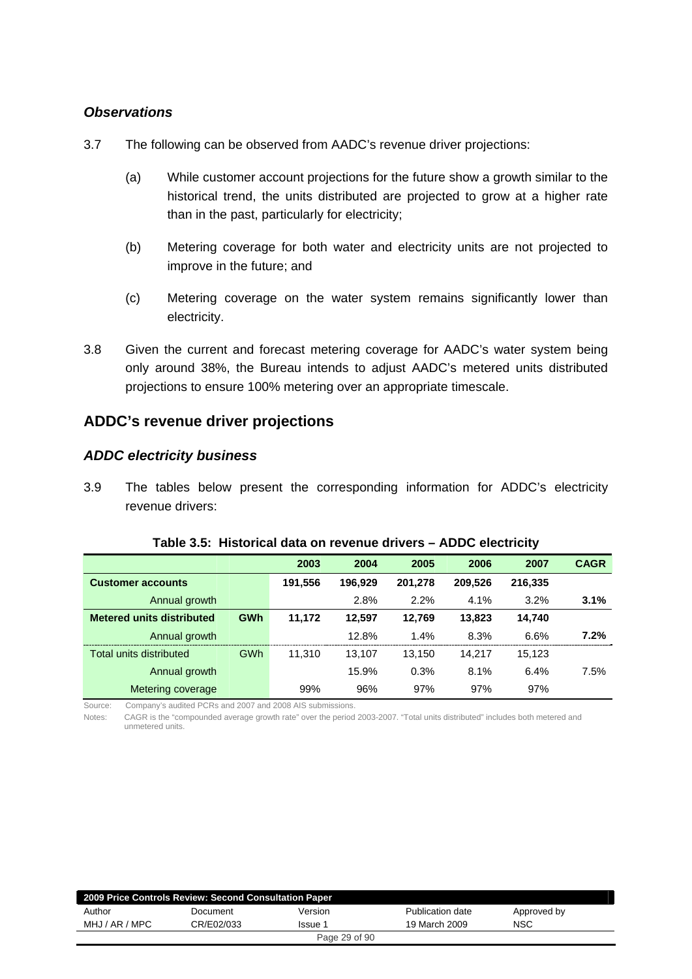#### *Observations*

- 3.7 The following can be observed from AADC's revenue driver projections:
	- (a) While customer account projections for the future show a growth similar to the historical trend, the units distributed are projected to grow at a higher rate than in the past, particularly for electricity;
	- (b) Metering coverage for both water and electricity units are not projected to improve in the future; and
	- (c) Metering coverage on the water system remains significantly lower than electricity.
- 3.8 Given the current and forecast metering coverage for AADC's water system being only around 38%, the Bureau intends to adjust AADC's metered units distributed projections to ensure 100% metering over an appropriate timescale.

## **ADDC's revenue driver projections**

#### *ADDC electricity business*

3.9 The tables below present the corresponding information for ADDC's electricity revenue drivers:

|                                  |            | 2003    | 2004    | 2005    | 2006    | 2007    | <b>CAGR</b> |
|----------------------------------|------------|---------|---------|---------|---------|---------|-------------|
| <b>Customer accounts</b>         |            | 191,556 | 196.929 | 201,278 | 209,526 | 216.335 |             |
| Annual growth                    |            |         | 2.8%    | 2.2%    | 4.1%    | 3.2%    | 3.1%        |
| <b>Metered units distributed</b> | <b>GWh</b> | 11.172  | 12.597  | 12,769  | 13.823  | 14,740  |             |
| Annual growth                    |            |         | 12.8%   | 1.4%    | 8.3%    | 6.6%    | 7.2%        |
| Total units distributed          | <b>GWh</b> | 11.310  | 13.107  | 13,150  | 14.217  | 15,123  |             |
| Annual growth                    |            |         | 15.9%   | 0.3%    | 8.1%    | 6.4%    | 7.5%        |
| Metering coverage                |            | 99%     | 96%     | 97%     | 97%     | 97%     |             |

#### **Table 3.5: Historical data on revenue drivers – ADDC electricity**

Source: Company's audited PCRs and 2007 and 2008 AIS submissions.

Notes: CAGR is the "compounded average growth rate" over the period 2003-2007. "Total units distributed" includes both metered and unmetered units.

| 2009 Price Controls Review: Second Consultation Paper |            |               |                  |             |  |  |  |
|-------------------------------------------------------|------------|---------------|------------------|-------------|--|--|--|
| Author                                                | Document   | Version       | Publication date | Approved by |  |  |  |
| MHJ / AR / MPC                                        | CR/E02/033 | Issue 1       | 19 March 2009    | NSC         |  |  |  |
|                                                       |            | Page 29 of 90 |                  |             |  |  |  |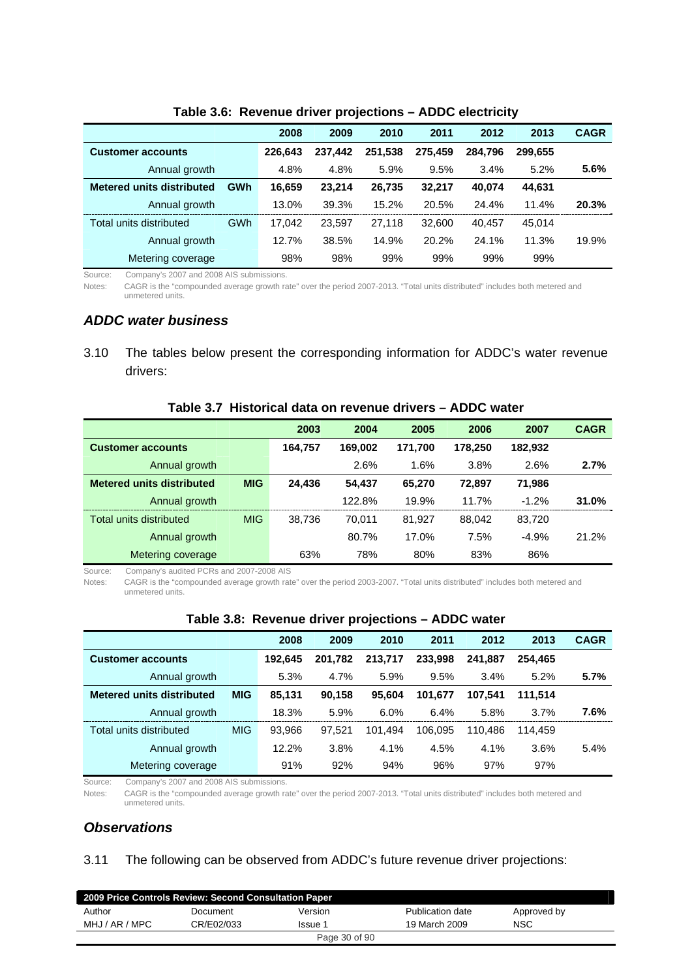|                                  |            | 2008    | 2009    | 2010    | 2011    | 2012    | 2013    | <b>CAGR</b> |
|----------------------------------|------------|---------|---------|---------|---------|---------|---------|-------------|
| <b>Customer accounts</b>         |            | 226.643 | 237.442 | 251.538 | 275.459 | 284.796 | 299.655 |             |
| Annual growth                    |            | 4.8%    | 4.8%    | 5.9%    | 9.5%    | 3.4%    | 5.2%    | 5.6%        |
| <b>Metered units distributed</b> | <b>GWh</b> | 16.659  | 23.214  | 26,735  | 32.217  | 40.074  | 44,631  |             |
| Annual growth                    |            | 13.0%   | 39.3%   | 15.2%   | 20.5%   | 24.4%   | 11.4%   | 20.3%       |
| Total units distributed          | <b>GWh</b> | 17.042  | 23.597  | 27,118  | 32,600  | 40.457  | 45.014  |             |
| Annual growth                    |            | 12.7%   | 38.5%   | 14.9%   | 20.2%   | 24.1%   | 11.3%   | 19.9%       |
| Metering coverage                |            | 98%     | 98%     | 99%     | 99%     | 99%     | 99%     |             |

#### **Table 3.6: Revenue driver projections – ADDC electricity**

Source: Company's 2007 and 2008 AIS submissions.

Notes: CAGR is the "compounded average growth rate" over the period 2007-2013. "Total units distributed" includes both metered and unmetered units.

#### *ADDC water business*

3.10 The tables below present the corresponding information for ADDC's water revenue drivers:

#### **Table 3.7 Historical data on revenue drivers – ADDC water**

|                                  |            | 2003    | 2004    | 2005    | 2006    | 2007    | <b>CAGR</b> |
|----------------------------------|------------|---------|---------|---------|---------|---------|-------------|
| <b>Customer accounts</b>         |            | 164,757 | 169.002 | 171,700 | 178,250 | 182,932 |             |
| Annual growth                    |            |         | 2.6%    | 1.6%    | 3.8%    | 2.6%    | 2.7%        |
| <b>Metered units distributed</b> | <b>MIG</b> | 24.436  | 54.437  | 65.270  | 72,897  | 71,986  |             |
| Annual growth                    |            |         | 122.8%  | 19.9%   | 11.7%   | $-1.2%$ | 31.0%       |
| Total units distributed          | <b>MIG</b> | 38.736  | 70.011  | 81.927  | 88.042  | 83,720  |             |
| Annual growth                    |            |         | 80.7%   | 17.0%   | 7.5%    | $-4.9%$ | 21.2%       |
| Metering coverage                |            | 63%     | 78%     | 80%     | 83%     | 86%     |             |

Source: Company's audited PCRs and 2007-2008 AIS

Notes: CAGR is the "compounded average growth rate" over the period 2003-2007. "Total units distributed" includes both metered and unmetered units.

|                                  |            | 2008    | 2009    | 2010    | 2011    | 2012    | 2013    | <b>CAGR</b> |
|----------------------------------|------------|---------|---------|---------|---------|---------|---------|-------------|
| <b>Customer accounts</b>         |            | 192,645 | 201.782 | 213.717 | 233.998 | 241.887 | 254.465 |             |
| Annual growth                    |            | 5.3%    | 4.7%    | 5.9%    | 9.5%    | 3.4%    | 5.2%    | 5.7%        |
| <b>Metered units distributed</b> | <b>MIG</b> | 85,131  | 90,158  | 95.604  | 101.677 | 107.541 | 111.514 |             |
| Annual growth                    |            | 18.3%   | 5.9%    | 6.0%    | 6.4%    | 5.8%    | 3.7%    | 7.6%        |
| Total units distributed          | <b>MIG</b> | 93.966  | 97.521  | 101.494 | 106.095 | 110.486 | 114.459 |             |
| Annual growth                    |            | 12.2%   | 3.8%    | 4.1%    | 4.5%    | 4.1%    | 3.6%    | 5.4%        |
| Metering coverage                |            | 91%     | 92%     | 94%     | 96%     | 97%     | 97%     |             |

#### **Table 3.8: Revenue driver projections – ADDC water**

Source: Company's 2007 and 2008 AIS submissions.

Notes: CAGR is the "compounded average growth rate" over the period 2007-2013. "Total units distributed" includes both metered and unmetered units.

#### *Observations*

#### 3.11 The following can be observed from ADDC's future revenue driver projections:

| 2009 Price Controls Review: Second Consultation Paper |            |               |                  |             |  |  |  |  |
|-------------------------------------------------------|------------|---------------|------------------|-------------|--|--|--|--|
| Author                                                | Document   | Version       | Publication date | Approved by |  |  |  |  |
| MHJ / AR / MPC                                        | CR/E02/033 | Issue 1       | 19 March 2009    | <b>NSC</b>  |  |  |  |  |
|                                                       |            | Page 30 of 90 |                  |             |  |  |  |  |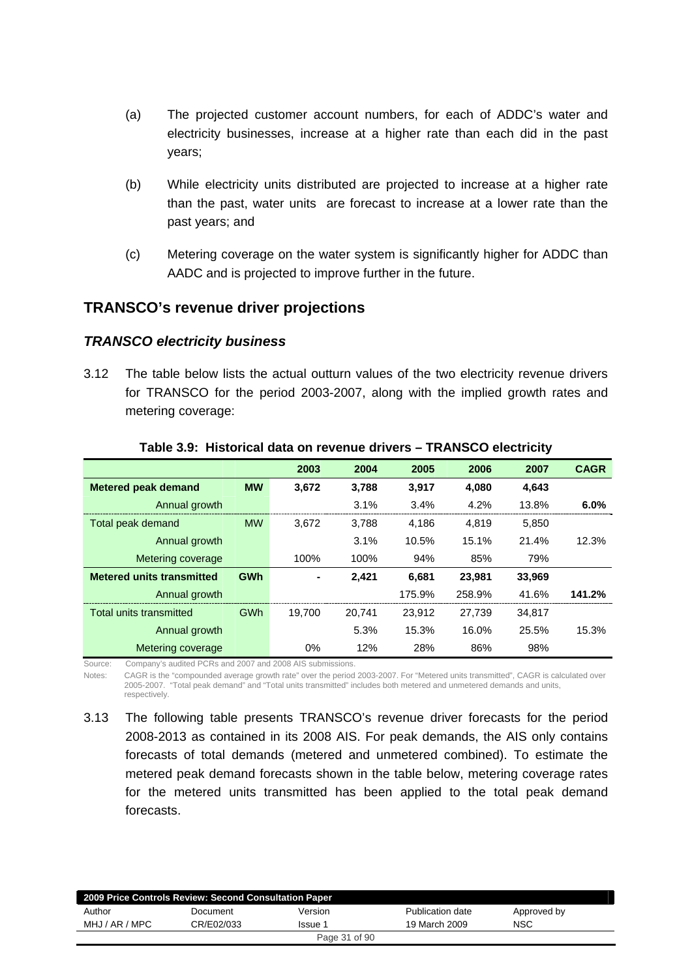- (a) The projected customer account numbers, for each of ADDC's water and electricity businesses, increase at a higher rate than each did in the past years;
- (b) While electricity units distributed are projected to increase at a higher rate than the past, water units are forecast to increase at a lower rate than the past years; and
- (c) Metering coverage on the water system is significantly higher for ADDC than AADC and is projected to improve further in the future.

## **TRANSCO's revenue driver projections**

#### *TRANSCO electricity business*

3.12 The table below lists the actual outturn values of the two electricity revenue drivers for TRANSCO for the period 2003-2007, along with the implied growth rates and metering coverage:

|                                  |            | 2003   | 2004   | 2005   | 2006   | 2007   | <b>CAGR</b> |
|----------------------------------|------------|--------|--------|--------|--------|--------|-------------|
| <b>Metered peak demand</b>       | <b>MW</b>  | 3,672  | 3,788  | 3.917  | 4,080  | 4,643  |             |
| Annual growth                    |            |        | 3.1%   | 3.4%   | 4.2%   | 13.8%  | 6.0%        |
| Total peak demand                | <b>MW</b>  | 3.672  | 3.788  | 4.186  | 4.819  | 5.850  |             |
| Annual growth                    |            |        | 3.1%   | 10.5%  | 15.1%  | 21.4%  | 12.3%       |
| Metering coverage                |            | 100%   | 100%   | 94%    | 85%    | 79%    |             |
| <b>Metered units transmitted</b> | <b>GWh</b> | ۰      | 2.421  | 6.681  | 23,981 | 33,969 |             |
| Annual growth                    |            |        |        | 175.9% | 258.9% | 41.6%  | 141.2%      |
| Total units transmitted          | <b>GWh</b> | 19.700 | 20.741 | 23.912 | 27.739 | 34.817 |             |
| Annual growth                    |            |        | 5.3%   | 15.3%  | 16.0%  | 25.5%  | 15.3%       |
| Metering coverage                |            | $0\%$  | 12%    | 28%    | 86%    | 98%    |             |

#### **Table 3.9: Historical data on revenue drivers – TRANSCO electricity**

Source: Company's audited PCRs and 2007 and 2008 AIS submissions.

Notes: CAGR is the "compounded average growth rate" over the period 2003-2007. For "Metered units transmitted", CAGR is calculated over 2005-2007. "Total peak demand" and "Total units transmitted" includes both metered and unmetered demands and units, respectively.

3.13 The following table presents TRANSCO's revenue driver forecasts for the period 2008-2013 as contained in its 2008 AIS. For peak demands, the AIS only contains forecasts of total demands (metered and unmetered combined). To estimate the metered peak demand forecasts shown in the table below, metering coverage rates for the metered units transmitted has been applied to the total peak demand forecasts.

| 2009 Price Controls Review: Second Consultation Paper |            |               |                  |             |  |  |  |
|-------------------------------------------------------|------------|---------------|------------------|-------------|--|--|--|
| Author                                                | Document   | Version       | Publication date | Approved by |  |  |  |
| MHJ / AR / MPC                                        | CR/E02/033 | Issue 1       | 19 March 2009    | NSC         |  |  |  |
|                                                       |            | Page 31 of 90 |                  |             |  |  |  |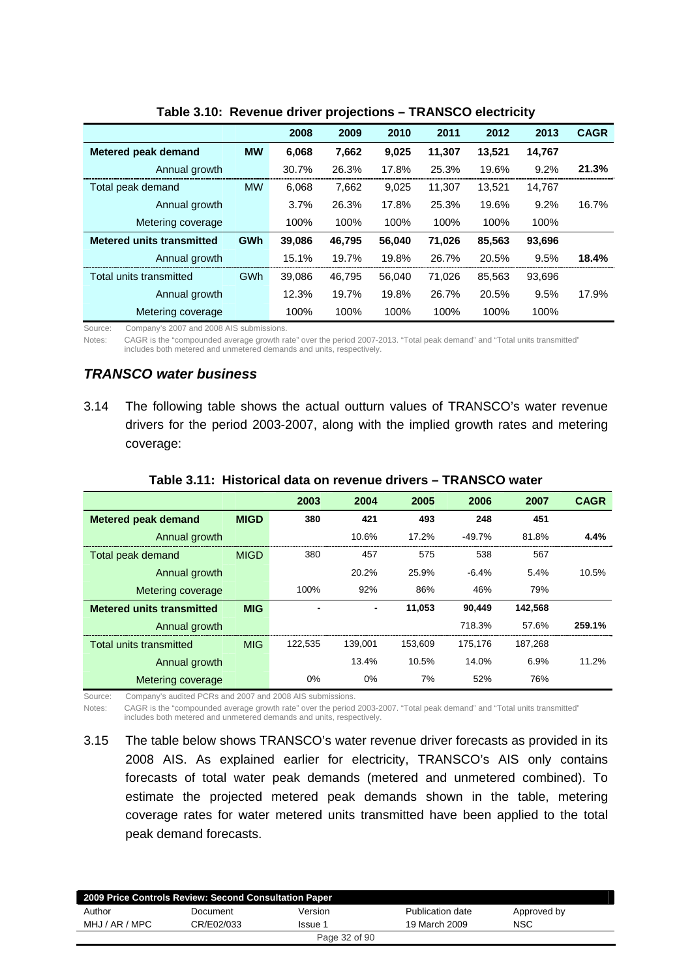|                                  |            | 2008   | 2009   | 2010   | 2011   | 2012   | 2013   | <b>CAGR</b> |
|----------------------------------|------------|--------|--------|--------|--------|--------|--------|-------------|
| <b>Metered peak demand</b>       | <b>MW</b>  | 6,068  | 7.662  | 9,025  | 11,307 | 13,521 | 14,767 |             |
| Annual growth                    |            | 30.7%  | 26.3%  | 17.8%  | 25.3%  | 19.6%  | 9.2%   | 21.3%       |
| Total peak demand                | <b>MW</b>  | 6,068  | 7,662  | 9.025  | 11.307 | 13.521 | 14,767 |             |
| Annual growth                    |            | 3.7%   | 26.3%  | 17.8%  | 25.3%  | 19.6%  | 9.2%   | 16.7%       |
| Metering coverage                |            | 100%   | 100%   | 100%   | 100%   | 100%   | 100%   |             |
| <b>Metered units transmitted</b> | <b>GWh</b> | 39,086 | 46.795 | 56.040 | 71,026 | 85.563 | 93,696 |             |
| Annual growth                    |            | 15.1%  | 19.7%  | 19.8%  | 26.7%  | 20.5%  | 9.5%   | 18.4%       |
| Total units transmitted          | GWh        | 39,086 | 46.795 | 56.040 | 71.026 | 85.563 | 93.696 |             |
| Annual growth                    |            | 12.3%  | 19.7%  | 19.8%  | 26.7%  | 20.5%  | 9.5%   | 17.9%       |
| Metering coverage                |            | 100%   | 100%   | 100%   | 100%   | 100%   | 100%   |             |

#### **Table 3.10: Revenue driver projections – TRANSCO electricity**

Source: Company's 2007 and 2008 AIS submissions.

Notes: CAGR is the "compounded average growth rate" over the period 2007-2013. "Total peak demand" and "Total units transmitted" includes both metered and unmetered demands and units, respectively.

#### *TRANSCO water business*

3.14 The following table shows the actual outturn values of TRANSCO's water revenue drivers for the period 2003-2007, along with the implied growth rates and metering coverage:

|                                  |             | 2003    | 2004    | 2005    | 2006      | 2007    | <b>CAGR</b> |
|----------------------------------|-------------|---------|---------|---------|-----------|---------|-------------|
| <b>Metered peak demand</b>       | <b>MIGD</b> | 380     | 421     | 493     | 248       | 451     |             |
| Annual growth                    |             |         | 10.6%   | 17.2%   | $-49.7\%$ | 81.8%   | 4.4%        |
| Total peak demand                | <b>MIGD</b> | 380     | 457     | 575     | 538       | 567     |             |
| Annual growth                    |             |         | 20.2%   | 25.9%   | $-6.4\%$  | 5.4%    | 10.5%       |
| Metering coverage                |             | 100%    | 92%     | 86%     | 46%       | 79%     |             |
| <b>Metered units transmitted</b> | <b>MIG</b>  |         | -       | 11,053  | 90.449    | 142,568 |             |
| Annual growth                    |             |         |         |         | 718.3%    | 57.6%   | 259.1%      |
| Total units transmitted          | <b>MIG</b>  | 122.535 | 139.001 | 153.609 | 175.176   | 187.268 |             |
| Annual growth                    |             |         | 13.4%   | 10.5%   | 14.0%     | 6.9%    | 11.2%       |
| Metering coverage                |             | 0%      | 0%      | 7%      | 52%       | 76%     |             |

#### **Table 3.11: Historical data on revenue drivers – TRANSCO water**

Source: Company's audited PCRs and 2007 and 2008 AIS submissions.

Notes: CAGR is the "compounded average growth rate" over the period 2003-2007. "Total peak demand" and "Total units transmitted" includes both metered and unmetered demands and units, respectively.

3.15 The table below shows TRANSCO's water revenue driver forecasts as provided in its 2008 AIS. As explained earlier for electricity, TRANSCO's AIS only contains forecasts of total water peak demands (metered and unmetered combined). To estimate the projected metered peak demands shown in the table, metering coverage rates for water metered units transmitted have been applied to the total peak demand forecasts.

| 2009 Price Controls Review: Second Consultation Paper |            |               |                  |             |  |  |  |  |
|-------------------------------------------------------|------------|---------------|------------------|-------------|--|--|--|--|
| Author                                                | Document   | Version       | Publication date | Approved by |  |  |  |  |
| MHJ / AR / MPC                                        | CR/E02/033 | Issue 1       | 19 March 2009    | NSC         |  |  |  |  |
|                                                       |            | Page 32 of 90 |                  |             |  |  |  |  |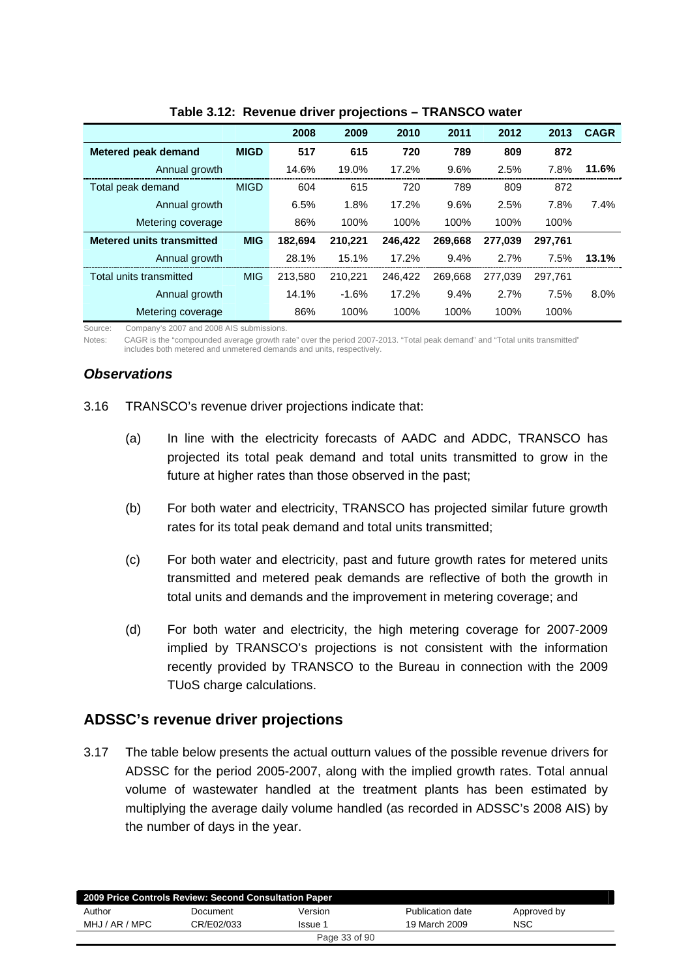|                                  |             | 2008    | 2009    | 2010    | 2011    | 2012    | 2013    | <b>CAGR</b> |
|----------------------------------|-------------|---------|---------|---------|---------|---------|---------|-------------|
| <b>Metered peak demand</b>       | <b>MIGD</b> | 517     | 615     | 720     | 789     | 809     | 872     |             |
| Annual growth                    |             | 14.6%   | 19.0%   | 17.2%   | 9.6%    | 2.5%    | 7.8%    | 11.6%       |
| Total peak demand                | <b>MIGD</b> | 604     | 615     | 720     | 789     | 809     | 872     |             |
| Annual growth                    |             | 6.5%    | 1.8%    | 17.2%   | 9.6%    | 2.5%    | 7.8%    | 7.4%        |
| Metering coverage                |             | 86%     | 100%    | 100%    | 100%    | 100%    | 100%    |             |
| <b>Metered units transmitted</b> | <b>MIG</b>  | 182.694 | 210,221 | 246,422 | 269.668 | 277.039 | 297.761 |             |
| Annual growth                    |             | 28.1%   | 15.1%   | 17.2%   | 9.4%    | 2.7%    | 7.5%    | 13.1%       |
| Total units transmitted          | <b>MIG</b>  | 213,580 | 210,221 | 246,422 | 269.668 | 277.039 | 297,761 |             |
| Annual growth                    |             | 14.1%   | $-1.6%$ | 17.2%   | 9.4%    | 2.7%    | 7.5%    | 8.0%        |
| Metering coverage                |             | 86%     | 100%    | 100%    | 100%    | 100%    | 100%    |             |

**Table 3.12: Revenue driver projections – TRANSCO water** 

Source: Company's 2007 and 2008 AIS submissions.

Notes: CAGR is the "compounded average growth rate" over the period 2007-2013. "Total peak demand" and "Total units transmitted" includes both metered and unmetered demands and units, respectively.

## *Observations*

- 3.16 TRANSCO's revenue driver projections indicate that:
	- (a) In line with the electricity forecasts of AADC and ADDC, TRANSCO has projected its total peak demand and total units transmitted to grow in the future at higher rates than those observed in the past;
	- (b) For both water and electricity, TRANSCO has projected similar future growth rates for its total peak demand and total units transmitted;
	- (c) For both water and electricity, past and future growth rates for metered units transmitted and metered peak demands are reflective of both the growth in total units and demands and the improvement in metering coverage; and
	- (d) For both water and electricity, the high metering coverage for 2007-2009 implied by TRANSCO's projections is not consistent with the information recently provided by TRANSCO to the Bureau in connection with the 2009 TUoS charge calculations.

#### **ADSSC's revenue driver projections**

3.17 The table below presents the actual outturn values of the possible revenue drivers for ADSSC for the period 2005-2007, along with the implied growth rates. Total annual volume of wastewater handled at the treatment plants has been estimated by multiplying the average daily volume handled (as recorded in ADSSC's 2008 AIS) by the number of days in the year.

| 2009 Price Controls Review: Second Consultation Paper |            |               |                  |             |  |  |  |  |
|-------------------------------------------------------|------------|---------------|------------------|-------------|--|--|--|--|
| Author                                                | Document   | Version       | Publication date | Approved by |  |  |  |  |
| MHJ / AR / MPC                                        | CR/E02/033 | Issue 1       | 19 March 2009    | <b>NSC</b>  |  |  |  |  |
|                                                       |            | Page 33 of 90 |                  |             |  |  |  |  |
|                                                       |            |               |                  |             |  |  |  |  |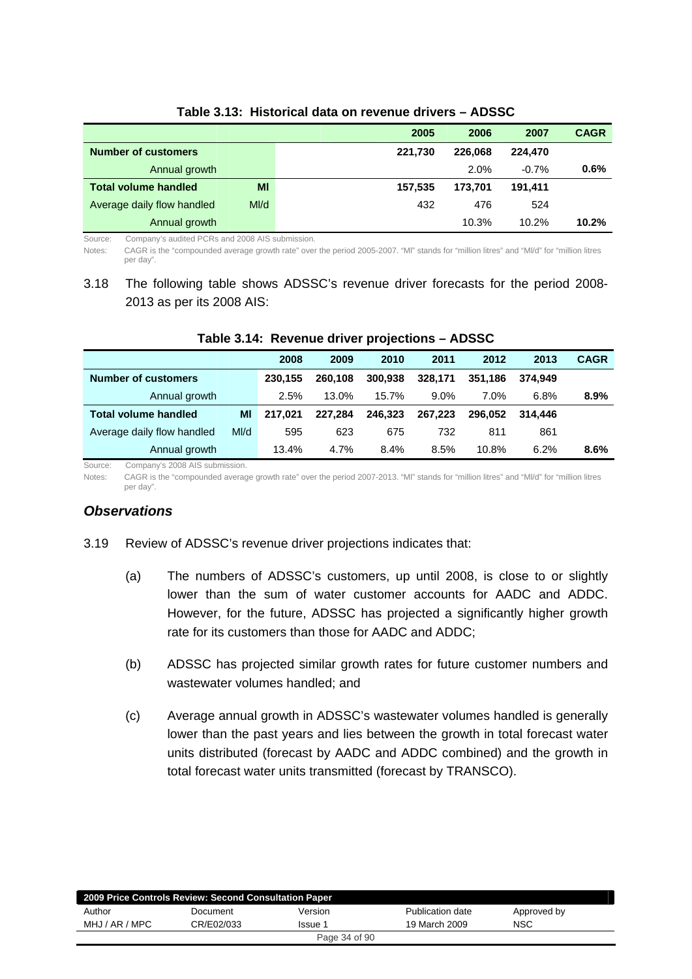|                             |     | 2005    | 2006    | 2007    | <b>CAGR</b> |
|-----------------------------|-----|---------|---------|---------|-------------|
| <b>Number of customers</b>  |     | 221.730 | 226.068 | 224.470 |             |
| Annual growth               |     |         | 2.0%    | $-0.7%$ | 0.6%        |
| <b>Total volume handled</b> | MI  | 157.535 | 173.701 | 191.411 |             |
| Average daily flow handled  | M/d | 432     | 476     | 524     |             |
| Annual growth               |     |         | 10.3%   | 10.2%   | 10.2%       |

#### **Table 3.13: Historical data on revenue drivers – ADSSC**

Source: Company's audited PCRs and 2008 AIS submission.

Notes: CAGR is the "compounded average growth rate" over the period 2005-2007. "Ml" stands for "million litres" and "Ml/d" for "million litres per day".

## 3.18 The following table shows ADSSC's revenue driver forecasts for the period 2008- 2013 as per its 2008 AIS:

|                             |     | 2008    | 2009    | 2010    | 2011    | 2012    | 2013    | <b>CAGR</b> |
|-----------------------------|-----|---------|---------|---------|---------|---------|---------|-------------|
| <b>Number of customers</b>  |     | 230.155 | 260.108 | 300.938 | 328.171 | 351.186 | 374.949 |             |
| Annual growth               |     | 2.5%    | 13.0%   | 15.7%   | $9.0\%$ | $7.0\%$ | 6.8%    | 8.9%        |
| <b>Total volume handled</b> | MI  | 217.021 | 227.284 | 246.323 | 267.223 | 296.052 | 314.446 |             |
| Average daily flow handled  | M/d | 595     | 623     | 675     | 732     | 811     | 861     |             |
| Annual growth               |     | 13.4%   | 4.7%    | 8.4%    | 8.5%    | 10.8%   | 6.2%    | 8.6%        |

#### **Table 3.14: Revenue driver projections – ADSSC**

Source: Company's 2008 AIS submission.

Notes: CAGR is the "compounded average growth rate" over the period 2007-2013. "Ml" stands for "million litres" and "Ml/d" for "million litres per day".

#### *Observations*

- 3.19 Review of ADSSC's revenue driver projections indicates that:
	- (a) The numbers of ADSSC's customers, up until 2008, is close to or slightly lower than the sum of water customer accounts for AADC and ADDC. However, for the future, ADSSC has projected a significantly higher growth rate for its customers than those for AADC and ADDC;
	- (b) ADSSC has projected similar growth rates for future customer numbers and wastewater volumes handled; and
	- (c) Average annual growth in ADSSC's wastewater volumes handled is generally lower than the past years and lies between the growth in total forecast water units distributed (forecast by AADC and ADDC combined) and the growth in total forecast water units transmitted (forecast by TRANSCO).

| 2009 Price Controls Review: Second Consultation Paper |            |         |                  |             |  |  |  |  |
|-------------------------------------------------------|------------|---------|------------------|-------------|--|--|--|--|
| Author                                                | Document   | Version | Publication date | Approved by |  |  |  |  |
| MHJ / AR / MPC                                        | CR/E02/033 | Issue 1 | 19 March 2009    | <b>NSC</b>  |  |  |  |  |
| Page 34 of 90                                         |            |         |                  |             |  |  |  |  |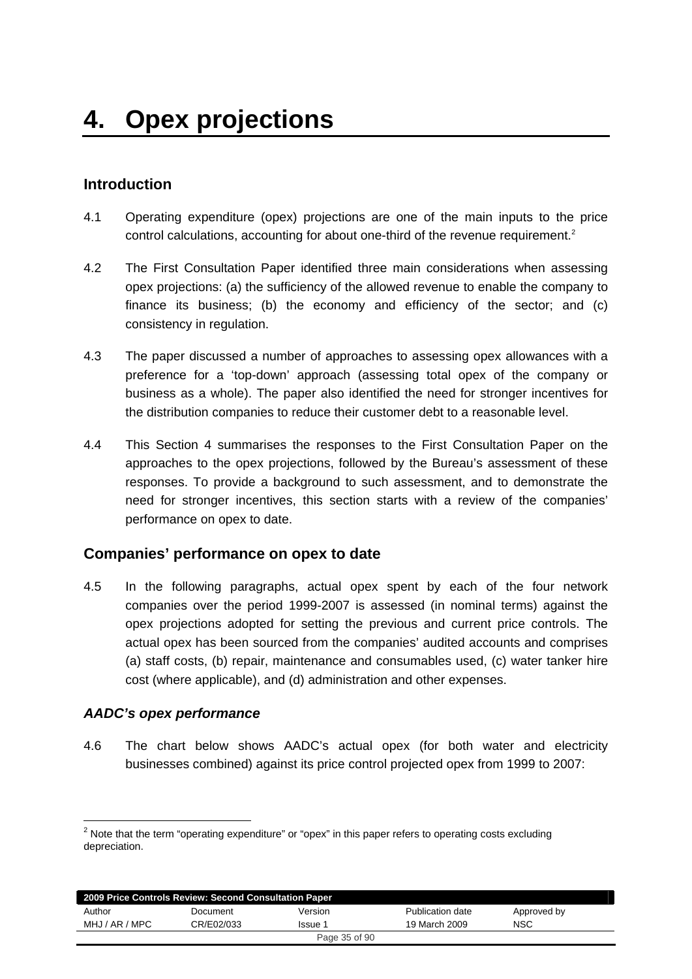# **Introduction**

- 4.1 Operating expenditure (opex) projections are one of the main inputs to the price control calculations, accounting for about one-third of the revenue requirement.<sup>2</sup>
- 4.2 The First Consultation Paper identified three main considerations when assessing opex projections: (a) the sufficiency of the allowed revenue to enable the company to finance its business; (b) the economy and efficiency of the sector; and (c) consistency in regulation.
- 4.3 The paper discussed a number of approaches to assessing opex allowances with a preference for a 'top-down' approach (assessing total opex of the company or business as a whole). The paper also identified the need for stronger incentives for the distribution companies to reduce their customer debt to a reasonable level.
- 4.4 This Section 4 summarises the responses to the First Consultation Paper on the approaches to the opex projections, followed by the Bureau's assessment of these responses. To provide a background to such assessment, and to demonstrate the need for stronger incentives, this section starts with a review of the companies' performance on opex to date.

## **Companies' performance on opex to date**

4.5 In the following paragraphs, actual opex spent by each of the four network companies over the period 1999-2007 is assessed (in nominal terms) against the opex projections adopted for setting the previous and current price controls. The actual opex has been sourced from the companies' audited accounts and comprises (a) staff costs, (b) repair, maintenance and consumables used, (c) water tanker hire cost (where applicable), and (d) administration and other expenses.

#### *AADC's opex performance*

-

4.6 The chart below shows AADC's actual opex (for both water and electricity businesses combined) against its price control projected opex from 1999 to 2007:

 $2$  Note that the term "operating expenditure" or "opex" in this paper refers to operating costs excluding depreciation.

| 2009 Price Controls Review: Second Consultation Paper |            |         |                  |             |  |  |  |  |
|-------------------------------------------------------|------------|---------|------------------|-------------|--|--|--|--|
| Author                                                | Document   | Version | Publication date | Approved by |  |  |  |  |
| MHJ / AR / MPC                                        | CR/E02/033 | Issue 1 | 19 March 2009    | <b>NSC</b>  |  |  |  |  |
| Page 35 of 90                                         |            |         |                  |             |  |  |  |  |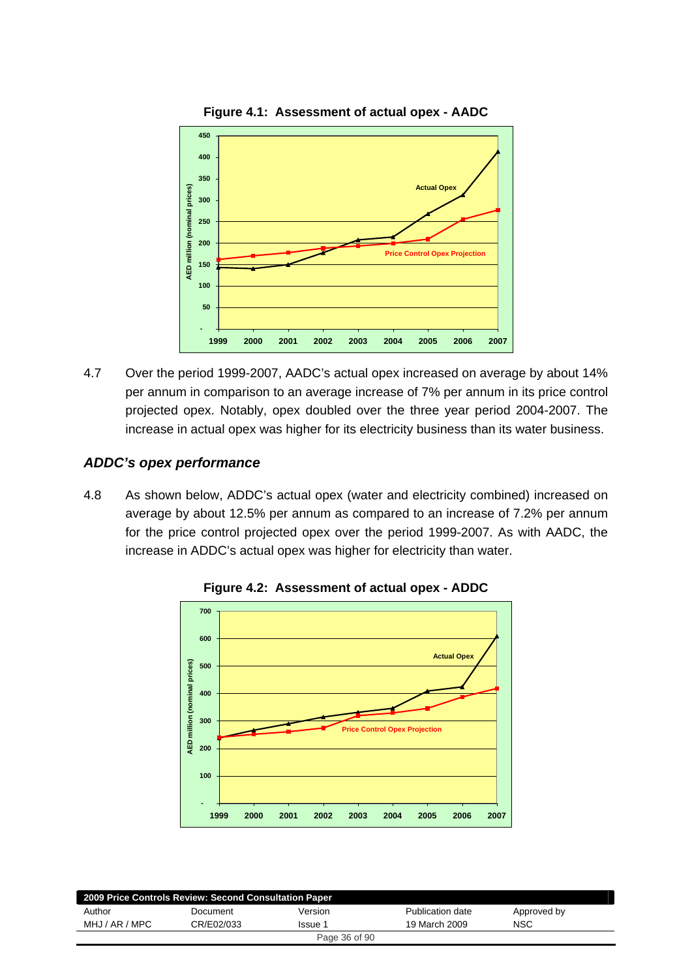



4.7 Over the period 1999-2007, AADC's actual opex increased on average by about 14% per annum in comparison to an average increase of 7% per annum in its price control projected opex. Notably, opex doubled over the three year period 2004-2007. The increase in actual opex was higher for its electricity business than its water business.

## *ADDC's opex performance*

4.8 As shown below, ADDC's actual opex (water and electricity combined) increased on average by about 12.5% per annum as compared to an increase of 7.2% per annum for the price control projected opex over the period 1999-2007. As with AADC, the increase in ADDC's actual opex was higher for electricity than water.



**Figure 4.2: Assessment of actual opex - ADDC** 

| 2009 Price Controls Review: Second Consultation Paper |            |                |                  |             |  |  |  |  |
|-------------------------------------------------------|------------|----------------|------------------|-------------|--|--|--|--|
| Author                                                | Document   | Version        | Publication date | Approved by |  |  |  |  |
| MHJ / AR / MPC                                        | CR/E02/033 | <b>Issue</b> 1 | 19 March 2009    | <b>NSC</b>  |  |  |  |  |
|                                                       |            | Page 36 of 90  |                  |             |  |  |  |  |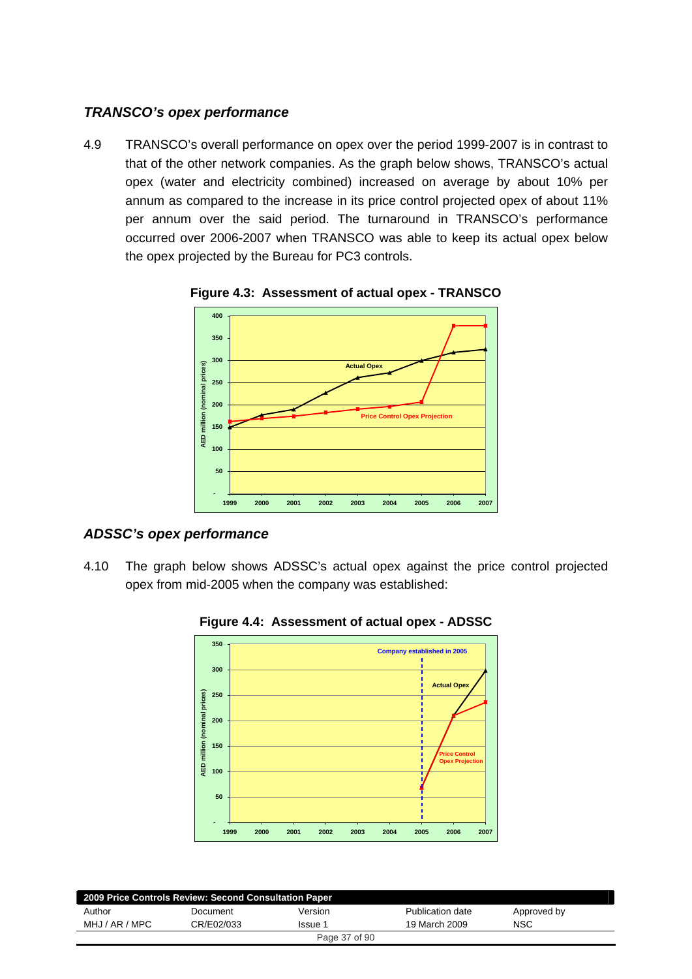### *TRANSCO's opex performance*

4.9 TRANSCO's overall performance on opex over the period 1999-2007 is in contrast to that of the other network companies. As the graph below shows, TRANSCO's actual opex (water and electricity combined) increased on average by about 10% per annum as compared to the increase in its price control projected opex of about 11% per annum over the said period. The turnaround in TRANSCO's performance occurred over 2006-2007 when TRANSCO was able to keep its actual opex below the opex projected by the Bureau for PC3 controls.



**Figure 4.3: Assessment of actual opex - TRANSCO** 

### *ADSSC's opex performance*

4.10 The graph below shows ADSSC's actual opex against the price control projected opex from mid-2005 when the company was established:



**Figure 4.4: Assessment of actual opex - ADSSC** 

| 2009 Price Controls Review: Second Consultation Paper |            |         |                  |             |  |
|-------------------------------------------------------|------------|---------|------------------|-------------|--|
| Author                                                | Document   | Version | Publication date | Approved by |  |
| MHJ / AR / MPC                                        | CR/E02/033 | Issue 1 | 19 March 2009    | <b>NSC</b>  |  |
| Page 37 of 90                                         |            |         |                  |             |  |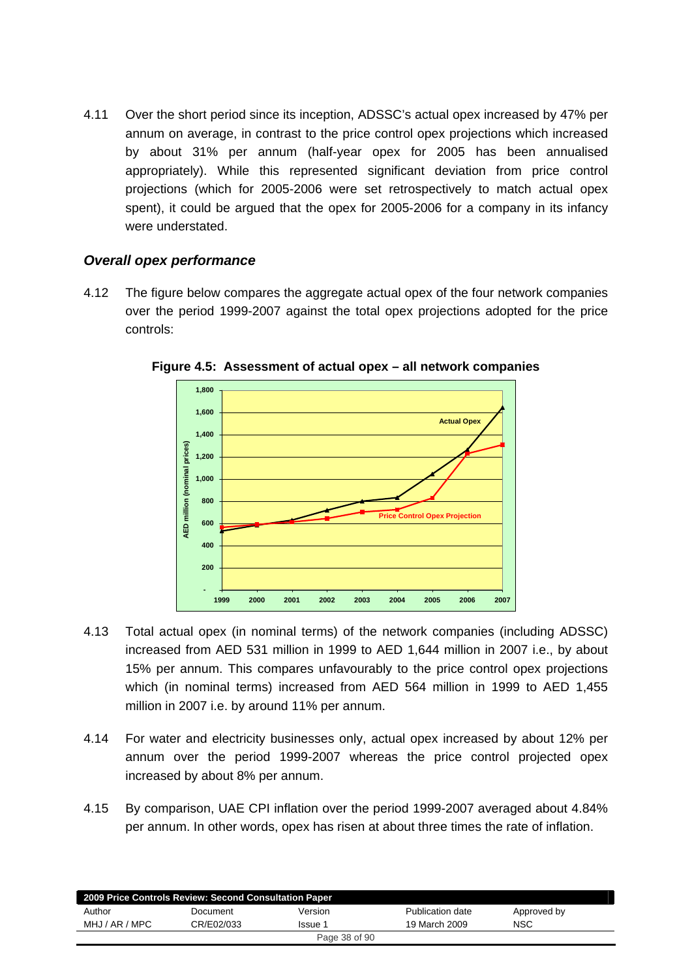4.11 Over the short period since its inception, ADSSC's actual opex increased by 47% per annum on average, in contrast to the price control opex projections which increased by about 31% per annum (half-year opex for 2005 has been annualised appropriately). While this represented significant deviation from price control projections (which for 2005-2006 were set retrospectively to match actual opex spent), it could be argued that the opex for 2005-2006 for a company in its infancy were understated.

### *Overall opex performance*

4.12 The figure below compares the aggregate actual opex of the four network companies over the period 1999-2007 against the total opex projections adopted for the price controls:



**Figure 4.5: Assessment of actual opex – all network companies** 

- 4.13 Total actual opex (in nominal terms) of the network companies (including ADSSC) increased from AED 531 million in 1999 to AED 1,644 million in 2007 i.e., by about 15% per annum. This compares unfavourably to the price control opex projections which (in nominal terms) increased from AED 564 million in 1999 to AED 1,455 million in 2007 i.e. by around 11% per annum.
- 4.14 For water and electricity businesses only, actual opex increased by about 12% per annum over the period 1999-2007 whereas the price control projected opex increased by about 8% per annum.
- 4.15 By comparison, UAE CPI inflation over the period 1999-2007 averaged about 4.84% per annum. In other words, opex has risen at about three times the rate of inflation.

| 2009 Price Controls Review: Second Consultation Paper |            |               |                  |             |  |
|-------------------------------------------------------|------------|---------------|------------------|-------------|--|
| Author                                                | Document   | Version       | Publication date | Approved by |  |
| MHJ / AR / MPC                                        | CR/E02/033 | Issue 1       | 19 March 2009    | NSC         |  |
|                                                       |            | Page 38 of 90 |                  |             |  |
|                                                       |            |               |                  |             |  |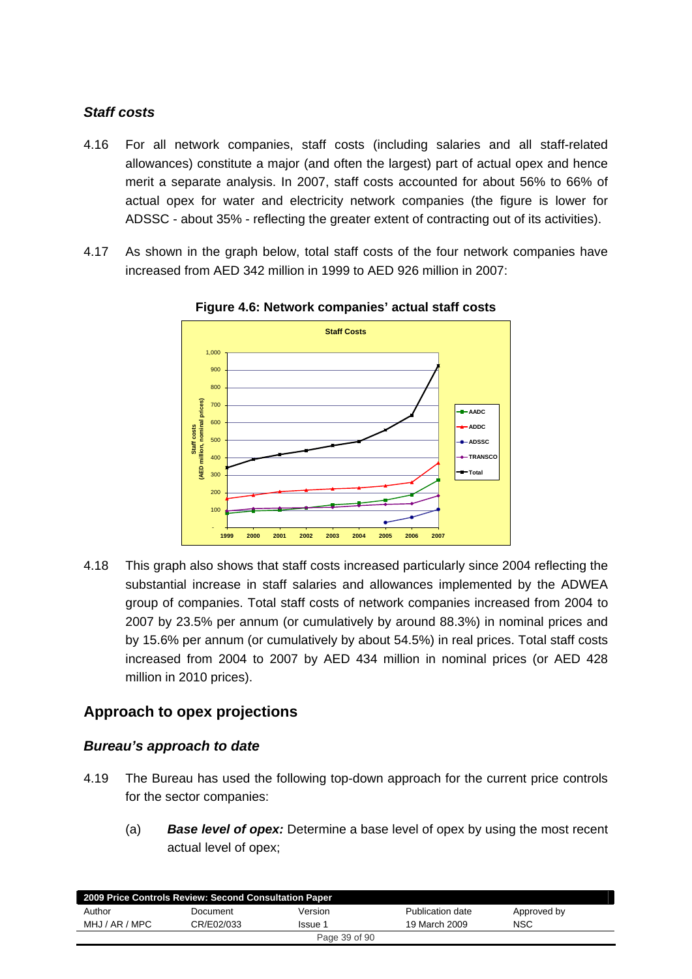### *Staff costs*

- 4.16 For all network companies, staff costs (including salaries and all staff-related allowances) constitute a major (and often the largest) part of actual opex and hence merit a separate analysis. In 2007, staff costs accounted for about 56% to 66% of actual opex for water and electricity network companies (the figure is lower for ADSSC - about 35% - reflecting the greater extent of contracting out of its activities).
- 4.17 As shown in the graph below, total staff costs of the four network companies have increased from AED 342 million in 1999 to AED 926 million in 2007:



**Figure 4.6: Network companies' actual staff costs** 

4.18 This graph also shows that staff costs increased particularly since 2004 reflecting the substantial increase in staff salaries and allowances implemented by the ADWEA group of companies. Total staff costs of network companies increased from 2004 to 2007 by 23.5% per annum (or cumulatively by around 88.3%) in nominal prices and by 15.6% per annum (or cumulatively by about 54.5%) in real prices. Total staff costs increased from 2004 to 2007 by AED 434 million in nominal prices (or AED 428 million in 2010 prices).

# **Approach to opex projections**

### *Bureau's approach to date*

- 4.19 The Bureau has used the following top-down approach for the current price controls for the sector companies:
	- (a) *Base level of opex:* Determine a base level of opex by using the most recent actual level of opex;

| 2009 Price Controls Review: Second Consultation Paper |            |         |                  |             |  |
|-------------------------------------------------------|------------|---------|------------------|-------------|--|
| Author                                                | Document   | Version | Publication date | Approved by |  |
| MHJ / AR / MPC                                        | CR/E02/033 | Issue 1 | 19 March 2009    | <b>NSC</b>  |  |
| Page 39 of 90                                         |            |         |                  |             |  |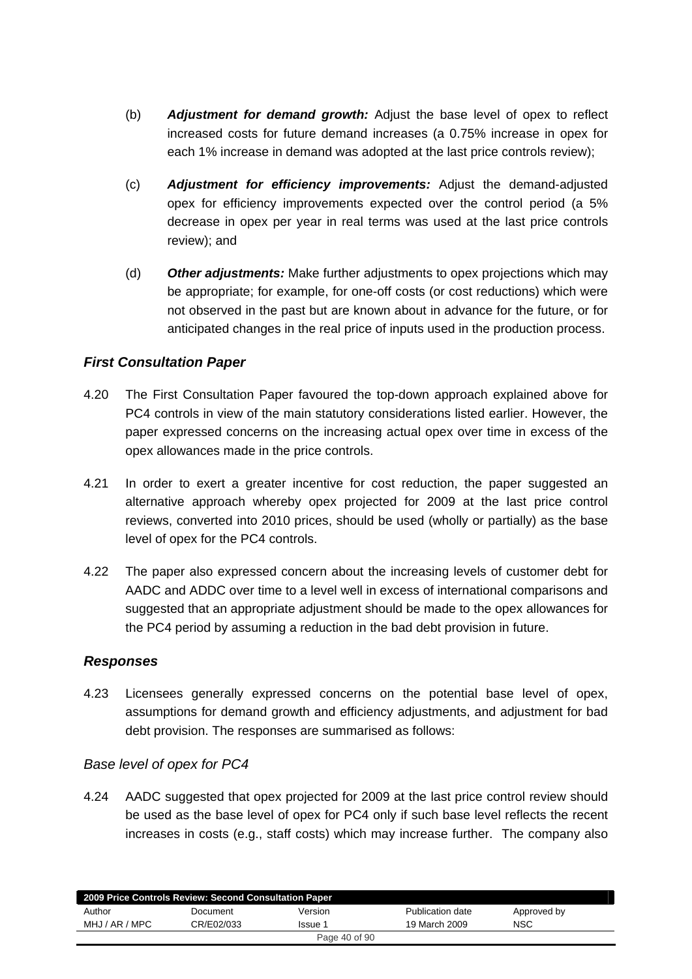- (b) *Adjustment for demand growth:* Adjust the base level of opex to reflect increased costs for future demand increases (a 0.75% increase in opex for each 1% increase in demand was adopted at the last price controls review);
- (c) *Adjustment for efficiency improvements:* Adjust the demand-adjusted opex for efficiency improvements expected over the control period (a 5% decrease in opex per year in real terms was used at the last price controls review); and
- (d) *Other adjustments:* Make further adjustments to opex projections which may be appropriate; for example, for one-off costs (or cost reductions) which were not observed in the past but are known about in advance for the future, or for anticipated changes in the real price of inputs used in the production process.

### *First Consultation Paper*

- 4.20 The First Consultation Paper favoured the top-down approach explained above for PC4 controls in view of the main statutory considerations listed earlier. However, the paper expressed concerns on the increasing actual opex over time in excess of the opex allowances made in the price controls.
- 4.21 In order to exert a greater incentive for cost reduction, the paper suggested an alternative approach whereby opex projected for 2009 at the last price control reviews, converted into 2010 prices, should be used (wholly or partially) as the base level of opex for the PC4 controls.
- 4.22 The paper also expressed concern about the increasing levels of customer debt for AADC and ADDC over time to a level well in excess of international comparisons and suggested that an appropriate adjustment should be made to the opex allowances for the PC4 period by assuming a reduction in the bad debt provision in future.

### *Responses*

4.23 Licensees generally expressed concerns on the potential base level of opex, assumptions for demand growth and efficiency adjustments, and adjustment for bad debt provision. The responses are summarised as follows:

#### *Base level of opex for PC4*

4.24 AADC suggested that opex projected for 2009 at the last price control review should be used as the base level of opex for PC4 only if such base level reflects the recent increases in costs (e.g., staff costs) which may increase further. The company also

| 2009 Price Controls Review: Second Consultation Paper |            |               |                  |             |  |
|-------------------------------------------------------|------------|---------------|------------------|-------------|--|
| Author                                                | Document   | Version       | Publication date | Approved by |  |
| MHJ / AR / MPC                                        | CR/E02/033 | Issue 1       | 19 March 2009    | <b>NSC</b>  |  |
|                                                       |            | Page 40 of 90 |                  |             |  |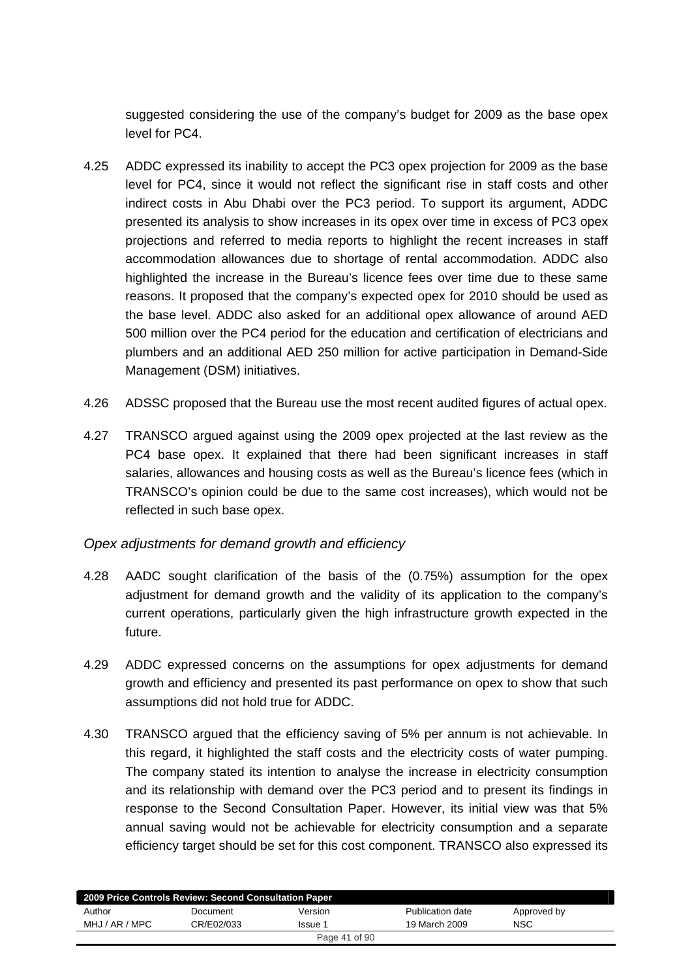suggested considering the use of the company's budget for 2009 as the base opex level for PC4.

- 4.25 ADDC expressed its inability to accept the PC3 opex projection for 2009 as the base level for PC4, since it would not reflect the significant rise in staff costs and other indirect costs in Abu Dhabi over the PC3 period. To support its argument, ADDC presented its analysis to show increases in its opex over time in excess of PC3 opex projections and referred to media reports to highlight the recent increases in staff accommodation allowances due to shortage of rental accommodation. ADDC also highlighted the increase in the Bureau's licence fees over time due to these same reasons. It proposed that the company's expected opex for 2010 should be used as the base level. ADDC also asked for an additional opex allowance of around AED 500 million over the PC4 period for the education and certification of electricians and plumbers and an additional AED 250 million for active participation in Demand-Side Management (DSM) initiatives.
- 4.26 ADSSC proposed that the Bureau use the most recent audited figures of actual opex.
- 4.27 TRANSCO argued against using the 2009 opex projected at the last review as the PC4 base opex. It explained that there had been significant increases in staff salaries, allowances and housing costs as well as the Bureau's licence fees (which in TRANSCO's opinion could be due to the same cost increases), which would not be reflected in such base opex.

### *Opex adjustments for demand growth and efficiency*

- 4.28 AADC sought clarification of the basis of the (0.75%) assumption for the opex adjustment for demand growth and the validity of its application to the company's current operations, particularly given the high infrastructure growth expected in the future.
- 4.29 ADDC expressed concerns on the assumptions for opex adjustments for demand growth and efficiency and presented its past performance on opex to show that such assumptions did not hold true for ADDC.
- 4.30 TRANSCO argued that the efficiency saving of 5% per annum is not achievable. In this regard, it highlighted the staff costs and the electricity costs of water pumping. The company stated its intention to analyse the increase in electricity consumption and its relationship with demand over the PC3 period and to present its findings in response to the Second Consultation Paper. However, its initial view was that 5% annual saving would not be achievable for electricity consumption and a separate efficiency target should be set for this cost component. TRANSCO also expressed its

| 2009 Price Controls Review: Second Consultation Paper |            |               |                  |             |  |
|-------------------------------------------------------|------------|---------------|------------------|-------------|--|
| Author                                                | Document   | Version       | Publication date | Approved by |  |
| MHJ / AR / MPC                                        | CR/E02/033 | Issue 1       | 19 March 2009    | <b>NSC</b>  |  |
|                                                       |            | Page 41 of 90 |                  |             |  |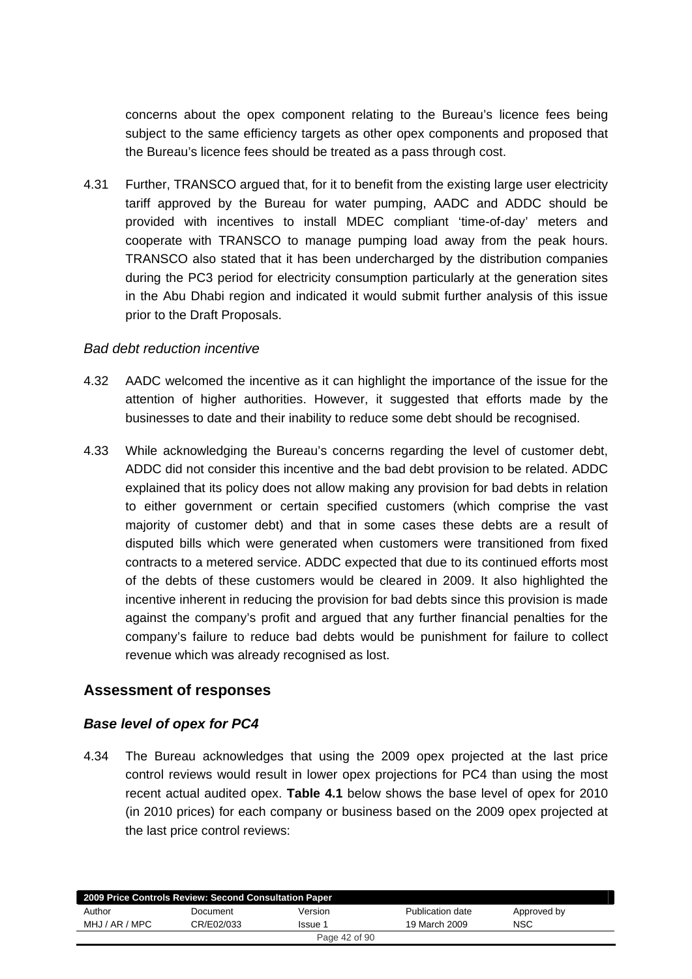concerns about the opex component relating to the Bureau's licence fees being subject to the same efficiency targets as other opex components and proposed that the Bureau's licence fees should be treated as a pass through cost.

4.31 Further, TRANSCO argued that, for it to benefit from the existing large user electricity tariff approved by the Bureau for water pumping, AADC and ADDC should be provided with incentives to install MDEC compliant 'time-of-day' meters and cooperate with TRANSCO to manage pumping load away from the peak hours. TRANSCO also stated that it has been undercharged by the distribution companies during the PC3 period for electricity consumption particularly at the generation sites in the Abu Dhabi region and indicated it would submit further analysis of this issue prior to the Draft Proposals.

#### *Bad debt reduction incentive*

- 4.32 AADC welcomed the incentive as it can highlight the importance of the issue for the attention of higher authorities. However, it suggested that efforts made by the businesses to date and their inability to reduce some debt should be recognised.
- 4.33 While acknowledging the Bureau's concerns regarding the level of customer debt, ADDC did not consider this incentive and the bad debt provision to be related. ADDC explained that its policy does not allow making any provision for bad debts in relation to either government or certain specified customers (which comprise the vast majority of customer debt) and that in some cases these debts are a result of disputed bills which were generated when customers were transitioned from fixed contracts to a metered service. ADDC expected that due to its continued efforts most of the debts of these customers would be cleared in 2009. It also highlighted the incentive inherent in reducing the provision for bad debts since this provision is made against the company's profit and argued that any further financial penalties for the company's failure to reduce bad debts would be punishment for failure to collect revenue which was already recognised as lost.

### **Assessment of responses**

### *Base level of opex for PC4*

4.34 The Bureau acknowledges that using the 2009 opex projected at the last price control reviews would result in lower opex projections for PC4 than using the most recent actual audited opex. **Table 4.1** below shows the base level of opex for 2010 (in 2010 prices) for each company or business based on the 2009 opex projected at the last price control reviews:

|                | 2009 Price Controls Review: Second Consultation Paper |               |                  |             |  |
|----------------|-------------------------------------------------------|---------------|------------------|-------------|--|
| Author         | Document                                              | Version       | Publication date | Approved by |  |
| MHJ / AR / MPC | CR/E02/033                                            | Issue 1       | 19 March 2009    | <b>NSC</b>  |  |
|                |                                                       | Page 42 of 90 |                  |             |  |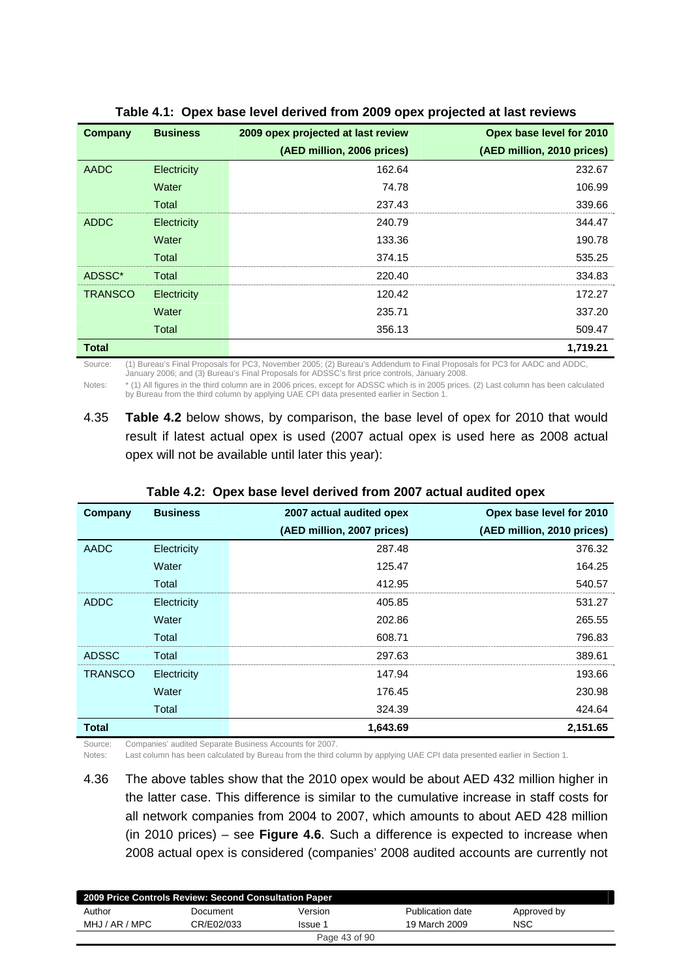| <b>Company</b> | <b>Business</b> | 2009 opex projected at last review | Opex base level for 2010   |
|----------------|-----------------|------------------------------------|----------------------------|
|                |                 | (AED million, 2006 prices)         | (AED million, 2010 prices) |
| <b>AADC</b>    | Electricity     | 162.64                             | 232.67                     |
|                | Water           | 74.78                              | 106.99                     |
|                | Total           | 237.43                             | 339.66                     |
| <b>ADDC</b>    | Electricity     | 240.79                             | 344.47                     |
|                | Water           | 133.36                             | 190.78                     |
|                | Total           | 374.15                             | 535.25                     |
| ADSSC*         | Total           | 220.40                             | 334.83                     |
| <b>TRANSCO</b> | Electricity     | 120.42                             | 172.27                     |
|                | Water           | 235.71                             | 337.20                     |
|                | Total           | 356.13                             | 509.47                     |
| <b>Total</b>   |                 |                                    | 1,719.21                   |

#### **Table 4.1: Opex base level derived from 2009 opex projected at last reviews**

Source: (1) Bureau's Final Proposals for PC3, November 2005; (2) Bureau's Addendum to Final Proposals for PC3 for AADC and ADDC, January 2006; and (3) Bureau's Final Proposals for ADSSC's first price controls, January 2008.

Notes: \* (1) All figures in the third column are in 2006 prices, except for ADSSC which is in 2005 prices. (2) Last column has been calculated by Bureau from the third column by applying UAE CPI data presented earlier in Section 1.

4.35 **Table 4.2** below shows, by comparison, the base level of opex for 2010 that would result if latest actual opex is used (2007 actual opex is used here as 2008 actual opex will not be available until later this year):

| Company        | <b>Business</b> | 2007 actual audited opex   | Opex base level for 2010   |
|----------------|-----------------|----------------------------|----------------------------|
|                |                 | (AED million, 2007 prices) | (AED million, 2010 prices) |
| AADC           | Electricity     | 287.48                     | 376.32                     |
|                | Water           | 125.47                     | 164.25                     |
|                | Total           | 412.95                     | 540.57                     |
| <b>ADDC</b>    | Electricity     | 405.85                     | 531.27                     |
|                | Water           | 202.86                     | 265.55                     |
|                | Total           | 608.71                     | 796.83                     |
| <b>ADSSC</b>   | Total           | 297.63                     | 389.61                     |
| <b>TRANSCO</b> | Electricity     | 147.94                     | 193.66                     |
|                | Water           | 176.45                     | 230.98                     |
|                | Total           | 324.39                     | 424.64                     |
| Total          |                 | 1,643.69                   | 2,151.65                   |

**Table 4.2: Opex base level derived from 2007 actual audited opex** 

Source: Companies' audited Separate Business Accounts for 2007.

Notes: Last column has been calculated by Bureau from the third column by applying UAE CPI data presented earlier in Section 1.

4.36 The above tables show that the 2010 opex would be about AED 432 million higher in the latter case. This difference is similar to the cumulative increase in staff costs for all network companies from 2004 to 2007, which amounts to about AED 428 million (in 2010 prices) – see **Figure 4.6**. Such a difference is expected to increase when 2008 actual opex is considered (companies' 2008 audited accounts are currently not

| 2009 Price Controls Review: Second Consultation Paper |            |               |                  |             |  |
|-------------------------------------------------------|------------|---------------|------------------|-------------|--|
| Author                                                | Document   | Version       | Publication date | Approved by |  |
| MHJ / AR / MPC                                        | CR/E02/033 | Issue 1       | 19 March 2009    | <b>NSC</b>  |  |
|                                                       |            | Page 43 of 90 |                  |             |  |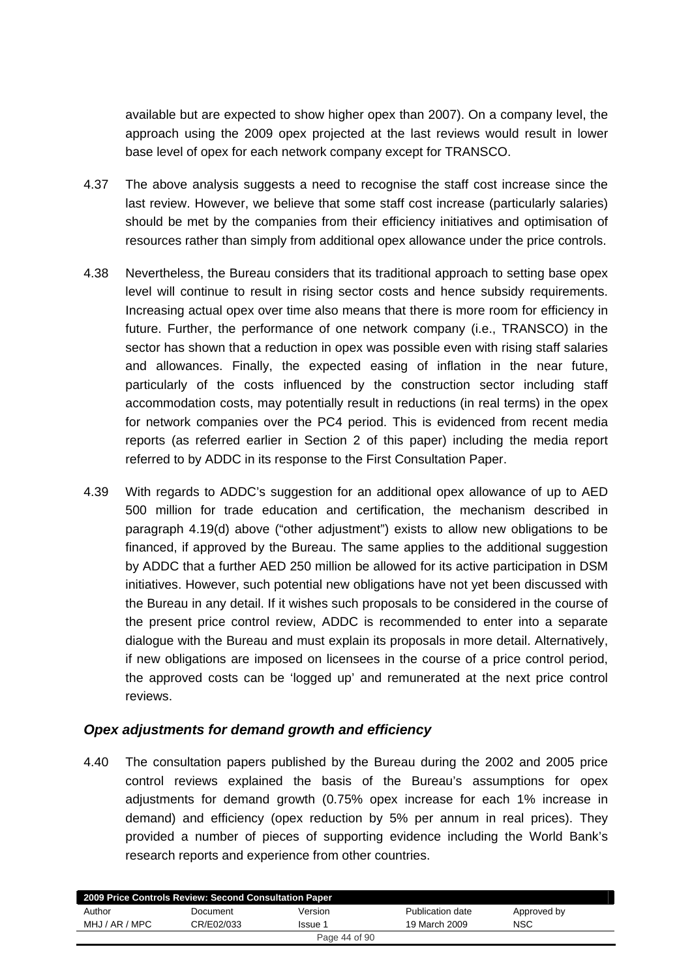available but are expected to show higher opex than 2007). On a company level, the approach using the 2009 opex projected at the last reviews would result in lower base level of opex for each network company except for TRANSCO.

- 4.37 The above analysis suggests a need to recognise the staff cost increase since the last review. However, we believe that some staff cost increase (particularly salaries) should be met by the companies from their efficiency initiatives and optimisation of resources rather than simply from additional opex allowance under the price controls.
- 4.38 Nevertheless, the Bureau considers that its traditional approach to setting base opex level will continue to result in rising sector costs and hence subsidy requirements. Increasing actual opex over time also means that there is more room for efficiency in future. Further, the performance of one network company (i.e., TRANSCO) in the sector has shown that a reduction in opex was possible even with rising staff salaries and allowances. Finally, the expected easing of inflation in the near future, particularly of the costs influenced by the construction sector including staff accommodation costs, may potentially result in reductions (in real terms) in the opex for network companies over the PC4 period. This is evidenced from recent media reports (as referred earlier in Section 2 of this paper) including the media report referred to by ADDC in its response to the First Consultation Paper.
- 4.39 With regards to ADDC's suggestion for an additional opex allowance of up to AED 500 million for trade education and certification, the mechanism described in paragraph 4.19(d) above ("other adjustment") exists to allow new obligations to be financed, if approved by the Bureau. The same applies to the additional suggestion by ADDC that a further AED 250 million be allowed for its active participation in DSM initiatives. However, such potential new obligations have not yet been discussed with the Bureau in any detail. If it wishes such proposals to be considered in the course of the present price control review, ADDC is recommended to enter into a separate dialogue with the Bureau and must explain its proposals in more detail. Alternatively, if new obligations are imposed on licensees in the course of a price control period, the approved costs can be 'logged up' and remunerated at the next price control reviews.

#### *Opex adjustments for demand growth and efficiency*

4.40 The consultation papers published by the Bureau during the 2002 and 2005 price control reviews explained the basis of the Bureau's assumptions for opex adjustments for demand growth (0.75% opex increase for each 1% increase in demand) and efficiency (opex reduction by 5% per annum in real prices). They provided a number of pieces of supporting evidence including the World Bank's research reports and experience from other countries.

| 2009 Price Controls Review: Second Consultation Paper |            |               |                  |             |  |
|-------------------------------------------------------|------------|---------------|------------------|-------------|--|
| Author                                                | Document   | Version       | Publication date | Approved by |  |
| MHJ / AR / MPC                                        | CR/E02/033 | Issue 1       | 19 March 2009    | <b>NSC</b>  |  |
|                                                       |            | Page 44 of 90 |                  |             |  |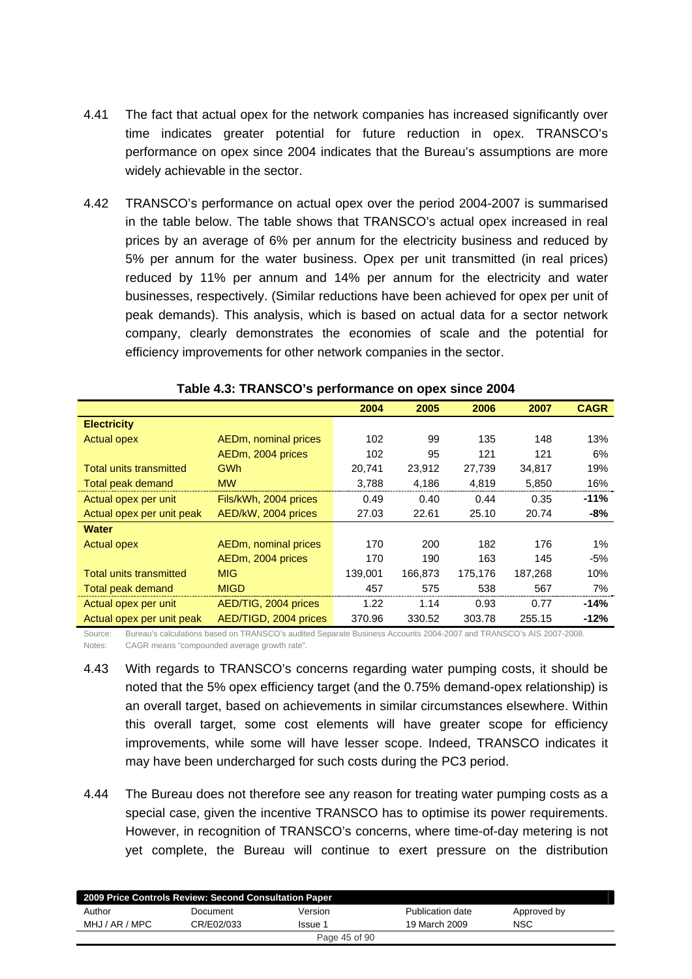- 4.41 The fact that actual opex for the network companies has increased significantly over time indicates greater potential for future reduction in opex. TRANSCO's performance on opex since 2004 indicates that the Bureau's assumptions are more widely achievable in the sector.
- 4.42 TRANSCO's performance on actual opex over the period 2004-2007 is summarised in the table below. The table shows that TRANSCO's actual opex increased in real prices by an average of 6% per annum for the electricity business and reduced by 5% per annum for the water business. Opex per unit transmitted (in real prices) reduced by 11% per annum and 14% per annum for the electricity and water businesses, respectively. (Similar reductions have been achieved for opex per unit of peak demands). This analysis, which is based on actual data for a sector network company, clearly demonstrates the economies of scale and the potential for efficiency improvements for other network companies in the sector.

|                                |                       | 2004    | 2005    | 2006    | 2007    | <b>CAGR</b> |
|--------------------------------|-----------------------|---------|---------|---------|---------|-------------|
| <b>Electricity</b>             |                       |         |         |         |         |             |
| <b>Actual opex</b>             | AEDm, nominal prices  | 102     | 99      | 135     | 148     | 13%         |
|                                | AEDm, 2004 prices     | 102     | 95      | 121     | 121     | 6%          |
| <b>Total units transmitted</b> | <b>GWh</b>            | 20,741  | 23,912  | 27,739  | 34,817  | 19%         |
| Total peak demand              | <b>MW</b>             | 3,788   | 4,186   | 4,819   | 5,850   | 16%         |
| Actual opex per unit           | Fils/kWh, 2004 prices | 0.49    | 0.40    | 0.44    | 0.35    | $-11%$      |
| Actual opex per unit peak      | AED/kW, 2004 prices   | 27.03   | 22.61   | 25.10   | 20.74   | -8%         |
| Water                          |                       |         |         |         |         |             |
| <b>Actual opex</b>             | AEDm, nominal prices  | 170     | 200     | 182     | 176     | $1\%$       |
|                                | AEDm, 2004 prices     | 170     | 190     | 163     | 145     | -5%         |
| <b>Total units transmitted</b> | <b>MIG</b>            | 139,001 | 166,873 | 175,176 | 187,268 | 10%         |
| Total peak demand              | <b>MIGD</b>           | 457     | 575     | 538     | 567     | 7%          |
| Actual opex per unit           | AED/TIG, 2004 prices  | 1.22    | 1.14    | 0.93    | 0.77    | -14%        |
| Actual opex per unit peak      | AED/TIGD, 2004 prices | 370.96  | 330.52  | 303.78  | 255.15  | $-12%$      |

| Table 4.3: TRANSCO's performance on opex since 2004 |  |
|-----------------------------------------------------|--|
|-----------------------------------------------------|--|

Source: Bureau's calculations based on TRANSCO's audited Separate Business Accounts 2004-2007 and TRANSCO's AIS 2007-2008. Notes: CAGR means "compounded average growth rate".

- 4.43 With regards to TRANSCO's concerns regarding water pumping costs, it should be noted that the 5% opex efficiency target (and the 0.75% demand-opex relationship) is an overall target, based on achievements in similar circumstances elsewhere. Within this overall target, some cost elements will have greater scope for efficiency improvements, while some will have lesser scope. Indeed, TRANSCO indicates it may have been undercharged for such costs during the PC3 period.
- 4.44 The Bureau does not therefore see any reason for treating water pumping costs as a special case, given the incentive TRANSCO has to optimise its power requirements. However, in recognition of TRANSCO's concerns, where time-of-day metering is not yet complete, the Bureau will continue to exert pressure on the distribution

| 2009 Price Controls Review: Second Consultation Paper |            |         |                  |             |  |  |
|-------------------------------------------------------|------------|---------|------------------|-------------|--|--|
| Author                                                | Document   | Version | Publication date | Approved by |  |  |
| MHJ / AR / MPC                                        | CR/E02/033 | Issue 1 | 19 March 2009    | NSC         |  |  |
| Page 45 of 90                                         |            |         |                  |             |  |  |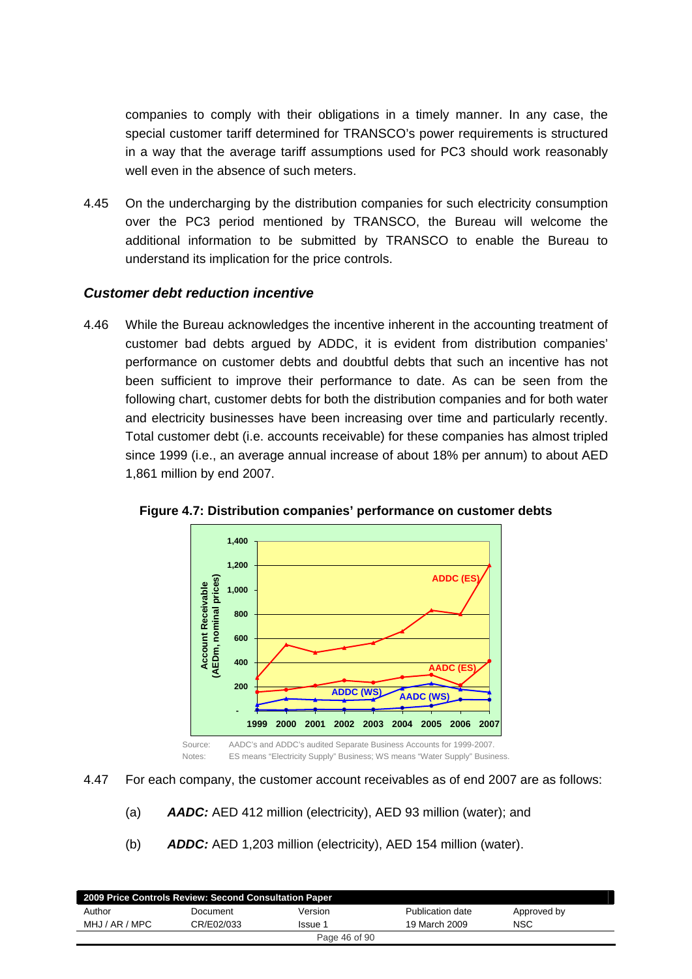companies to comply with their obligations in a timely manner. In any case, the special customer tariff determined for TRANSCO's power requirements is structured in a way that the average tariff assumptions used for PC3 should work reasonably well even in the absence of such meters.

4.45 On the undercharging by the distribution companies for such electricity consumption over the PC3 period mentioned by TRANSCO, the Bureau will welcome the additional information to be submitted by TRANSCO to enable the Bureau to understand its implication for the price controls.

#### *Customer debt reduction incentive*

4.46 While the Bureau acknowledges the incentive inherent in the accounting treatment of customer bad debts argued by ADDC, it is evident from distribution companies' performance on customer debts and doubtful debts that such an incentive has not been sufficient to improve their performance to date. As can be seen from the following chart, customer debts for both the distribution companies and for both water and electricity businesses have been increasing over time and particularly recently. Total customer debt (i.e. accounts receivable) for these companies has almost tripled since 1999 (i.e., an average annual increase of about 18% per annum) to about AED 1,861 million by end 2007.



**Figure 4.7: Distribution companies' performance on customer debts** 

4.47 For each company, the customer account receivables as of end 2007 are as follows:

- (a) *AADC:* AED 412 million (electricity), AED 93 million (water); and
- (b) *ADDC:* AED 1,203 million (electricity), AED 154 million (water).

| 2009 Price Controls Review: Second Consultation Paper |            |         |                  |             |  |  |
|-------------------------------------------------------|------------|---------|------------------|-------------|--|--|
| Author                                                | Document   | Version | Publication date | Approved by |  |  |
| MHJ / AR / MPC                                        | CR/E02/033 | Issue 1 | 19 March 2009    | NSC         |  |  |
| Page 46 of 90                                         |            |         |                  |             |  |  |
|                                                       |            |         |                  |             |  |  |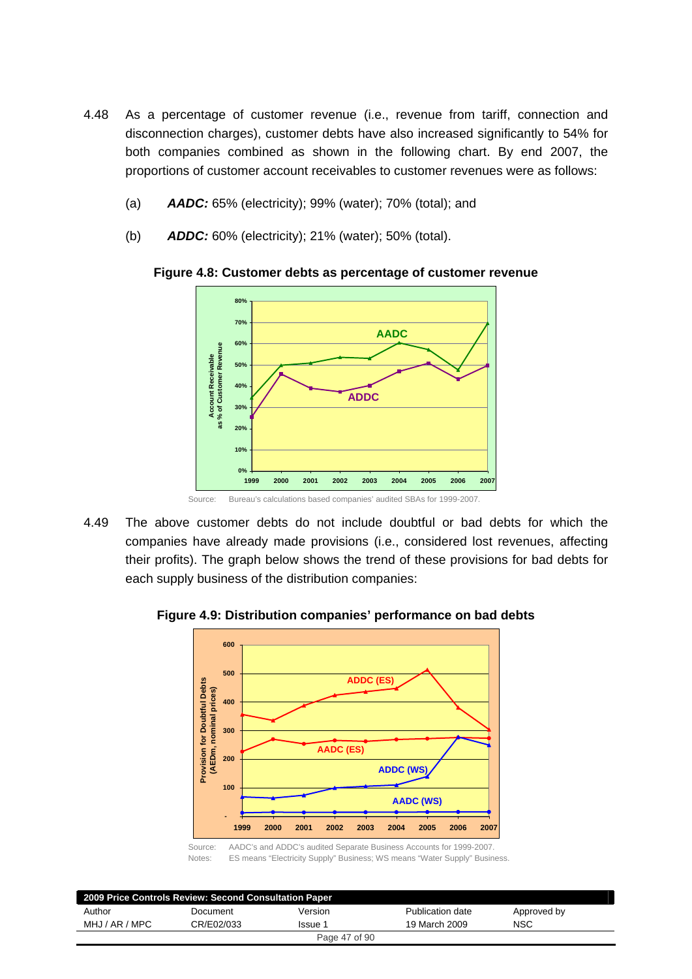- 4.48 As a percentage of customer revenue (i.e., revenue from tariff, connection and disconnection charges), customer debts have also increased significantly to 54% for both companies combined as shown in the following chart. By end 2007, the proportions of customer account receivables to customer revenues were as follows:
	- (a) *AADC:* 65% (electricity); 99% (water); 70% (total); and
	- (b) *ADDC:* 60% (electricity); 21% (water); 50% (total).



**Figure 4.8: Customer debts as percentage of customer revenue** 

4.49 The above customer debts do not include doubtful or bad debts for which the companies have already made provisions (i.e., considered lost revenues, affecting their profits). The graph below shows the trend of these provisions for bad debts for each supply business of the distribution companies:

**Figure 4.9: Distribution companies' performance on bad debts** 



Source: AADC's and ADDC's audited Separate Business Accounts for 1999-2007. Notes: ES means "Electricity Supply" Business; WS means "Water Supply" Business.

| 2009 Price Controls Review: Second Consultation Paper |            |         |                  |             |  |
|-------------------------------------------------------|------------|---------|------------------|-------------|--|
| Author                                                | Document   | Version | Publication date | Approved by |  |
| MHJ / AR / MPC                                        | CR/E02/033 | lssue 1 | 19 March 2009    | <b>NSC</b>  |  |
| Page 47 of 90                                         |            |         |                  |             |  |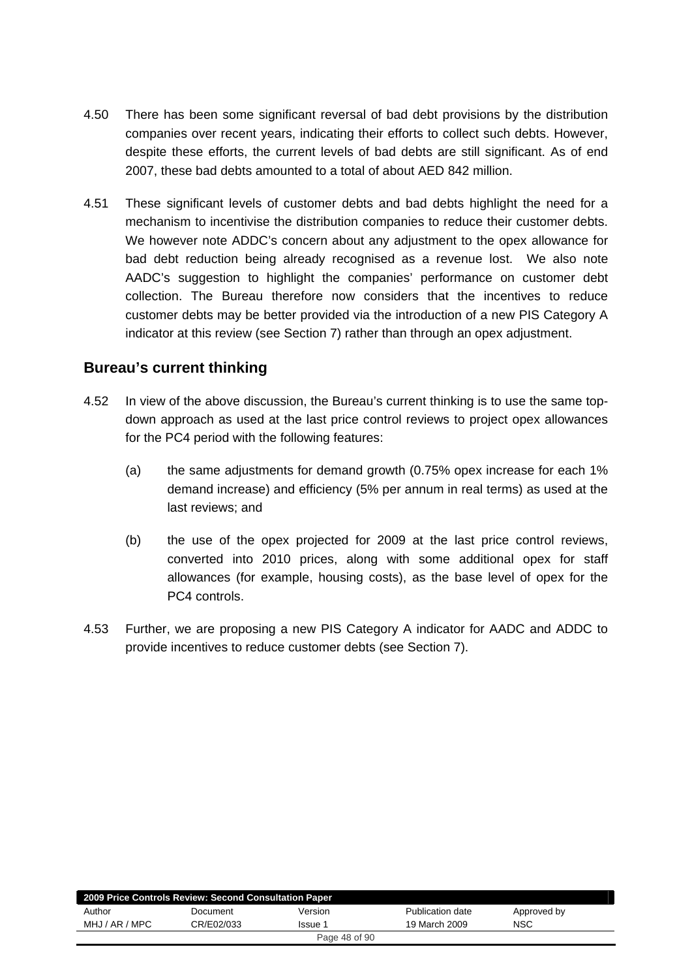- 4.50 There has been some significant reversal of bad debt provisions by the distribution companies over recent years, indicating their efforts to collect such debts. However, despite these efforts, the current levels of bad debts are still significant. As of end 2007, these bad debts amounted to a total of about AED 842 million.
- 4.51 These significant levels of customer debts and bad debts highlight the need for a mechanism to incentivise the distribution companies to reduce their customer debts. We however note ADDC's concern about any adjustment to the opex allowance for bad debt reduction being already recognised as a revenue lost. We also note AADC's suggestion to highlight the companies' performance on customer debt collection. The Bureau therefore now considers that the incentives to reduce customer debts may be better provided via the introduction of a new PIS Category A indicator at this review (see Section 7) rather than through an opex adjustment.

### **Bureau's current thinking**

- 4.52 In view of the above discussion, the Bureau's current thinking is to use the same topdown approach as used at the last price control reviews to project opex allowances for the PC4 period with the following features:
	- (a) the same adjustments for demand growth (0.75% opex increase for each 1% demand increase) and efficiency (5% per annum in real terms) as used at the last reviews; and
	- (b) the use of the opex projected for 2009 at the last price control reviews, converted into 2010 prices, along with some additional opex for staff allowances (for example, housing costs), as the base level of opex for the PC4 controls.
- 4.53 Further, we are proposing a new PIS Category A indicator for AADC and ADDC to provide incentives to reduce customer debts (see Section 7).

| 2009 Price Controls Review: Second Consultation Paper |            |         |                  |             |  |
|-------------------------------------------------------|------------|---------|------------------|-------------|--|
| Author                                                | Document   | Version | Publication date | Approved by |  |
| MHJ / AR / MPC                                        | CR/E02/033 | Issue 1 | 19 March 2009    | <b>NSC</b>  |  |
| Page 48 of 90                                         |            |         |                  |             |  |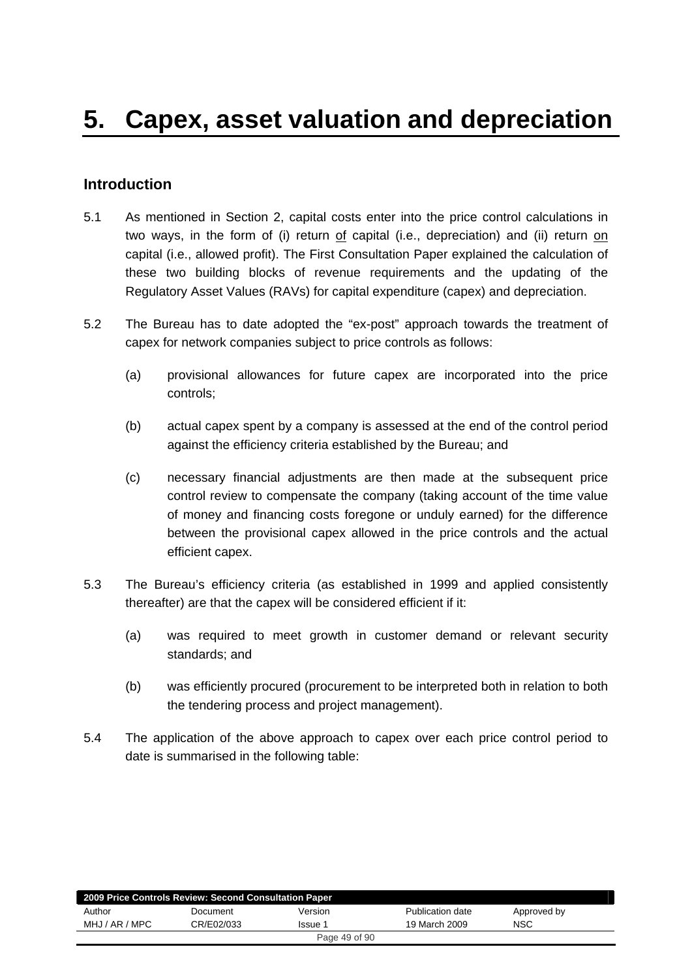## **Introduction**

- 5.1 As mentioned in Section 2, capital costs enter into the price control calculations in two ways, in the form of (i) return of capital (i.e., depreciation) and (ii) return on capital (i.e., allowed profit). The First Consultation Paper explained the calculation of these two building blocks of revenue requirements and the updating of the Regulatory Asset Values (RAVs) for capital expenditure (capex) and depreciation.
- 5.2 The Bureau has to date adopted the "ex-post" approach towards the treatment of capex for network companies subject to price controls as follows:
	- (a) provisional allowances for future capex are incorporated into the price controls;
	- (b) actual capex spent by a company is assessed at the end of the control period against the efficiency criteria established by the Bureau; and
	- (c) necessary financial adjustments are then made at the subsequent price control review to compensate the company (taking account of the time value of money and financing costs foregone or unduly earned) for the difference between the provisional capex allowed in the price controls and the actual efficient capex.
- 5.3 The Bureau's efficiency criteria (as established in 1999 and applied consistently thereafter) are that the capex will be considered efficient if it:
	- (a) was required to meet growth in customer demand or relevant security standards; and
	- (b) was efficiently procured (procurement to be interpreted both in relation to both the tendering process and project management).
- 5.4 The application of the above approach to capex over each price control period to date is summarised in the following table:

| 2009 Price Controls Review: Second Consultation Paper |            |               |                  |             |  |
|-------------------------------------------------------|------------|---------------|------------------|-------------|--|
| Author                                                | Document   | Version       | Publication date | Approved by |  |
| MHJ / AR / MPC                                        | CR/E02/033 | Issue 1       | 19 March 2009    | <b>NSC</b>  |  |
|                                                       |            | Page 49 of 90 |                  |             |  |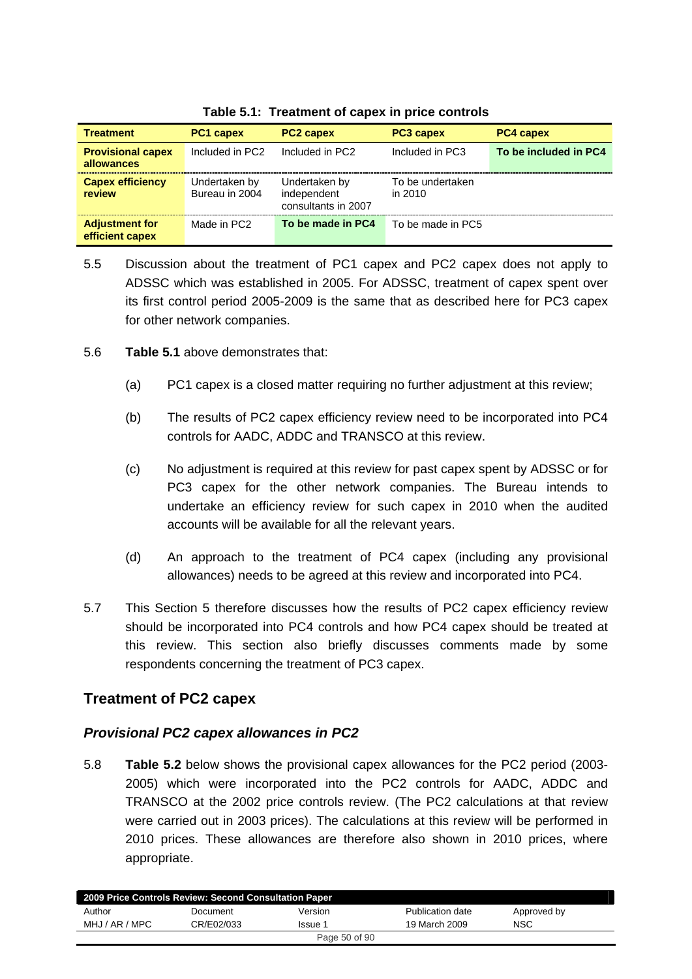| <b>Treatment</b>                         | <b>PC1 capex</b>                | <b>PC2 capex</b>                                    | <b>PC3 capex</b>            | <b>PC4 capex</b>      |
|------------------------------------------|---------------------------------|-----------------------------------------------------|-----------------------------|-----------------------|
| <b>Provisional capex</b><br>allowances   | Included in PC2                 | Included in PC2                                     | Included in PC3             | To be included in PC4 |
| <b>Capex efficiency</b><br>review        | Undertaken by<br>Bureau in 2004 | Undertaken by<br>independent<br>consultants in 2007 | To be undertaken<br>in 2010 |                       |
| <b>Adjustment for</b><br>efficient capex | Made in PC2                     | To be made in PC4                                   | To be made in PC5           |                       |

**Table 5.1: Treatment of capex in price controls** 

- 5.5 Discussion about the treatment of PC1 capex and PC2 capex does not apply to ADSSC which was established in 2005. For ADSSC, treatment of capex spent over its first control period 2005-2009 is the same that as described here for PC3 capex for other network companies.
- 5.6 **Table 5.1** above demonstrates that:
	- (a) PC1 capex is a closed matter requiring no further adjustment at this review;
	- (b) The results of PC2 capex efficiency review need to be incorporated into PC4 controls for AADC, ADDC and TRANSCO at this review.
	- (c) No adjustment is required at this review for past capex spent by ADSSC or for PC3 capex for the other network companies. The Bureau intends to undertake an efficiency review for such capex in 2010 when the audited accounts will be available for all the relevant years.
	- (d) An approach to the treatment of PC4 capex (including any provisional allowances) needs to be agreed at this review and incorporated into PC4.
- 5.7 This Section 5 therefore discusses how the results of PC2 capex efficiency review should be incorporated into PC4 controls and how PC4 capex should be treated at this review. This section also briefly discusses comments made by some respondents concerning the treatment of PC3 capex.

# **Treatment of PC2 capex**

### *Provisional PC2 capex allowances in PC2*

5.8 **Table 5.2** below shows the provisional capex allowances for the PC2 period (2003- 2005) which were incorporated into the PC2 controls for AADC, ADDC and TRANSCO at the 2002 price controls review. (The PC2 calculations at that review were carried out in 2003 prices). The calculations at this review will be performed in 2010 prices. These allowances are therefore also shown in 2010 prices, where appropriate.

| 2009 Price Controls Review: Second Consultation Paper |            |         |                  |             |  |  |
|-------------------------------------------------------|------------|---------|------------------|-------------|--|--|
| Author                                                | Document   | Version | Publication date | Approved by |  |  |
| MHJ / AR / MPC                                        | CR/E02/033 | Issue 1 | 19 March 2009    | NSC         |  |  |
| Page 50 of 90                                         |            |         |                  |             |  |  |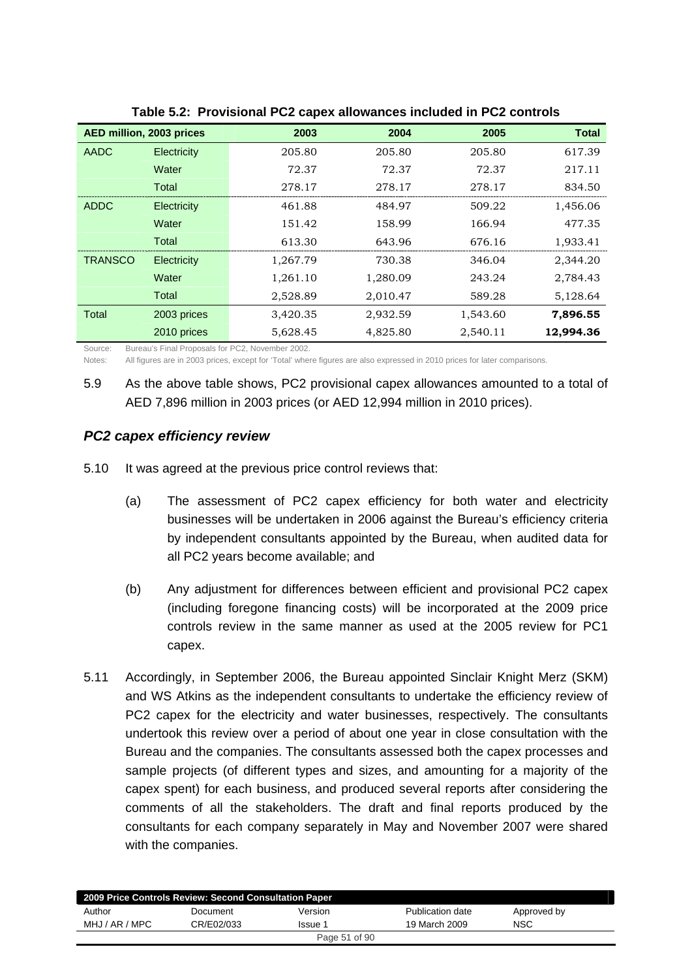| AED million, 2003 prices |                    | 2003     | 2004     | 2005     | <b>Total</b> |
|--------------------------|--------------------|----------|----------|----------|--------------|
| <b>AADC</b>              | Electricity        | 205.80   | 205.80   | 205.80   | 617.39       |
|                          | Water              | 72.37    | 72.37    | 72.37    | 217.11       |
|                          | Total              | 278.17   | 278.17   | 278.17   | 834.50       |
| ADDC                     | Electricity        | 461.88   | 484.97   | 509.22   | 1,456.06     |
|                          | Water              | 151.42   | 158.99   | 166.94   | 477.35       |
|                          | Total              | 613.30   | 643.96   | 676.16   | 1,933.41     |
| <b>TRANSCO</b>           | <b>Electricity</b> | 1,267.79 | 730.38   | 346.04   | 2,344.20     |
|                          | Water              | 1,261.10 | 1,280.09 | 243.24   | 2,784.43     |
|                          | Total              | 2,528.89 | 2,010.47 | 589.28   | 5,128.64     |
| <b>Total</b>             | 2003 prices        | 3,420.35 | 2,932.59 | 1,543.60 | 7,896.55     |
|                          | 2010 prices        | 5,628.45 | 4,825.80 | 2,540.11 | 12,994.36    |

**Table 5.2: Provisional PC2 capex allowances included in PC2 controls** 

Source: Bureau's Final Proposals for PC2, November 2002.

Notes: All figures are in 2003 prices, except for 'Total' where figures are also expressed in 2010 prices for later comparisons.

5.9 As the above table shows, PC2 provisional capex allowances amounted to a total of AED 7,896 million in 2003 prices (or AED 12,994 million in 2010 prices).

### *PC2 capex efficiency review*

- 5.10 It was agreed at the previous price control reviews that:
	- (a) The assessment of PC2 capex efficiency for both water and electricity businesses will be undertaken in 2006 against the Bureau's efficiency criteria by independent consultants appointed by the Bureau, when audited data for all PC2 years become available; and
	- (b) Any adjustment for differences between efficient and provisional PC2 capex (including foregone financing costs) will be incorporated at the 2009 price controls review in the same manner as used at the 2005 review for PC1 capex.
- 5.11 Accordingly, in September 2006, the Bureau appointed Sinclair Knight Merz (SKM) and WS Atkins as the independent consultants to undertake the efficiency review of PC2 capex for the electricity and water businesses, respectively. The consultants undertook this review over a period of about one year in close consultation with the Bureau and the companies. The consultants assessed both the capex processes and sample projects (of different types and sizes, and amounting for a majority of the capex spent) for each business, and produced several reports after considering the comments of all the stakeholders. The draft and final reports produced by the consultants for each company separately in May and November 2007 were shared with the companies.

| 2009 Price Controls Review: Second Consultation Paper |            |         |                  |             |  |  |
|-------------------------------------------------------|------------|---------|------------------|-------------|--|--|
| Author                                                | Document   | Version | Publication date | Approved by |  |  |
| MHJ / AR / MPC                                        | CR/E02/033 | Issue 1 | 19 March 2009    | <b>NSC</b>  |  |  |
| Page 51 of 90                                         |            |         |                  |             |  |  |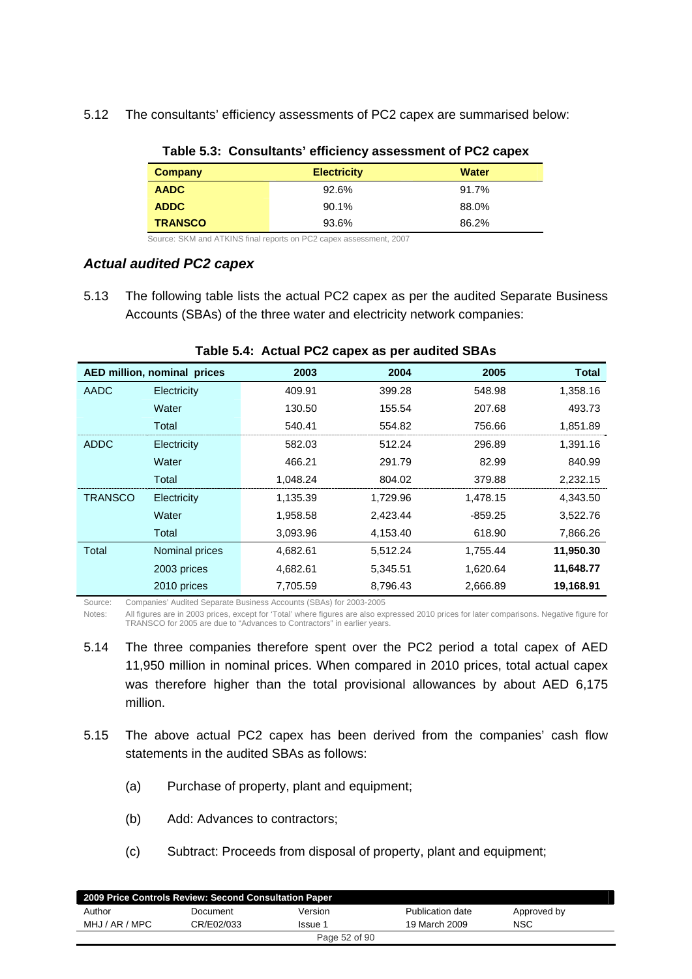5.12 The consultants' efficiency assessments of PC2 capex are summarised below:

| Company        | <b>Electricity</b> | <b>Water</b> |
|----------------|--------------------|--------------|
| <b>AADC</b>    | 92.6%              | 91.7%        |
| <b>ADDC</b>    | 90.1%              | 88.0%        |
| <b>TRANSCO</b> | 93.6%              | 86.2%        |

#### **Table 5.3: Consultants' efficiency assessment of PC2 capex**

Source: SKM and ATKINS final reports on PC2 capex assessment, 2007

#### *Actual audited PC2 capex*

5.13 The following table lists the actual PC2 capex as per the audited Separate Business Accounts (SBAs) of the three water and electricity network companies:

|                | AED million, nominal prices | 2003     | 2004     | 2005      | <b>Total</b> |
|----------------|-----------------------------|----------|----------|-----------|--------------|
| AADC           | Electricity                 | 409.91   | 399.28   | 548.98    | 1,358.16     |
|                | Water                       | 130.50   | 155.54   | 207.68    | 493.73       |
|                | Total                       | 540.41   | 554.82   | 756.66    | 1,851.89     |
| <b>ADDC</b>    | Electricity                 | 582.03   | 512.24   | 296.89    | 1,391.16     |
|                | Water                       | 466.21   | 291.79   | 82.99     | 840.99       |
|                | Total                       | 1,048.24 | 804.02   | 379.88    | 2,232.15     |
| <b>TRANSCO</b> | Electricity                 | 1,135.39 | 1,729.96 | 1,478.15  | 4,343.50     |
|                | Water                       | 1,958.58 | 2,423.44 | $-859.25$ | 3,522.76     |
|                | Total                       | 3,093.96 | 4,153.40 | 618.90    | 7,866.26     |
| Total          | Nominal prices              | 4,682.61 | 5,512.24 | 1,755.44  | 11,950.30    |
|                | 2003 prices                 | 4,682.61 | 5,345.51 | 1,620.64  | 11,648.77    |
|                | 2010 prices                 | 7,705.59 | 8,796.43 | 2,666.89  | 19,168.91    |

#### **Table 5.4: Actual PC2 capex as per audited SBAs**

Source: Companies' Audited Separate Business Accounts (SBAs) for 2003-2005

Notes: All figures are in 2003 prices, except for 'Total' where figures are also expressed 2010 prices for later comparisons. Negative figure for TRANSCO for 2005 are due to "Advances to Contractors" in earlier years.

- 5.14 The three companies therefore spent over the PC2 period a total capex of AED 11,950 million in nominal prices. When compared in 2010 prices, total actual capex was therefore higher than the total provisional allowances by about AED 6,175 million.
- 5.15 The above actual PC2 capex has been derived from the companies' cash flow statements in the audited SBAs as follows:
	- (a) Purchase of property, plant and equipment;
	- (b) Add: Advances to contractors;
	- (c) Subtract: Proceeds from disposal of property, plant and equipment;

| 2009 Price Controls Review: Second Consultation Paper |            |         |                  |             |  |
|-------------------------------------------------------|------------|---------|------------------|-------------|--|
| Author                                                | Document   | Version | Publication date | Approved by |  |
| MHJ / AR / MPC                                        | CR/E02/033 | Issue 1 | 19 March 2009    | <b>NSC</b>  |  |
| Page 52 of 90                                         |            |         |                  |             |  |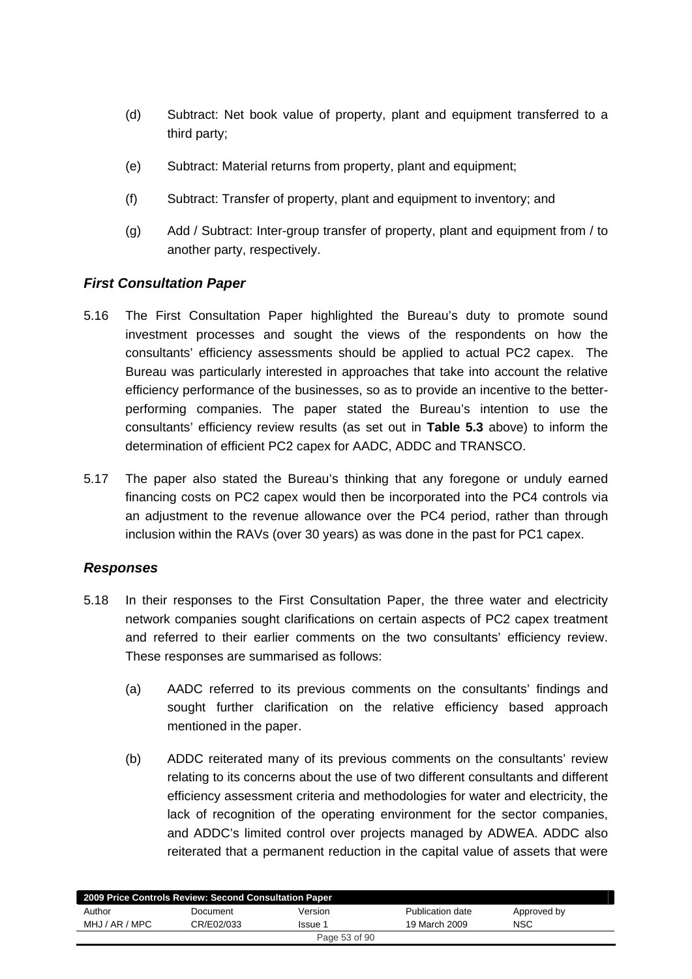- (d) Subtract: Net book value of property, plant and equipment transferred to a third party;
- (e) Subtract: Material returns from property, plant and equipment;
- (f) Subtract: Transfer of property, plant and equipment to inventory; and
- (g) Add / Subtract: Inter-group transfer of property, plant and equipment from / to another party, respectively.

### *First Consultation Paper*

- 5.16 The First Consultation Paper highlighted the Bureau's duty to promote sound investment processes and sought the views of the respondents on how the consultants' efficiency assessments should be applied to actual PC2 capex. The Bureau was particularly interested in approaches that take into account the relative efficiency performance of the businesses, so as to provide an incentive to the betterperforming companies. The paper stated the Bureau's intention to use the consultants' efficiency review results (as set out in **Table 5.3** above) to inform the determination of efficient PC2 capex for AADC, ADDC and TRANSCO.
- 5.17 The paper also stated the Bureau's thinking that any foregone or unduly earned financing costs on PC2 capex would then be incorporated into the PC4 controls via an adjustment to the revenue allowance over the PC4 period, rather than through inclusion within the RAVs (over 30 years) as was done in the past for PC1 capex.

### *Responses*

- 5.18 In their responses to the First Consultation Paper, the three water and electricity network companies sought clarifications on certain aspects of PC2 capex treatment and referred to their earlier comments on the two consultants' efficiency review. These responses are summarised as follows:
	- (a) AADC referred to its previous comments on the consultants' findings and sought further clarification on the relative efficiency based approach mentioned in the paper.
	- (b) ADDC reiterated many of its previous comments on the consultants' review relating to its concerns about the use of two different consultants and different efficiency assessment criteria and methodologies for water and electricity, the lack of recognition of the operating environment for the sector companies, and ADDC's limited control over projects managed by ADWEA. ADDC also reiterated that a permanent reduction in the capital value of assets that were

| 2009 Price Controls Review: Second Consultation Paper |            |               |                  |             |  |
|-------------------------------------------------------|------------|---------------|------------------|-------------|--|
| Author                                                | Document   | Version       | Publication date | Approved by |  |
| MHJ / AR / MPC                                        | CR/E02/033 | Issue 1       | 19 March 2009    | <b>NSC</b>  |  |
|                                                       |            | Page 53 of 90 |                  |             |  |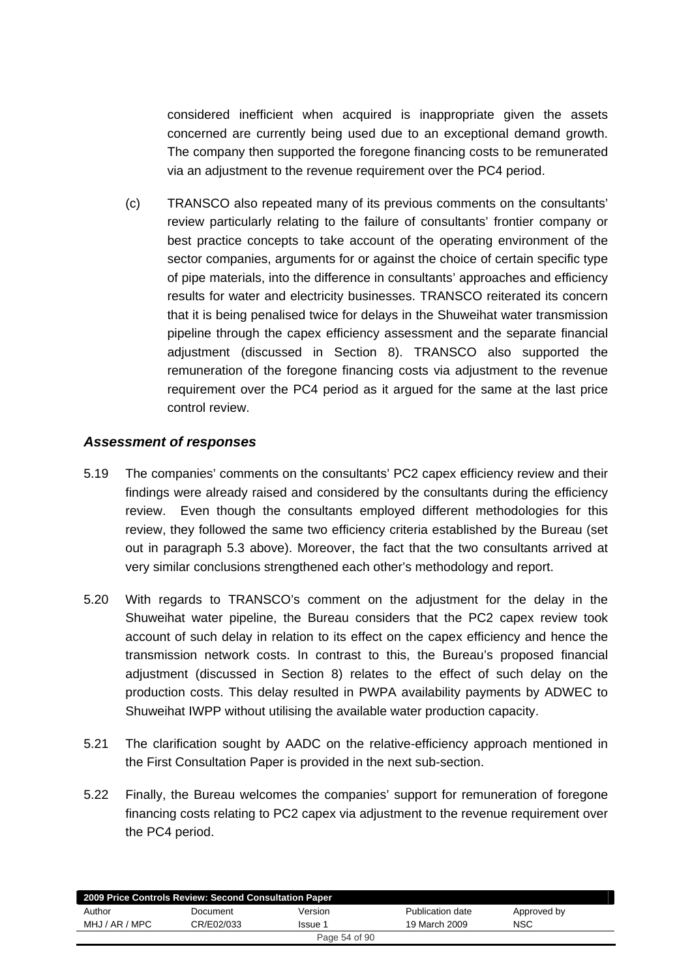considered inefficient when acquired is inappropriate given the assets concerned are currently being used due to an exceptional demand growth. The company then supported the foregone financing costs to be remunerated via an adjustment to the revenue requirement over the PC4 period.

(c) TRANSCO also repeated many of its previous comments on the consultants' review particularly relating to the failure of consultants' frontier company or best practice concepts to take account of the operating environment of the sector companies, arguments for or against the choice of certain specific type of pipe materials, into the difference in consultants' approaches and efficiency results for water and electricity businesses. TRANSCO reiterated its concern that it is being penalised twice for delays in the Shuweihat water transmission pipeline through the capex efficiency assessment and the separate financial adjustment (discussed in Section 8). TRANSCO also supported the remuneration of the foregone financing costs via adjustment to the revenue requirement over the PC4 period as it argued for the same at the last price control review.

### *Assessment of responses*

- 5.19 The companies' comments on the consultants' PC2 capex efficiency review and their findings were already raised and considered by the consultants during the efficiency review. Even though the consultants employed different methodologies for this review, they followed the same two efficiency criteria established by the Bureau (set out in paragraph 5.3 above). Moreover, the fact that the two consultants arrived at very similar conclusions strengthened each other's methodology and report.
- 5.20 With regards to TRANSCO's comment on the adjustment for the delay in the Shuweihat water pipeline, the Bureau considers that the PC2 capex review took account of such delay in relation to its effect on the capex efficiency and hence the transmission network costs. In contrast to this, the Bureau's proposed financial adjustment (discussed in Section 8) relates to the effect of such delay on the production costs. This delay resulted in PWPA availability payments by ADWEC to Shuweihat IWPP without utilising the available water production capacity.
- 5.21 The clarification sought by AADC on the relative-efficiency approach mentioned in the First Consultation Paper is provided in the next sub-section.
- 5.22 Finally, the Bureau welcomes the companies' support for remuneration of foregone financing costs relating to PC2 capex via adjustment to the revenue requirement over the PC4 period.

| 2009 Price Controls Review: Second Consultation Paper |            |               |                  |             |  |
|-------------------------------------------------------|------------|---------------|------------------|-------------|--|
| Author                                                | Document   | Version       | Publication date | Approved by |  |
| MHJ / AR / MPC                                        | CR/E02/033 | lssue 1       | 19 March 2009    | NSC         |  |
|                                                       |            | Page 54 of 90 |                  |             |  |
|                                                       |            |               |                  |             |  |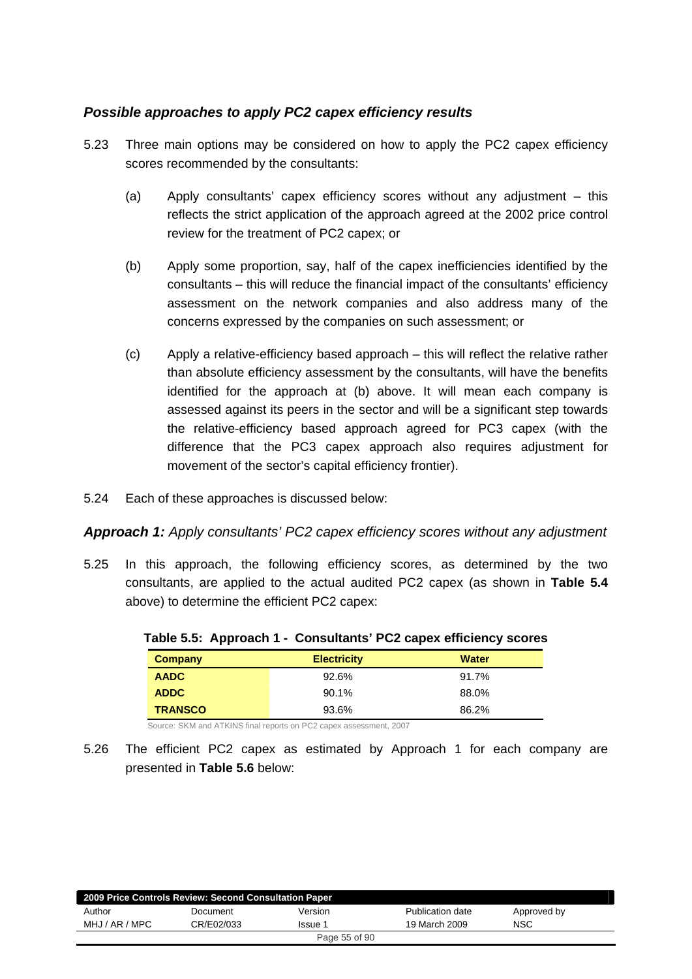### *Possible approaches to apply PC2 capex efficiency results*

- 5.23 Three main options may be considered on how to apply the PC2 capex efficiency scores recommended by the consultants:
	- (a) Apply consultants' capex efficiency scores without any adjustment this reflects the strict application of the approach agreed at the 2002 price control review for the treatment of PC2 capex; or
	- (b) Apply some proportion, say, half of the capex inefficiencies identified by the consultants – this will reduce the financial impact of the consultants' efficiency assessment on the network companies and also address many of the concerns expressed by the companies on such assessment; or
	- (c) Apply a relative-efficiency based approach this will reflect the relative rather than absolute efficiency assessment by the consultants, will have the benefits identified for the approach at (b) above. It will mean each company is assessed against its peers in the sector and will be a significant step towards the relative-efficiency based approach agreed for PC3 capex (with the difference that the PC3 capex approach also requires adjustment for movement of the sector's capital efficiency frontier).
- 5.24 Each of these approaches is discussed below:

*Approach 1: Apply consultants' PC2 capex efficiency scores without any adjustment* 

5.25 In this approach, the following efficiency scores, as determined by the two consultants, are applied to the actual audited PC2 capex (as shown in **Table 5.4** above) to determine the efficient PC2 capex:

| <b>Company</b> | <b>Electricity</b> | <b>Water</b> |
|----------------|--------------------|--------------|
| <b>AADC</b>    | 92.6%              | 91.7%        |
| <b>ADDC</b>    | 90.1%              | 88.0%        |
| <b>TRANSCO</b> | 93.6%              | 86.2%        |

|  |  |  |  | Table 5.5: Approach 1 - Consultants' PC2 capex efficiency scores |
|--|--|--|--|------------------------------------------------------------------|
|--|--|--|--|------------------------------------------------------------------|

Source: SKM and ATKINS final reports on PC2 capex assessment, 2007

5.26 The efficient PC2 capex as estimated by Approach 1 for each company are presented in **Table 5.6** below:

| 2009 Price Controls Review: Second Consultation Paper |            |               |                  |             |  |
|-------------------------------------------------------|------------|---------------|------------------|-------------|--|
| Author                                                | Document   | Version       | Publication date | Approved by |  |
| MHJ / AR / MPC                                        | CR/E02/033 | Issue 1       | 19 March 2009    | <b>NSC</b>  |  |
|                                                       |            | Page 55 of 90 |                  |             |  |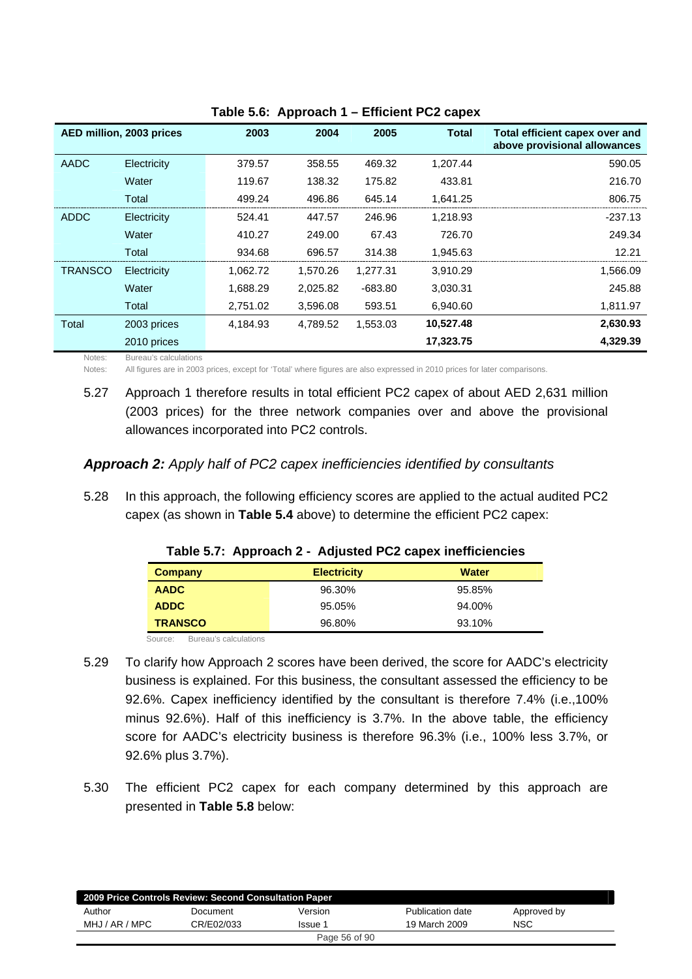|                | AED million, 2003 prices | 2003     | 2004     | 2005      | <b>Total</b> | Total efficient capex over and<br>above provisional allowances |
|----------------|--------------------------|----------|----------|-----------|--------------|----------------------------------------------------------------|
| AADC           | Electricity              | 379.57   | 358.55   | 469.32    | 1,207.44     | 590.05                                                         |
|                | Water                    | 119.67   | 138.32   | 175.82    | 433.81       | 216.70                                                         |
|                | Total                    | 499.24   | 496.86   | 645.14    | 1,641.25     | 806.75                                                         |
| ADDC           | Electricity              | 524.41   | 447.57   | 246.96    | 1,218.93     | $-237.13$                                                      |
|                | Water                    | 410.27   | 249.00   | 67.43     | 726.70       | 249.34                                                         |
|                | Total                    | 934.68   | 696.57   | 314.38    | 1,945.63     | 12.21                                                          |
| <b>TRANSCO</b> | Electricity              | 1,062.72 | 1,570.26 | 1,277.31  | 3,910.29     | 1,566.09                                                       |
|                | Water                    | 1,688.29 | 2,025.82 | $-683.80$ | 3,030.31     | 245.88                                                         |
|                | Total                    | 2,751.02 | 3,596.08 | 593.51    | 6,940.60     | 1,811.97                                                       |
| Total          | 2003 prices              | 4,184.93 | 4,789.52 | 1,553.03  | 10,527.48    | 2,630.93                                                       |
|                | 2010 prices              |          |          |           | 17,323.75    | 4,329.39                                                       |

|  | Table 5.6: Approach 1 - Efficient PC2 capex |  |
|--|---------------------------------------------|--|
|--|---------------------------------------------|--|

Notes: Bureau's calculations

Notes: All figures are in 2003 prices, except for 'Total' where figures are also expressed in 2010 prices for later comparisons.

5.27 Approach 1 therefore results in total efficient PC2 capex of about AED 2,631 million (2003 prices) for the three network companies over and above the provisional allowances incorporated into PC2 controls.

#### *Approach 2: Apply half of PC2 capex inefficiencies identified by consultants*

5.28 In this approach, the following efficiency scores are applied to the actual audited PC2 capex (as shown in **Table 5.4** above) to determine the efficient PC2 capex:

| Company        | <b>Electricity</b> | <b>Water</b> |
|----------------|--------------------|--------------|
| <b>AADC</b>    | 96.30%             | 95.85%       |
| <b>ADDC</b>    | 95.05%             | 94.00%       |
| <b>TRANSCO</b> | 96.80%             | 93.10%       |

#### **Table 5.7: Approach 2 - Adjusted PC2 capex inefficiencies**

Source: Bureau's calculations

- 5.29 To clarify how Approach 2 scores have been derived, the score for AADC's electricity business is explained. For this business, the consultant assessed the efficiency to be 92.6%. Capex inefficiency identified by the consultant is therefore 7.4% (i.e.,100% minus 92.6%). Half of this inefficiency is 3.7%. In the above table, the efficiency score for AADC's electricity business is therefore 96.3% (i.e., 100% less 3.7%, or 92.6% plus 3.7%).
- 5.30 The efficient PC2 capex for each company determined by this approach are presented in **Table 5.8** below:

| 2009 Price Controls Review: Second Consultation Paper |            |               |                  |             |  |
|-------------------------------------------------------|------------|---------------|------------------|-------------|--|
| Author                                                | Document   | Version       | Publication date | Approved by |  |
| MHJ / AR / MPC                                        | CR/E02/033 | Issue 1       | 19 March 2009    | <b>NSC</b>  |  |
|                                                       |            | Page 56 of 90 |                  |             |  |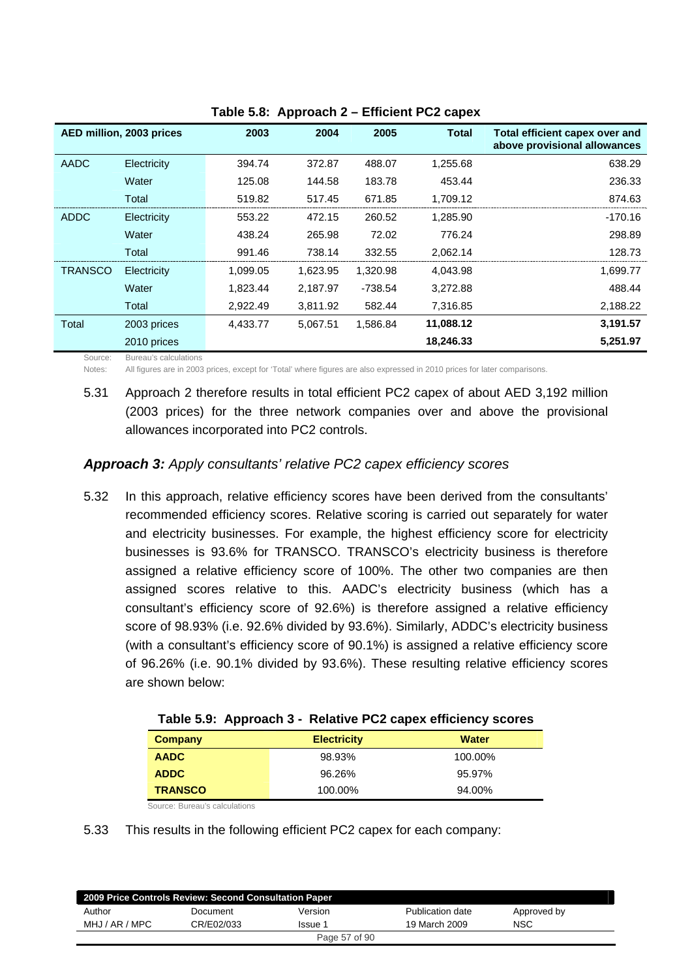|                | AED million, 2003 prices | 2003     | 2004     | 2005     | <b>Total</b> | Total efficient capex over and<br>above provisional allowances |
|----------------|--------------------------|----------|----------|----------|--------------|----------------------------------------------------------------|
| AADC           | Electricity              | 394.74   | 372.87   | 488.07   | 1,255.68     | 638.29                                                         |
|                | Water                    | 125.08   | 144.58   | 183.78   | 453.44       | 236.33                                                         |
|                | Total                    | 519.82   | 517.45   | 671.85   | 1.709.12     | 874.63                                                         |
| ADDC           | Electricity              | 553.22   | 472.15   | 260.52   | 1,285.90     | $-170.16$                                                      |
|                | Water                    | 438.24   | 265.98   | 72.02    | 776.24       | 298.89                                                         |
|                | Total                    | 991.46   | 738.14   | 332.55   | 2,062.14     | 128.73                                                         |
| <b>TRANSCO</b> | Electricity              | 1.099.05 | 1,623.95 | 1,320.98 | 4,043.98     | 1,699.77                                                       |
|                | Water                    | 1,823.44 | 2,187.97 | -738.54  | 3,272.88     | 488.44                                                         |
|                | Total                    | 2,922.49 | 3,811.92 | 582.44   | 7,316.85     | 2,188.22                                                       |
| Total          | 2003 prices              | 4,433.77 | 5.067.51 | 1.586.84 | 11,088.12    | 3,191.57                                                       |
|                | 2010 prices              |          |          |          | 18,246.33    | 5,251.97                                                       |

**Table 5.8: Approach 2 – Efficient PC2 capex** 

Source: Bureau's calculations

Notes: All figures are in 2003 prices, except for 'Total' where figures are also expressed in 2010 prices for later comparisons.

5.31 Approach 2 therefore results in total efficient PC2 capex of about AED 3,192 million (2003 prices) for the three network companies over and above the provisional allowances incorporated into PC2 controls.

### *Approach 3: Apply consultants' relative PC2 capex efficiency scores*

5.32 In this approach, relative efficiency scores have been derived from the consultants' recommended efficiency scores. Relative scoring is carried out separately for water and electricity businesses. For example, the highest efficiency score for electricity businesses is 93.6% for TRANSCO. TRANSCO's electricity business is therefore assigned a relative efficiency score of 100%. The other two companies are then assigned scores relative to this. AADC's electricity business (which has a consultant's efficiency score of 92.6%) is therefore assigned a relative efficiency score of 98.93% (i.e. 92.6% divided by 93.6%). Similarly, ADDC's electricity business (with a consultant's efficiency score of 90.1%) is assigned a relative efficiency score of 96.26% (i.e. 90.1% divided by 93.6%). These resulting relative efficiency scores are shown below:

|                | $\frac{1}{2}$ , $\frac{1}{2}$ , $\frac{1}{2}$ , $\frac{1}{2}$ , $\frac{1}{2}$ , $\frac{1}{2}$ , $\frac{1}{2}$ , $\frac{1}{2}$ , $\frac{1}{2}$ , $\frac{1}{2}$ , $\frac{1}{2}$ , $\frac{1}{2}$ , $\frac{1}{2}$ , $\frac{1}{2}$ , $\frac{1}{2}$ , $\frac{1}{2}$ , $\frac{1}{2}$ , $\frac{1}{2}$ , $\frac{1$ |              |
|----------------|-----------------------------------------------------------------------------------------------------------------------------------------------------------------------------------------------------------------------------------------------------------------------------------------------------------|--------------|
| Company        | <b>Electricity</b>                                                                                                                                                                                                                                                                                        | <b>Water</b> |
| <b>AADC</b>    | 98.93%                                                                                                                                                                                                                                                                                                    | 100.00%      |
| <b>ADDC</b>    | 96.26%                                                                                                                                                                                                                                                                                                    | 95.97%       |
| <b>TRANSCO</b> | 100.00%                                                                                                                                                                                                                                                                                                   | 94.00%       |

|  | Table 5.9: Approach 3 - Relative PC2 capex efficiency scores |
|--|--------------------------------------------------------------|
|--|--------------------------------------------------------------|

Source: Bureau's calculations

5.33 This results in the following efficient PC2 capex for each company:

| 2009 Price Controls Review: Second Consultation Paper |            |               |                  |             |  |  |  |  |
|-------------------------------------------------------|------------|---------------|------------------|-------------|--|--|--|--|
| Author                                                | Document   | Version       | Publication date | Approved by |  |  |  |  |
| MHJ / AR / MPC                                        | CR/E02/033 | Issue 1       | 19 March 2009    | NSC         |  |  |  |  |
|                                                       |            | Page 57 of 90 |                  |             |  |  |  |  |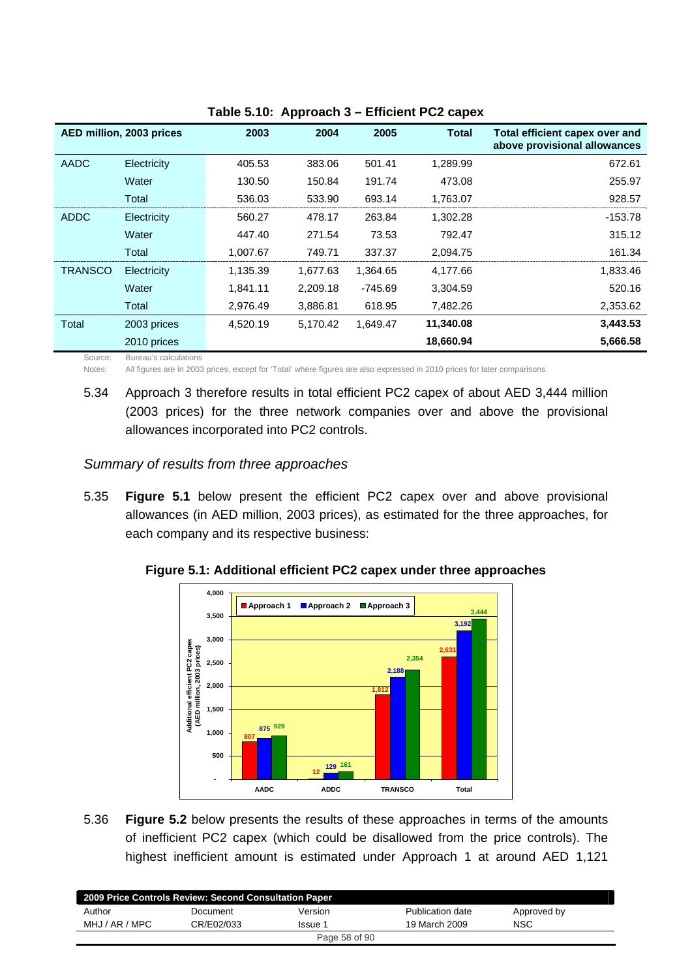|                | AED million, 2003 prices | 2003     | 2004     | 2005      | <b>Total</b> | Total efficient capex over and<br>above provisional allowances |
|----------------|--------------------------|----------|----------|-----------|--------------|----------------------------------------------------------------|
| <b>AADC</b>    | Electricity              | 405.53   | 383.06   | 501.41    | 1,289.99     | 672.61                                                         |
|                | Water                    | 130.50   | 150.84   | 191.74    | 473.08       | 255.97                                                         |
|                | Total                    | 536.03   | 533.90   | 693.14    | 1,763.07     | 928.57                                                         |
| ADDC           | Electricity              | 560.27   | 478.17   | 263.84    | 1,302.28     | -153.78                                                        |
|                | Water                    | 447.40   | 271.54   | 73.53     | 792.47       | 315.12                                                         |
|                | Total                    | 1,007.67 | 749.71   | 337.37    | 2,094.75     | 161.34                                                         |
| <b>TRANSCO</b> | Electricity              | 1,135.39 | 1,677.63 | 1,364.65  | 4,177.66     | 1,833.46                                                       |
|                | Water                    | 1,841.11 | 2,209.18 | $-745.69$ | 3,304.59     | 520.16                                                         |
|                | Total                    | 2,976.49 | 3,886.81 | 618.95    | 7,482.26     | 2,353.62                                                       |
| Total          | 2003 prices              | 4,520.19 | 5,170.42 | 1,649.47  | 11,340.08    | 3,443.53                                                       |
|                | 2010 prices              |          |          |           | 18,660.94    | 5,666.58                                                       |

**Table 5.10: Approach 3 – Efficient PC2 capex** 

Source: Bureau's calculations

Notes: All figures are in 2003 prices, except for 'Total' where figures are also expressed in 2010 prices for later comparisons.

5.34 Approach 3 therefore results in total efficient PC2 capex of about AED 3,444 million (2003 prices) for the three network companies over and above the provisional allowances incorporated into PC2 controls.

#### *Summary of results from three approaches*

5.35 **Figure 5.1** below present the efficient PC2 capex over and above provisional allowances (in AED million, 2003 prices), as estimated for the three approaches, for each company and its respective business:



**Figure 5.1: Additional efficient PC2 capex under three approaches** 

5.36 **Figure 5.2** below presents the results of these approaches in terms of the amounts of inefficient PC2 capex (which could be disallowed from the price controls). The highest inefficient amount is estimated under Approach 1 at around AED 1,121

| 2009 Price Controls Review: Second Consultation Paper |               |         |                  |             |  |  |  |  |
|-------------------------------------------------------|---------------|---------|------------------|-------------|--|--|--|--|
| Author                                                | Document      | Version | Publication date | Approved by |  |  |  |  |
| MHJ / AR / MPC                                        | CR/E02/033    | Issue 1 | 19 March 2009    | <b>NSC</b>  |  |  |  |  |
|                                                       | Page 58 of 90 |         |                  |             |  |  |  |  |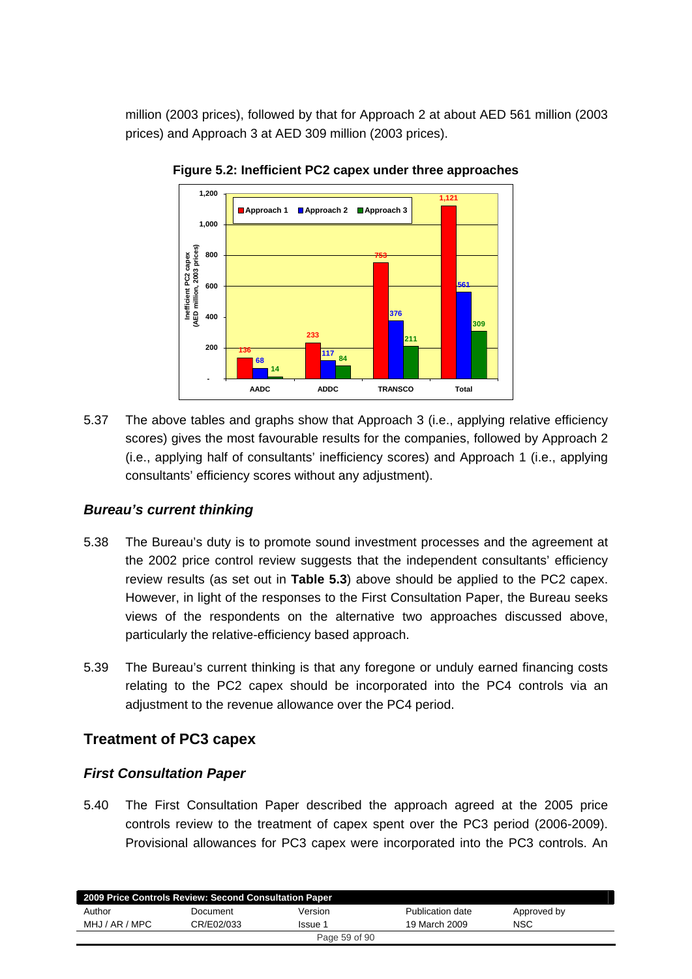million (2003 prices), followed by that for Approach 2 at about AED 561 million (2003 prices) and Approach 3 at AED 309 million (2003 prices).



**Figure 5.2: Inefficient PC2 capex under three approaches** 

5.37 The above tables and graphs show that Approach 3 (i.e., applying relative efficiency scores) gives the most favourable results for the companies, followed by Approach 2 (i.e., applying half of consultants' inefficiency scores) and Approach 1 (i.e., applying consultants' efficiency scores without any adjustment).

### *Bureau's current thinking*

- 5.38 The Bureau's duty is to promote sound investment processes and the agreement at the 2002 price control review suggests that the independent consultants' efficiency review results (as set out in **Table 5.3**) above should be applied to the PC2 capex. However, in light of the responses to the First Consultation Paper, the Bureau seeks views of the respondents on the alternative two approaches discussed above, particularly the relative-efficiency based approach.
- 5.39 The Bureau's current thinking is that any foregone or unduly earned financing costs relating to the PC2 capex should be incorporated into the PC4 controls via an adjustment to the revenue allowance over the PC4 period.

# **Treatment of PC3 capex**

### *First Consultation Paper*

5.40 The First Consultation Paper described the approach agreed at the 2005 price controls review to the treatment of capex spent over the PC3 period (2006-2009). Provisional allowances for PC3 capex were incorporated into the PC3 controls. An

| 2009 Price Controls Review: Second Consultation Paper |            |               |                  |             |  |  |  |  |
|-------------------------------------------------------|------------|---------------|------------------|-------------|--|--|--|--|
| Author                                                | Document   | Version       | Publication date | Approved by |  |  |  |  |
| MHJ / AR / MPC                                        | CR/E02/033 | Issue 1       | 19 March 2009    | NSC         |  |  |  |  |
|                                                       |            | Page 59 of 90 |                  |             |  |  |  |  |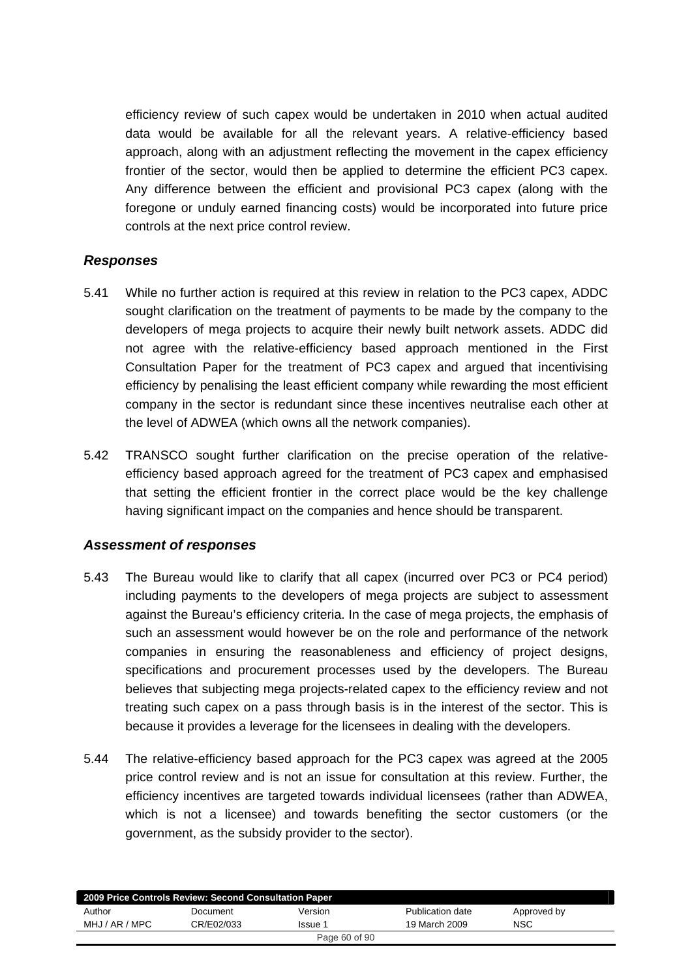efficiency review of such capex would be undertaken in 2010 when actual audited data would be available for all the relevant years. A relative-efficiency based approach, along with an adjustment reflecting the movement in the capex efficiency frontier of the sector, would then be applied to determine the efficient PC3 capex. Any difference between the efficient and provisional PC3 capex (along with the foregone or unduly earned financing costs) would be incorporated into future price controls at the next price control review.

### *Responses*

- 5.41 While no further action is required at this review in relation to the PC3 capex, ADDC sought clarification on the treatment of payments to be made by the company to the developers of mega projects to acquire their newly built network assets. ADDC did not agree with the relative-efficiency based approach mentioned in the First Consultation Paper for the treatment of PC3 capex and argued that incentivising efficiency by penalising the least efficient company while rewarding the most efficient company in the sector is redundant since these incentives neutralise each other at the level of ADWEA (which owns all the network companies).
- 5.42 TRANSCO sought further clarification on the precise operation of the relativeefficiency based approach agreed for the treatment of PC3 capex and emphasised that setting the efficient frontier in the correct place would be the key challenge having significant impact on the companies and hence should be transparent.

### *Assessment of responses*

- 5.43 The Bureau would like to clarify that all capex (incurred over PC3 or PC4 period) including payments to the developers of mega projects are subject to assessment against the Bureau's efficiency criteria. In the case of mega projects, the emphasis of such an assessment would however be on the role and performance of the network companies in ensuring the reasonableness and efficiency of project designs, specifications and procurement processes used by the developers. The Bureau believes that subjecting mega projects-related capex to the efficiency review and not treating such capex on a pass through basis is in the interest of the sector. This is because it provides a leverage for the licensees in dealing with the developers.
- 5.44 The relative-efficiency based approach for the PC3 capex was agreed at the 2005 price control review and is not an issue for consultation at this review. Further, the efficiency incentives are targeted towards individual licensees (rather than ADWEA, which is not a licensee) and towards benefiting the sector customers (or the government, as the subsidy provider to the sector).

| 2009 Price Controls Review: Second Consultation Paper |            |         |                  |             |  |  |  |  |
|-------------------------------------------------------|------------|---------|------------------|-------------|--|--|--|--|
| Author                                                | Document   | Version | Publication date | Approved by |  |  |  |  |
| MHJ / AR / MPC                                        | CR/E02/033 | Issue 1 | 19 March 2009    | <b>NSC</b>  |  |  |  |  |
| Page 60 of 90                                         |            |         |                  |             |  |  |  |  |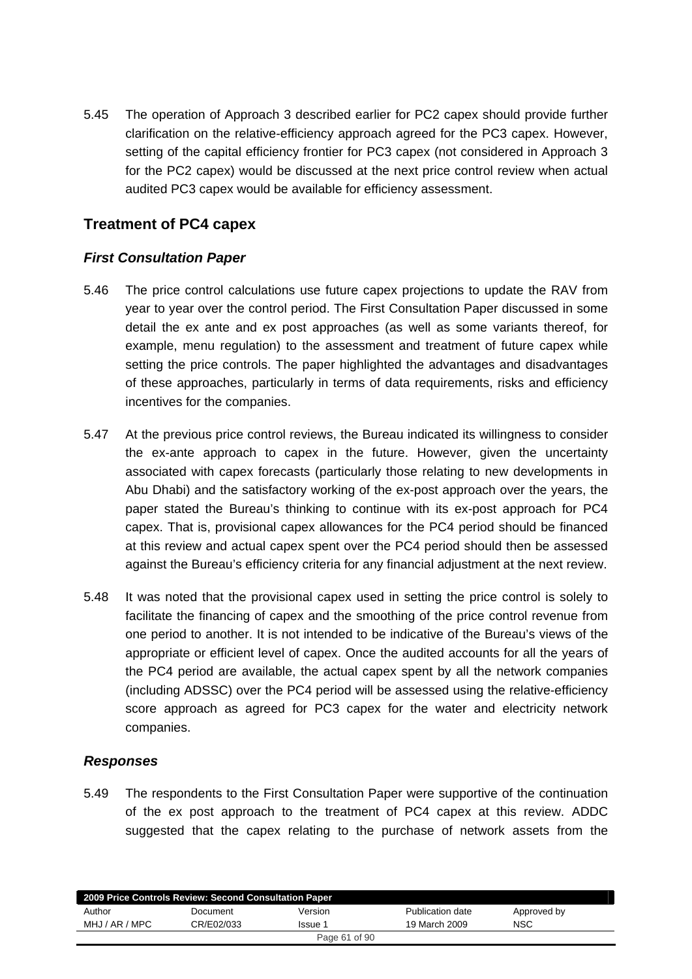5.45 The operation of Approach 3 described earlier for PC2 capex should provide further clarification on the relative-efficiency approach agreed for the PC3 capex. However, setting of the capital efficiency frontier for PC3 capex (not considered in Approach 3 for the PC2 capex) would be discussed at the next price control review when actual audited PC3 capex would be available for efficiency assessment.

# **Treatment of PC4 capex**

### *First Consultation Paper*

- 5.46 The price control calculations use future capex projections to update the RAV from year to year over the control period. The First Consultation Paper discussed in some detail the ex ante and ex post approaches (as well as some variants thereof, for example, menu regulation) to the assessment and treatment of future capex while setting the price controls. The paper highlighted the advantages and disadvantages of these approaches, particularly in terms of data requirements, risks and efficiency incentives for the companies.
- 5.47 At the previous price control reviews, the Bureau indicated its willingness to consider the ex-ante approach to capex in the future. However, given the uncertainty associated with capex forecasts (particularly those relating to new developments in Abu Dhabi) and the satisfactory working of the ex-post approach over the years, the paper stated the Bureau's thinking to continue with its ex-post approach for PC4 capex. That is, provisional capex allowances for the PC4 period should be financed at this review and actual capex spent over the PC4 period should then be assessed against the Bureau's efficiency criteria for any financial adjustment at the next review.
- 5.48 It was noted that the provisional capex used in setting the price control is solely to facilitate the financing of capex and the smoothing of the price control revenue from one period to another. It is not intended to be indicative of the Bureau's views of the appropriate or efficient level of capex. Once the audited accounts for all the years of the PC4 period are available, the actual capex spent by all the network companies (including ADSSC) over the PC4 period will be assessed using the relative-efficiency score approach as agreed for PC3 capex for the water and electricity network companies.

### *Responses*

5.49 The respondents to the First Consultation Paper were supportive of the continuation of the ex post approach to the treatment of PC4 capex at this review. ADDC suggested that the capex relating to the purchase of network assets from the

| 2009 Price Controls Review: Second Consultation Paper |            |               |                  |             |  |  |  |  |
|-------------------------------------------------------|------------|---------------|------------------|-------------|--|--|--|--|
| Author                                                | Document   | Version       | Publication date | Approved by |  |  |  |  |
| MHJ / AR / MPC                                        | CR/E02/033 | Issue 1       | 19 March 2009    | <b>NSC</b>  |  |  |  |  |
|                                                       |            | Page 61 of 90 |                  |             |  |  |  |  |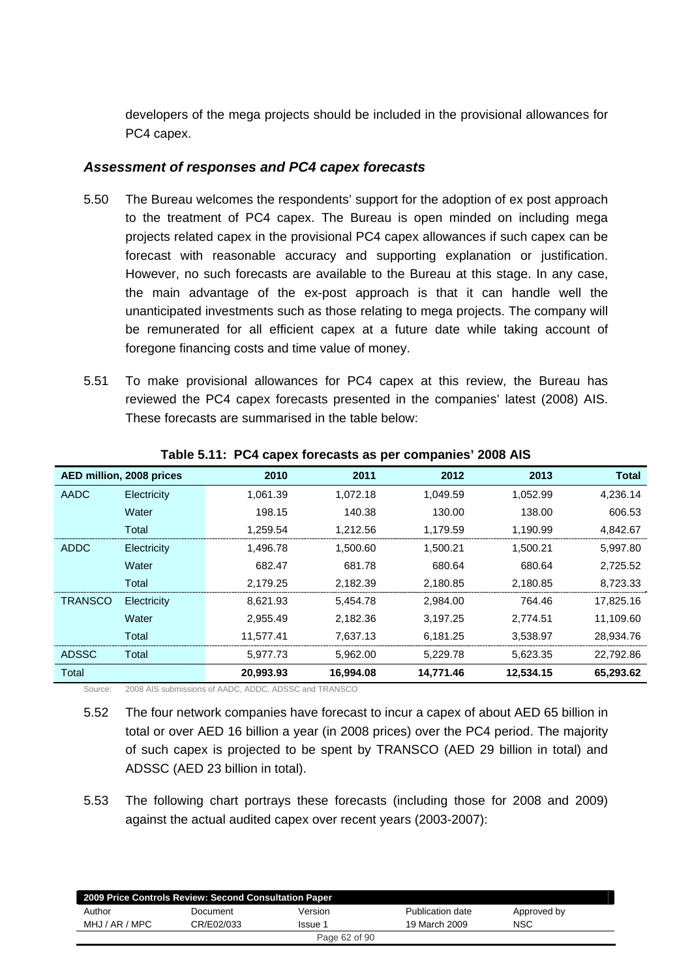developers of the mega projects should be included in the provisional allowances for PC4 capex.

#### *Assessment of responses and PC4 capex forecasts*

- 5.50 The Bureau welcomes the respondents' support for the adoption of ex post approach to the treatment of PC4 capex. The Bureau is open minded on including mega projects related capex in the provisional PC4 capex allowances if such capex can be forecast with reasonable accuracy and supporting explanation or justification. However, no such forecasts are available to the Bureau at this stage. In any case, the main advantage of the ex-post approach is that it can handle well the unanticipated investments such as those relating to mega projects. The company will be remunerated for all efficient capex at a future date while taking account of foregone financing costs and time value of money.
- 5.51 To make provisional allowances for PC4 capex at this review, the Bureau has reviewed the PC4 capex forecasts presented in the companies' latest (2008) AIS. These forecasts are summarised in the table below:

|                | AED million, 2008 prices | 2010      | 2011      | 2012      | 2013      | <b>Total</b> |
|----------------|--------------------------|-----------|-----------|-----------|-----------|--------------|
| AADC           | Electricity              | 1.061.39  | 1,072.18  | 1.049.59  | 1.052.99  | 4.236.14     |
|                | Water                    | 198.15    | 140.38    | 130.00    | 138.00    | 606.53       |
|                | Total                    | 1.259.54  | 1.212.56  | 1,179.59  | 1.190.99  | 4,842.67     |
| ADDC           | Electricity              | 1.496.78  | 1.500.60  | 1.500.21  | 1.500.21  | 5.997.80     |
|                | Water                    | 682.47    | 681.78    | 680.64    | 680.64    | 2.725.52     |
|                | Total                    | 2.179.25  | 2.182.39  | 2.180.85  | 2.180.85  | 8.723.33     |
| <b>TRANSCO</b> | Electricity              | 8.621.93  | 5.454.78  | 2.984.00  | 764.46    | 17,825.16    |
|                | Water                    | 2.955.49  | 2.182.36  | 3.197.25  | 2.774.51  | 11.109.60    |
|                | Total                    | 11.577.41 | 7.637.13  | 6.181.25  | 3.538.97  | 28.934.76    |
| <b>ADSSC</b>   | Total                    | 5.977.73  | 5,962.00  | 5,229.78  | 5,623.35  | 22,792.86    |
| Total          |                          | 20,993.93 | 16,994.08 | 14,771.46 | 12,534.15 | 65,293.62    |

**Table 5.11: PC4 capex forecasts as per companies' 2008 AIS** 

Source: 2008 AIS submissions of AADC, ADDC, ADSSC and TRANSCO

5.52 The four network companies have forecast to incur a capex of about AED 65 billion in total or over AED 16 billion a year (in 2008 prices) over the PC4 period. The majority of such capex is projected to be spent by TRANSCO (AED 29 billion in total) and ADSSC (AED 23 billion in total).

5.53 The following chart portrays these forecasts (including those for 2008 and 2009) against the actual audited capex over recent years (2003-2007):

| 2009 Price Controls Review: Second Consultation Paper |            |               |                  |             |  |  |  |  |
|-------------------------------------------------------|------------|---------------|------------------|-------------|--|--|--|--|
| Author                                                | Document   | Version       | Publication date | Approved by |  |  |  |  |
| MHJ / AR / MPC                                        | CR/E02/033 | Issue 1       | 19 March 2009    | NSC         |  |  |  |  |
|                                                       |            | Page 62 of 90 |                  |             |  |  |  |  |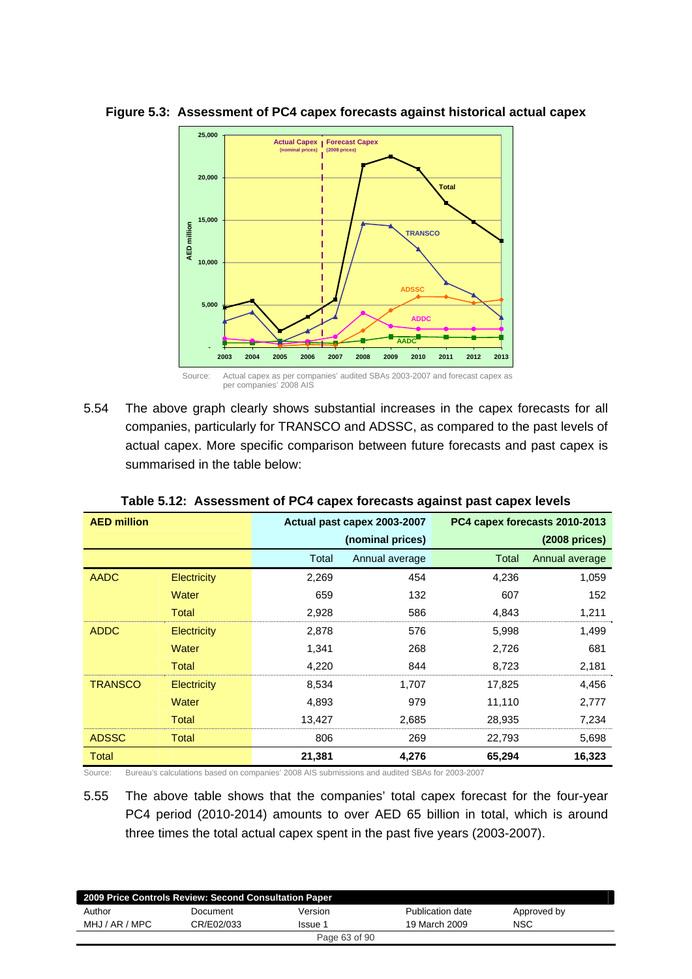

#### **Figure 5.3: Assessment of PC4 capex forecasts against historical actual capex**

5.54 The above graph clearly shows substantial increases in the capex forecasts for all companies, particularly for TRANSCO and ADSSC, as compared to the past levels of actual capex. More specific comparison between future forecasts and past capex is summarised in the table below:

| <b>AED million</b> |                    |        | Actual past capex 2003-2007 |        | PC4 capex forecasts 2010-2013 |
|--------------------|--------------------|--------|-----------------------------|--------|-------------------------------|
|                    |                    |        | (nominal prices)            |        | $(2008)$ prices)              |
|                    |                    | Total  | Annual average              | Total  | Annual average                |
| <b>AADC</b>        | Electricity        | 2,269  | 454                         | 4,236  | 1,059                         |
|                    | Water              | 659    | 132                         | 607    | 152                           |
|                    | Total              | 2,928  | 586                         | 4,843  | 1,211                         |
| <b>ADDC</b>        | <b>Electricity</b> | 2,878  | 576                         | 5,998  | 1,499                         |
|                    | Water              | 1,341  | 268                         | 2,726  | 681                           |
|                    | Total              | 4,220  | 844                         | 8,723  | 2,181                         |
| <b>TRANSCO</b>     | <b>Electricity</b> | 8,534  | 1,707                       | 17,825 | 4,456                         |
|                    | Water              | 4,893  | 979                         | 11,110 | 2,777                         |
|                    | Total              | 13,427 | 2,685                       | 28,935 | 7,234                         |
| <b>ADSSC</b>       | Total              | 806    | 269                         | 22,793 | 5,698                         |
| Total              |                    | 21,381 | 4,276                       | 65,294 | 16,323                        |

**Table 5.12: Assessment of PC4 capex forecasts against past capex levels** 

Source: Bureau's calculations based on companies' 2008 AIS submissions and audited SBAs for 2003-2007

5.55 The above table shows that the companies' total capex forecast for the four-year PC4 period (2010-2014) amounts to over AED 65 billion in total, which is around three times the total actual capex spent in the past five years (2003-2007).

| 2009 Price Controls Review: Second Consultation Paper |            |               |                  |             |  |  |  |  |
|-------------------------------------------------------|------------|---------------|------------------|-------------|--|--|--|--|
| Author                                                | Document   | Version       | Publication date | Approved by |  |  |  |  |
| MHJ / AR / MPC                                        | CR/E02/033 | Issue 1       | 19 March 2009    | NSC         |  |  |  |  |
|                                                       |            | Page 63 of 90 |                  |             |  |  |  |  |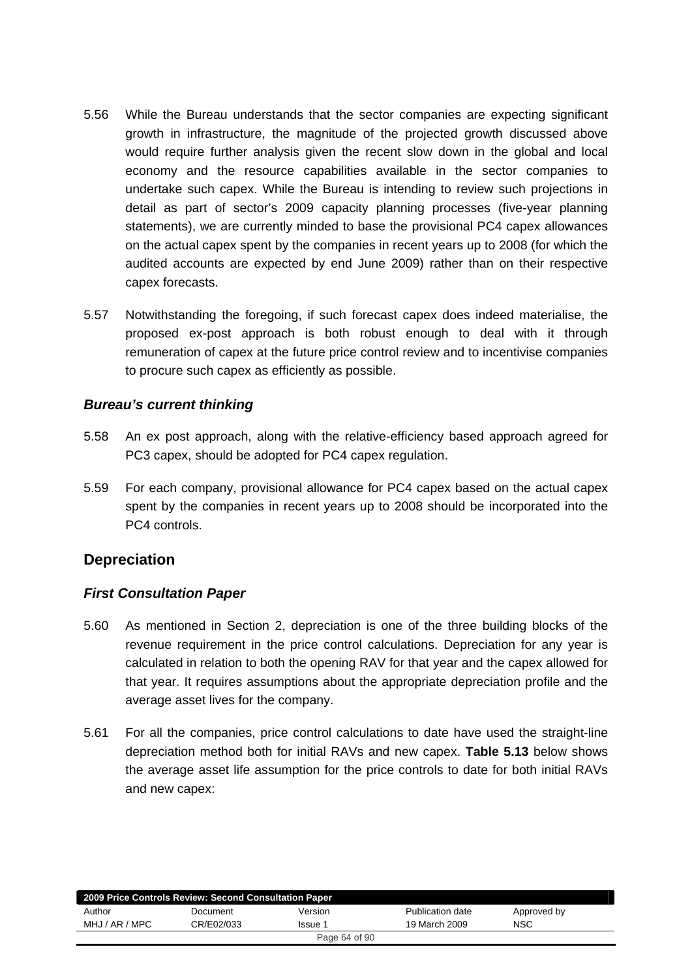- 5.56 While the Bureau understands that the sector companies are expecting significant growth in infrastructure, the magnitude of the projected growth discussed above would require further analysis given the recent slow down in the global and local economy and the resource capabilities available in the sector companies to undertake such capex. While the Bureau is intending to review such projections in detail as part of sector's 2009 capacity planning processes (five-year planning statements), we are currently minded to base the provisional PC4 capex allowances on the actual capex spent by the companies in recent years up to 2008 (for which the audited accounts are expected by end June 2009) rather than on their respective capex forecasts.
- 5.57 Notwithstanding the foregoing, if such forecast capex does indeed materialise, the proposed ex-post approach is both robust enough to deal with it through remuneration of capex at the future price control review and to incentivise companies to procure such capex as efficiently as possible.

### *Bureau's current thinking*

- 5.58 An ex post approach, along with the relative-efficiency based approach agreed for PC3 capex, should be adopted for PC4 capex regulation.
- 5.59 For each company, provisional allowance for PC4 capex based on the actual capex spent by the companies in recent years up to 2008 should be incorporated into the PC4 controls.

### **Depreciation**

### *First Consultation Paper*

- 5.60 As mentioned in Section 2, depreciation is one of the three building blocks of the revenue requirement in the price control calculations. Depreciation for any year is calculated in relation to both the opening RAV for that year and the capex allowed for that year. It requires assumptions about the appropriate depreciation profile and the average asset lives for the company.
- 5.61 For all the companies, price control calculations to date have used the straight-line depreciation method both for initial RAVs and new capex. **Table 5.13** below shows the average asset life assumption for the price controls to date for both initial RAVs and new capex:

| 2009 Price Controls Review: Second Consultation Paper |            |         |                  |             |  |  |  |  |  |
|-------------------------------------------------------|------------|---------|------------------|-------------|--|--|--|--|--|
| Author                                                | Document   | Version | Publication date | Approved by |  |  |  |  |  |
| MHJ / AR / MPC                                        | CR/E02/033 | Issue 1 | 19 March 2009    | NSC         |  |  |  |  |  |
| Page 64 of 90                                         |            |         |                  |             |  |  |  |  |  |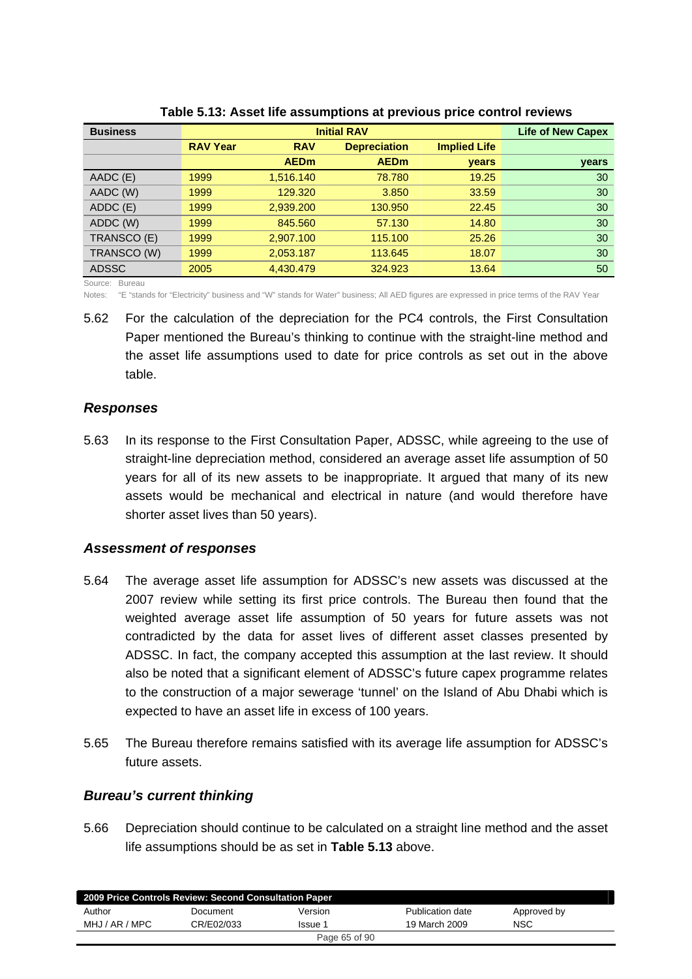| <b>Business</b> |                 | <b>Life of New Capex</b> |                     |                     |       |
|-----------------|-----------------|--------------------------|---------------------|---------------------|-------|
|                 | <b>RAV Year</b> | <b>RAV</b>               | <b>Depreciation</b> | <b>Implied Life</b> |       |
|                 |                 | <b>AEDm</b>              | <b>AEDm</b>         | <b>vears</b>        | years |
| AADC (E)        | 1999            | 1,516.140                | 78.780              | 19.25               | 30    |
| AADC (W)        | 1999            | 129,320                  | 3.850               | 33.59               | 30    |
| ADDC (E)        | 1999            | 2,939.200                | 130.950             | 22.45               | 30    |
| ADDC (W)        | 1999            | 845,560                  | 57.130              | 14.80               | 30    |
| TRANSCO (E)     | 1999            | 2,907.100                | 115.100             | 25.26               | 30    |
| TRANSCO (W)     | 1999            | 2,053.187                | 113.645             | 18.07               | 30    |
| <b>ADSSC</b>    | 2005            | 4,430.479                | 324.923             | 13.64               | 50    |

**Table 5.13: Asset life assumptions at previous price control reviews** 

Source: Bureau

Notes: "E "stands for "Electricity" business and "W" stands for Water" business; All AED figures are expressed in price terms of the RAV Year

5.62 For the calculation of the depreciation for the PC4 controls, the First Consultation Paper mentioned the Bureau's thinking to continue with the straight-line method and the asset life assumptions used to date for price controls as set out in the above table.

#### *Responses*

5.63 In its response to the First Consultation Paper, ADSSC, while agreeing to the use of straight-line depreciation method, considered an average asset life assumption of 50 years for all of its new assets to be inappropriate. It argued that many of its new assets would be mechanical and electrical in nature (and would therefore have shorter asset lives than 50 years).

### *Assessment of responses*

- 5.64 The average asset life assumption for ADSSC's new assets was discussed at the 2007 review while setting its first price controls. The Bureau then found that the weighted average asset life assumption of 50 years for future assets was not contradicted by the data for asset lives of different asset classes presented by ADSSC. In fact, the company accepted this assumption at the last review. It should also be noted that a significant element of ADSSC's future capex programme relates to the construction of a major sewerage 'tunnel' on the Island of Abu Dhabi which is expected to have an asset life in excess of 100 years.
- 5.65 The Bureau therefore remains satisfied with its average life assumption for ADSSC's future assets.

### *Bureau's current thinking*

5.66 Depreciation should continue to be calculated on a straight line method and the asset life assumptions should be as set in **Table 5.13** above.

|                | 2009 Price Controls Review: Second Consultation Paper |               |                  |             |  |
|----------------|-------------------------------------------------------|---------------|------------------|-------------|--|
| Author         | Document                                              | Version       | Publication date | Approved by |  |
| MHJ / AR / MPC | CR/E02/033                                            | Issue 1       | 19 March 2009    | <b>NSC</b>  |  |
|                |                                                       | Page 65 of 90 |                  |             |  |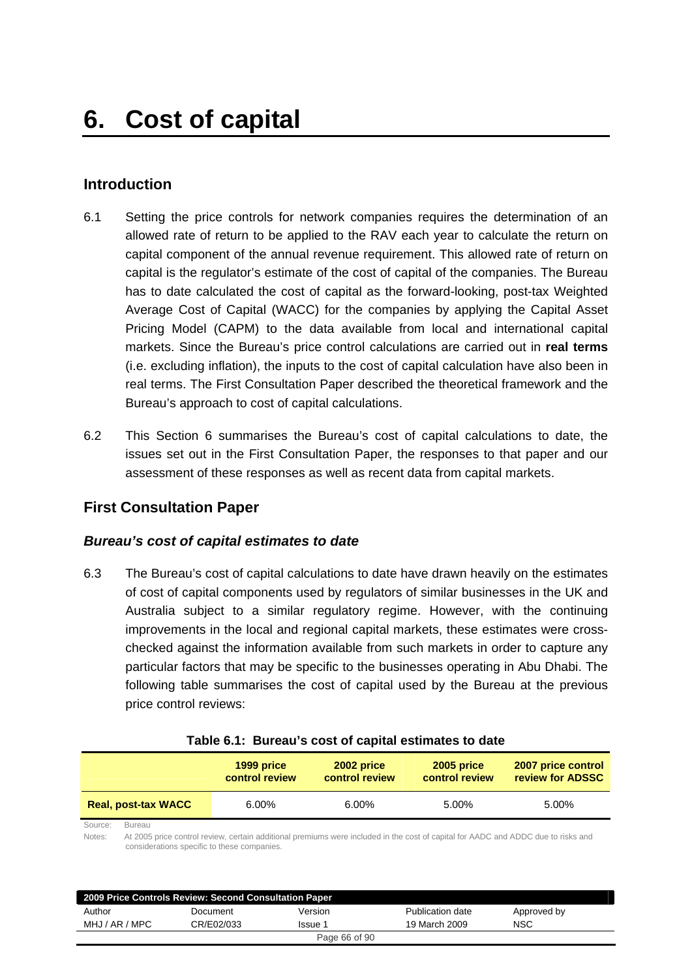# **Introduction**

- 6.1 Setting the price controls for network companies requires the determination of an allowed rate of return to be applied to the RAV each year to calculate the return on capital component of the annual revenue requirement. This allowed rate of return on capital is the regulator's estimate of the cost of capital of the companies. The Bureau has to date calculated the cost of capital as the forward-looking, post-tax Weighted Average Cost of Capital (WACC) for the companies by applying the Capital Asset Pricing Model (CAPM) to the data available from local and international capital markets. Since the Bureau's price control calculations are carried out in **real terms** (i.e. excluding inflation), the inputs to the cost of capital calculation have also been in real terms. The First Consultation Paper described the theoretical framework and the Bureau's approach to cost of capital calculations.
- 6.2 This Section 6 summarises the Bureau's cost of capital calculations to date, the issues set out in the First Consultation Paper, the responses to that paper and our assessment of these responses as well as recent data from capital markets.

### **First Consultation Paper**

### *Bureau's cost of capital estimates to date*

6.3 The Bureau's cost of capital calculations to date have drawn heavily on the estimates of cost of capital components used by regulators of similar businesses in the UK and Australia subject to a similar regulatory regime. However, with the continuing improvements in the local and regional capital markets, these estimates were crosschecked against the information available from such markets in order to capture any particular factors that may be specific to the businesses operating in Abu Dhabi. The following table summarises the cost of capital used by the Bureau at the previous price control reviews:

|                            |                                                                                                                                                                                            | 1999 price<br>control review | 2002 price<br>control review | 2005 price<br>control review | 2007 price control<br>review for ADSSC |  |  |
|----------------------------|--------------------------------------------------------------------------------------------------------------------------------------------------------------------------------------------|------------------------------|------------------------------|------------------------------|----------------------------------------|--|--|
| <b>Real, post-tax WACC</b> |                                                                                                                                                                                            | $6.00\%$                     | $6.00\%$                     | 5.00%                        | 5.00%                                  |  |  |
| Source:<br>Notes:          | Bureau<br>At 2005 price control review, certain additional premiums were included in the cost of capital for AADC and ADDC due to risks and<br>considerations specific to these companies. |                              |                              |                              |                                        |  |  |

| Table 6.1: Bureau's cost of capital estimates to date |  |  |  |  |  |
|-------------------------------------------------------|--|--|--|--|--|
|-------------------------------------------------------|--|--|--|--|--|

|                | 2009 Price Controls Review: Second Consultation Paper |               |                  |             |  |
|----------------|-------------------------------------------------------|---------------|------------------|-------------|--|
| Author         | Document                                              | Version       | Publication date | Approved by |  |
| MHJ / AR / MPC | CR/E02/033                                            | Issue 1       | 19 March 2009    | <b>NSC</b>  |  |
|                |                                                       | Page 66 of 90 |                  |             |  |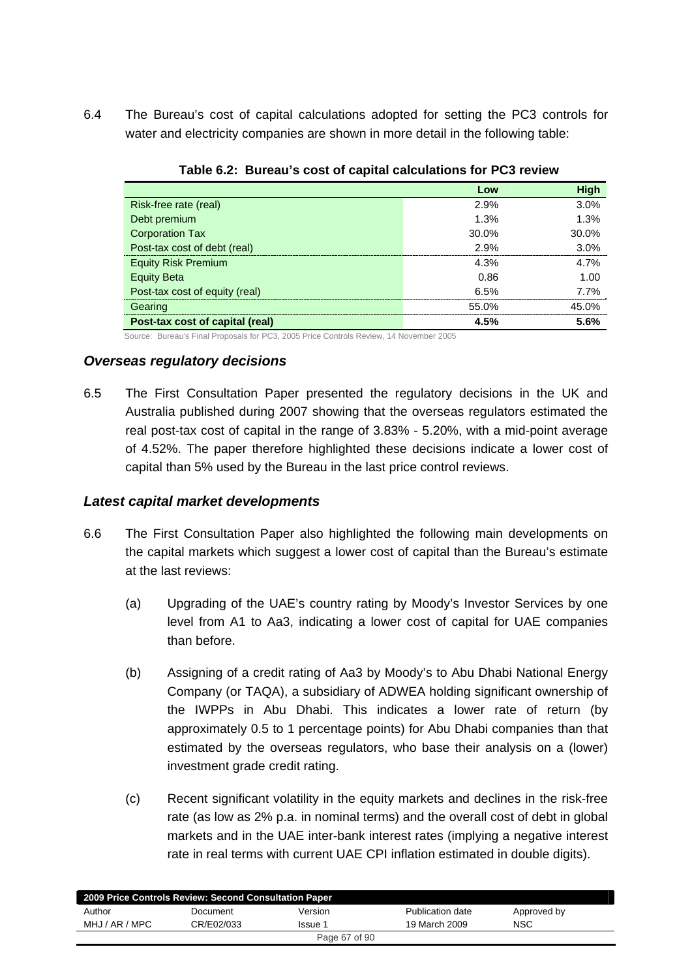6.4 The Bureau's cost of capital calculations adopted for setting the PC3 controls for water and electricity companies are shown in more detail in the following table:

|                                 | Low   | <b>High</b> |  |  |  |  |
|---------------------------------|-------|-------------|--|--|--|--|
| Risk-free rate (real)           | 2.9%  | 3.0%        |  |  |  |  |
| Debt premium                    | 1.3%  | 1.3%        |  |  |  |  |
| <b>Corporation Tax</b>          | 30.0% | 30.0%       |  |  |  |  |
| Post-tax cost of debt (real)    | 2.9%  | 3.0%        |  |  |  |  |
| <b>Equity Risk Premium</b>      | 4.3%  | 4.7%        |  |  |  |  |
| <b>Equity Beta</b>              | 0.86  | 1.00        |  |  |  |  |
| Post-tax cost of equity (real)  | 6.5%  | 7.7%        |  |  |  |  |
| Gearing                         | 55.0% | 45.0%       |  |  |  |  |
| Post-tax cost of capital (real) | 4.5%  | 5.6%        |  |  |  |  |

|  | Table 6.2: Bureau's cost of capital calculations for PC3 review |  |
|--|-----------------------------------------------------------------|--|
|  |                                                                 |  |

Source: Bureau's Final Proposals for PC3, 2005 Price Controls Review, 14 November 2005

### *Overseas regulatory decisions*

6.5 The First Consultation Paper presented the regulatory decisions in the UK and Australia published during 2007 showing that the overseas regulators estimated the real post-tax cost of capital in the range of 3.83% - 5.20%, with a mid-point average of 4.52%. The paper therefore highlighted these decisions indicate a lower cost of capital than 5% used by the Bureau in the last price control reviews.

### *Latest capital market developments*

- 6.6 The First Consultation Paper also highlighted the following main developments on the capital markets which suggest a lower cost of capital than the Bureau's estimate at the last reviews:
	- (a) Upgrading of the UAE's country rating by Moody's Investor Services by one level from A1 to Aa3, indicating a lower cost of capital for UAE companies than before.
	- (b) Assigning of a credit rating of Aa3 by Moody's to Abu Dhabi National Energy Company (or TAQA), a subsidiary of ADWEA holding significant ownership of the IWPPs in Abu Dhabi. This indicates a lower rate of return (by approximately 0.5 to 1 percentage points) for Abu Dhabi companies than that estimated by the overseas regulators, who base their analysis on a (lower) investment grade credit rating.
	- (c) Recent significant volatility in the equity markets and declines in the risk-free rate (as low as 2% p.a. in nominal terms) and the overall cost of debt in global markets and in the UAE inter-bank interest rates (implying a negative interest rate in real terms with current UAE CPI inflation estimated in double digits).

| 2009 Price Controls Review: Second Consultation Paper |            |               |                  |             |  |  |
|-------------------------------------------------------|------------|---------------|------------------|-------------|--|--|
| Author                                                | Document   | Version       | Publication date | Approved by |  |  |
| MHJ / AR / MPC                                        | CR/E02/033 | Issue 1       | 19 March 2009    | NSC         |  |  |
|                                                       |            | Page 67 of 90 |                  |             |  |  |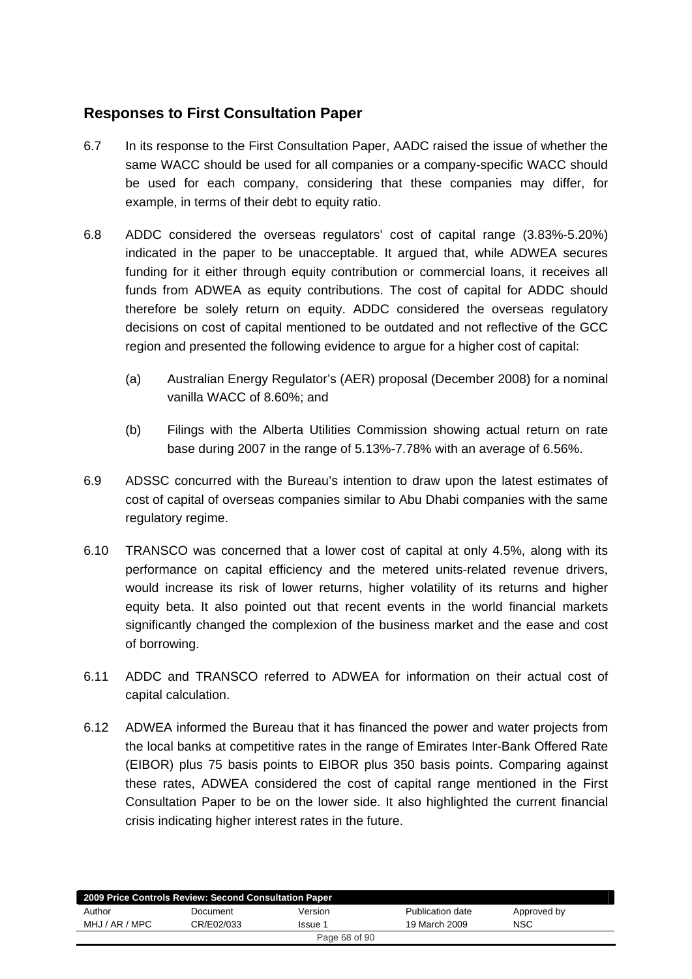# **Responses to First Consultation Paper**

- 6.7 In its response to the First Consultation Paper, AADC raised the issue of whether the same WACC should be used for all companies or a company-specific WACC should be used for each company, considering that these companies may differ, for example, in terms of their debt to equity ratio.
- 6.8 ADDC considered the overseas regulators' cost of capital range (3.83%-5.20%) indicated in the paper to be unacceptable. It argued that, while ADWEA secures funding for it either through equity contribution or commercial loans, it receives all funds from ADWEA as equity contributions. The cost of capital for ADDC should therefore be solely return on equity. ADDC considered the overseas regulatory decisions on cost of capital mentioned to be outdated and not reflective of the GCC region and presented the following evidence to argue for a higher cost of capital:
	- (a) Australian Energy Regulator's (AER) proposal (December 2008) for a nominal vanilla WACC of 8.60%; and
	- (b) Filings with the Alberta Utilities Commission showing actual return on rate base during 2007 in the range of 5.13%-7.78% with an average of 6.56%.
- 6.9 ADSSC concurred with the Bureau's intention to draw upon the latest estimates of cost of capital of overseas companies similar to Abu Dhabi companies with the same regulatory regime.
- 6.10 TRANSCO was concerned that a lower cost of capital at only 4.5%, along with its performance on capital efficiency and the metered units-related revenue drivers, would increase its risk of lower returns, higher volatility of its returns and higher equity beta. It also pointed out that recent events in the world financial markets significantly changed the complexion of the business market and the ease and cost of borrowing.
- 6.11 ADDC and TRANSCO referred to ADWEA for information on their actual cost of capital calculation.
- 6.12 ADWEA informed the Bureau that it has financed the power and water projects from the local banks at competitive rates in the range of Emirates Inter-Bank Offered Rate (EIBOR) plus 75 basis points to EIBOR plus 350 basis points. Comparing against these rates, ADWEA considered the cost of capital range mentioned in the First Consultation Paper to be on the lower side. It also highlighted the current financial crisis indicating higher interest rates in the future.

| 2009 Price Controls Review: Second Consultation Paper |            |         |                  |             |  |  |
|-------------------------------------------------------|------------|---------|------------------|-------------|--|--|
| Author                                                | Document   | Version | Publication date | Approved by |  |  |
| MHJ / AR / MPC                                        | CR/E02/033 | Issue 1 | 19 March 2009    | <b>NSC</b>  |  |  |
| Page 68 of 90                                         |            |         |                  |             |  |  |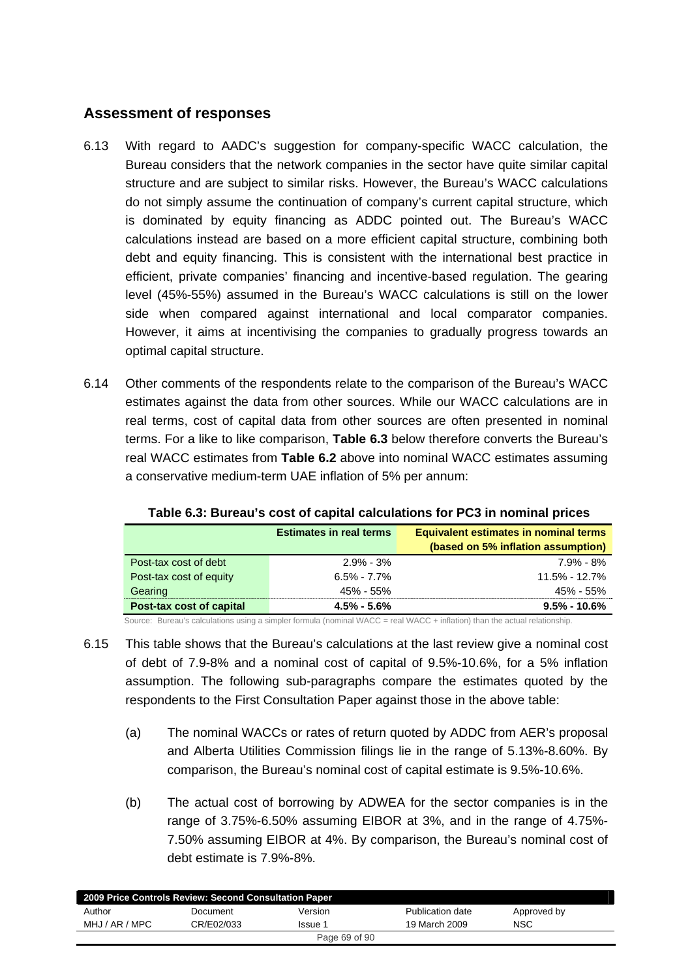# **Assessment of responses**

- 6.13 With regard to AADC's suggestion for company-specific WACC calculation, the Bureau considers that the network companies in the sector have quite similar capital structure and are subject to similar risks. However, the Bureau's WACC calculations do not simply assume the continuation of company's current capital structure, which is dominated by equity financing as ADDC pointed out. The Bureau's WACC calculations instead are based on a more efficient capital structure, combining both debt and equity financing. This is consistent with the international best practice in efficient, private companies' financing and incentive-based regulation. The gearing level (45%-55%) assumed in the Bureau's WACC calculations is still on the lower side when compared against international and local comparator companies. However, it aims at incentivising the companies to gradually progress towards an optimal capital structure.
- 6.14 Other comments of the respondents relate to the comparison of the Bureau's WACC estimates against the data from other sources. While our WACC calculations are in real terms, cost of capital data from other sources are often presented in nominal terms. For a like to like comparison, **Table 6.3** below therefore converts the Bureau's real WACC estimates from **Table 6.2** above into nominal WACC estimates assuming a conservative medium-term UAE inflation of 5% per annum:

|                          | <b>Estimates in real terms</b> | <b>Equivalent estimates in nominal terms</b> |
|--------------------------|--------------------------------|----------------------------------------------|
|                          |                                | (based on 5% inflation assumption)           |
| Post-tax cost of debt    | $2.9\%$ - $3\%$                | $7.9\%$ - 8%                                 |
| Post-tax cost of equity  | $6.5\% - 7.7\%$                | 11.5% - 12.7%                                |
| Gearing                  | 45% - 55%                      | 45% - 55%                                    |
| Post-tax cost of capital | $4.5\% - 5.6\%$                | $9.5\%$ - 10.6%                              |

#### **Table 6.3: Bureau's cost of capital calculations for PC3 in nominal prices**

Source: Bureau's calculations using a simpler formula (nominal WACC = real WACC + inflation) than the actual relationship.

- 6.15 This table shows that the Bureau's calculations at the last review give a nominal cost of debt of 7.9-8% and a nominal cost of capital of 9.5%-10.6%, for a 5% inflation assumption. The following sub-paragraphs compare the estimates quoted by the respondents to the First Consultation Paper against those in the above table:
	- (a) The nominal WACCs or rates of return quoted by ADDC from AER's proposal and Alberta Utilities Commission filings lie in the range of 5.13%-8.60%. By comparison, the Bureau's nominal cost of capital estimate is 9.5%-10.6%.
	- (b) The actual cost of borrowing by ADWEA for the sector companies is in the range of 3.75%-6.50% assuming EIBOR at 3%, and in the range of 4.75%- 7.50% assuming EIBOR at 4%. By comparison, the Bureau's nominal cost of debt estimate is 7.9%-8%.

|                | 2009 Price Controls Review: Second Consultation Paper |               |                  |             |  |
|----------------|-------------------------------------------------------|---------------|------------------|-------------|--|
| Author         | Document                                              | Version       | Publication date | Approved by |  |
| MHJ / AR / MPC | CR/E02/033                                            | Issue 1       | 19 March 2009    | <b>NSC</b>  |  |
|                |                                                       | Page 69 of 90 |                  |             |  |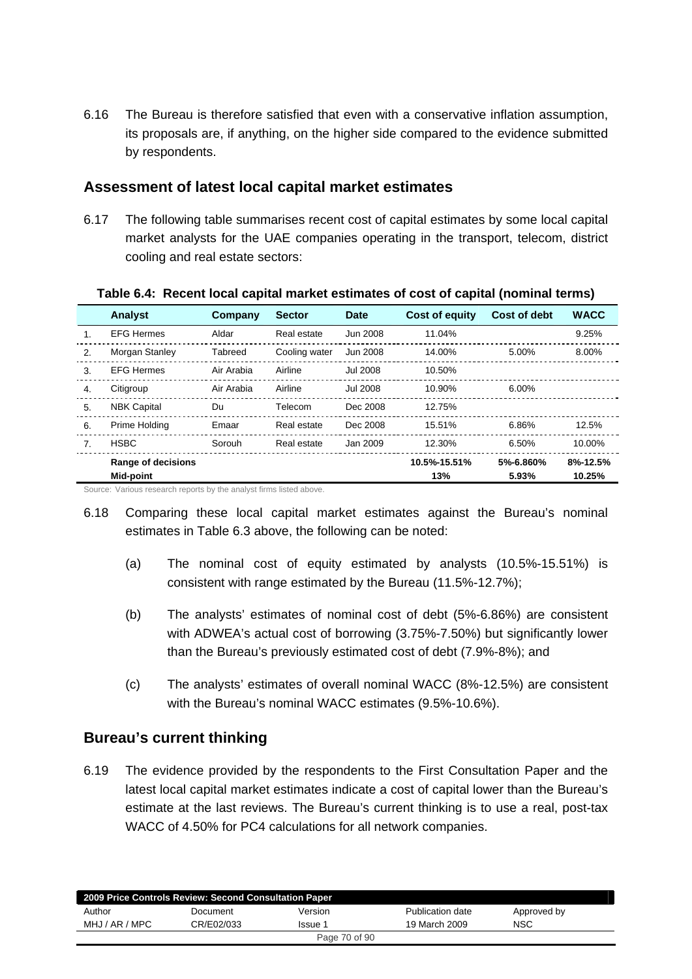6.16 The Bureau is therefore satisfied that even with a conservative inflation assumption, its proposals are, if anything, on the higher side compared to the evidence submitted by respondents.

### **Assessment of latest local capital market estimates**

6.17 The following table summarises recent cost of capital estimates by some local capital market analysts for the UAE companies operating in the transport, telecom, district cooling and real estate sectors:

|    | Analyst            | Company    | <b>Sector</b> | Date            | Cost of equity | <b>Cost of debt</b> | <b>WACC</b> |
|----|--------------------|------------|---------------|-----------------|----------------|---------------------|-------------|
|    | <b>EFG Hermes</b>  | Aldar      | Real estate   | Jun 2008        | 11.04%         |                     | 9.25%       |
| 2. | Morgan Stanley     | Tabreed    | Cooling water | Jun 2008        | 14.00%         | 5.00%               | 8.00%       |
| 3. | <b>EFG Hermes</b>  | Air Arabia | Airline       | <b>Jul 2008</b> | 10.50%         |                     |             |
| 4. | Citigroup          | Air Arabia | Airline       | <b>Jul 2008</b> | 10.90%         | 6.00%               |             |
| 5. | <b>NBK Capital</b> | Du         | Telecom       | Dec 2008        | 12.75%         |                     |             |
| 6. | Prime Holding      | Emaar      | Real estate   | Dec 2008        | 15.51%         | 6.86%               | 12.5%       |
| 7. | <b>HSBC</b>        | Sorouh     | Real estate   | Jan 2009        | 12.30%         | 6.50%               | 10.00%      |
|    | Range of decisions |            |               |                 | 10.5%-15.51%   | 5%-6.860%           | 8%-12.5%    |
|    | Mid-point          |            |               |                 | 13%            | 5.93%               | 10.25%      |

#### **Table 6.4: Recent local capital market estimates of cost of capital (nominal terms)**

Source: Various research reports by the analyst firms listed above.

- 6.18 Comparing these local capital market estimates against the Bureau's nominal estimates in Table 6.3 above, the following can be noted:
	- (a) The nominal cost of equity estimated by analysts (10.5%-15.51%) is consistent with range estimated by the Bureau (11.5%-12.7%);
	- (b) The analysts' estimates of nominal cost of debt (5%-6.86%) are consistent with ADWEA's actual cost of borrowing (3.75%-7.50%) but significantly lower than the Bureau's previously estimated cost of debt (7.9%-8%); and
	- (c) The analysts' estimates of overall nominal WACC (8%-12.5%) are consistent with the Bureau's nominal WACC estimates (9.5%-10.6%).

### **Bureau's current thinking**

6.19 The evidence provided by the respondents to the First Consultation Paper and the latest local capital market estimates indicate a cost of capital lower than the Bureau's estimate at the last reviews. The Bureau's current thinking is to use a real, post-tax WACC of 4.50% for PC4 calculations for all network companies.

|                | 2009 Price Controls Review: Second Consultation Paper |               |                  |             |  |
|----------------|-------------------------------------------------------|---------------|------------------|-------------|--|
| Author         | Document                                              | Version       | Publication date | Approved by |  |
| MHJ / AR / MPC | CR/E02/033                                            | Issue 1       | 19 March 2009    | <b>NSC</b>  |  |
|                |                                                       | Page 70 of 90 |                  |             |  |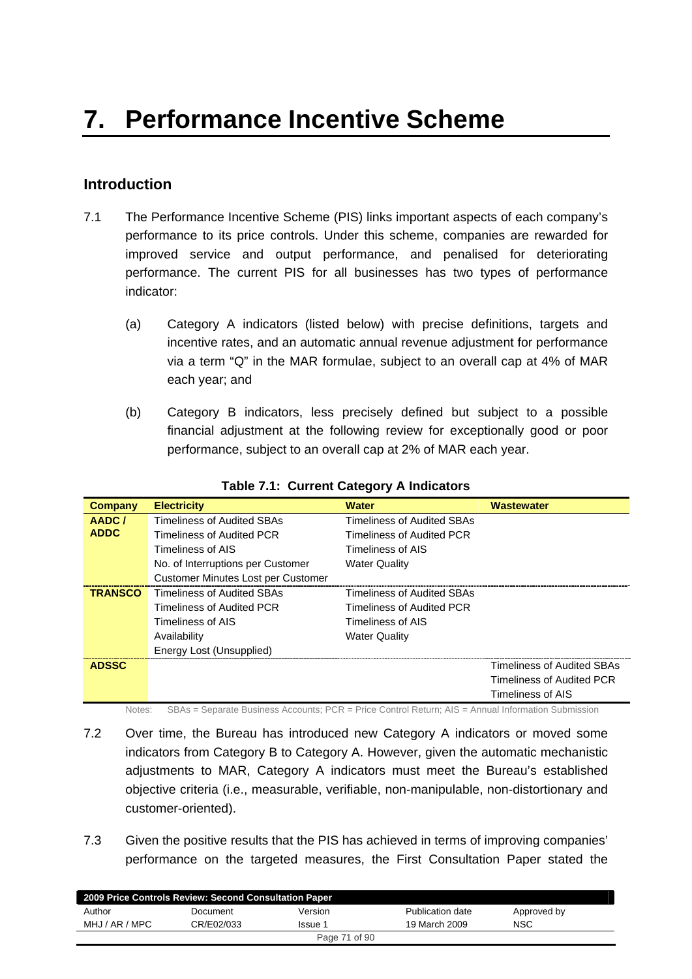# **Introduction**

- 7.1 The Performance Incentive Scheme (PIS) links important aspects of each company's performance to its price controls. Under this scheme, companies are rewarded for improved service and output performance, and penalised for deteriorating performance. The current PIS for all businesses has two types of performance indicator:
	- (a) Category A indicators (listed below) with precise definitions, targets and incentive rates, and an automatic annual revenue adjustment for performance via a term "Q" in the MAR formulae, subject to an overall cap at 4% of MAR each year; and
	- (b) Category B indicators, less precisely defined but subject to a possible financial adjustment at the following review for exceptionally good or poor performance, subject to an overall cap at 2% of MAR each year.

|                |                                    | <b>Water</b>                      |                                   |
|----------------|------------------------------------|-----------------------------------|-----------------------------------|
| <b>Company</b> | <b>Electricity</b>                 |                                   | <b>Wastewater</b>                 |
| AADC/          | Timeliness of Audited SBAs         | <b>Timeliness of Audited SBAs</b> |                                   |
| <b>ADDC</b>    | Timeliness of Audited PCR          | <b>Timeliness of Audited PCR</b>  |                                   |
|                | Timeliness of AIS                  | Timeliness of AIS                 |                                   |
|                | No. of Interruptions per Customer  | <b>Water Quality</b>              |                                   |
|                | Customer Minutes Lost per Customer |                                   |                                   |
| <b>TRANSCO</b> | Timeliness of Audited SBAs         | <b>Timeliness of Audited SBAs</b> |                                   |
|                | Timeliness of Audited PCR          | Timeliness of Audited PCR         |                                   |
|                | Timeliness of AIS                  | Timeliness of AIS                 |                                   |
|                | Availability                       | <b>Water Quality</b>              |                                   |
|                | Energy Lost (Unsupplied)           |                                   |                                   |
| <b>ADSSC</b>   |                                    |                                   | <b>Timeliness of Audited SBAs</b> |
|                |                                    |                                   | Timeliness of Audited PCR         |
|                |                                    |                                   | Timeliness of AIS                 |

**Table 7.1: Current Category A Indicators** 

Notes: SBAs = Separate Business Accounts; PCR = Price Control Return; AIS = Annual Information Submission

- 7.2 Over time, the Bureau has introduced new Category A indicators or moved some indicators from Category B to Category A. However, given the automatic mechanistic adjustments to MAR, Category A indicators must meet the Bureau's established objective criteria (i.e., measurable, verifiable, non-manipulable, non-distortionary and customer-oriented).
- 7.3 Given the positive results that the PIS has achieved in terms of improving companies' performance on the targeted measures, the First Consultation Paper stated the

| 2009 Price Controls Review: Second Consultation Paper |            |               |                  |             |  |  |  |
|-------------------------------------------------------|------------|---------------|------------------|-------------|--|--|--|
| Author                                                | Document   | Version       | Publication date | Approved by |  |  |  |
| MHJ / AR / MPC                                        | CR/E02/033 | Issue 1       | 19 March 2009    | <b>NSC</b>  |  |  |  |
|                                                       |            | Page 71 of 90 |                  |             |  |  |  |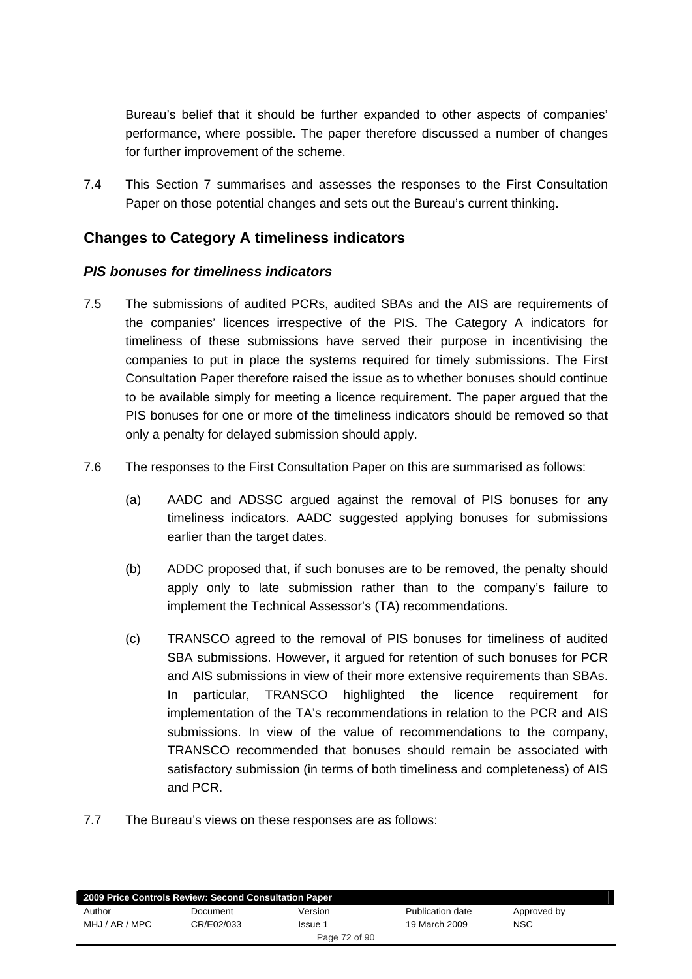Bureau's belief that it should be further expanded to other aspects of companies' performance, where possible. The paper therefore discussed a number of changes for further improvement of the scheme.

7.4 This Section 7 summarises and assesses the responses to the First Consultation Paper on those potential changes and sets out the Bureau's current thinking.

# **Changes to Category A timeliness indicators**

#### *PIS bonuses for timeliness indicators*

- 7.5 The submissions of audited PCRs, audited SBAs and the AIS are requirements of the companies' licences irrespective of the PIS. The Category A indicators for timeliness of these submissions have served their purpose in incentivising the companies to put in place the systems required for timely submissions. The First Consultation Paper therefore raised the issue as to whether bonuses should continue to be available simply for meeting a licence requirement. The paper argued that the PIS bonuses for one or more of the timeliness indicators should be removed so that only a penalty for delayed submission should apply.
- 7.6 The responses to the First Consultation Paper on this are summarised as follows:
	- (a) AADC and ADSSC argued against the removal of PIS bonuses for any timeliness indicators. AADC suggested applying bonuses for submissions earlier than the target dates.
	- (b) ADDC proposed that, if such bonuses are to be removed, the penalty should apply only to late submission rather than to the company's failure to implement the Technical Assessor's (TA) recommendations.
	- (c) TRANSCO agreed to the removal of PIS bonuses for timeliness of audited SBA submissions. However, it argued for retention of such bonuses for PCR and AIS submissions in view of their more extensive requirements than SBAs. In particular, TRANSCO highlighted the licence requirement for implementation of the TA's recommendations in relation to the PCR and AIS submissions. In view of the value of recommendations to the company, TRANSCO recommended that bonuses should remain be associated with satisfactory submission (in terms of both timeliness and completeness) of AIS and PCR.
- 7.7 The Bureau's views on these responses are as follows:

| 2009 Price Controls Review: Second Consultation Paper |            |               |                  |             |  |  |
|-------------------------------------------------------|------------|---------------|------------------|-------------|--|--|
| Author                                                | Document   | Version       | Publication date | Approved by |  |  |
| MHJ / AR / MPC                                        | CR/E02/033 | lssue 1       | 19 March 2009    | <b>NSC</b>  |  |  |
|                                                       |            | Page 72 of 90 |                  |             |  |  |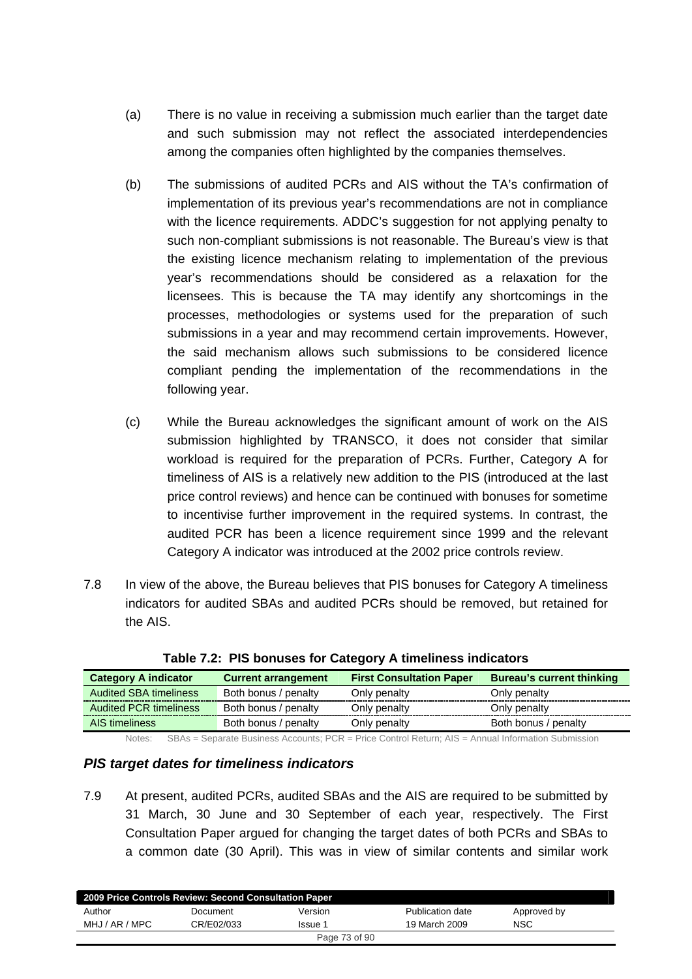- (a) There is no value in receiving a submission much earlier than the target date and such submission may not reflect the associated interdependencies among the companies often highlighted by the companies themselves.
- (b) The submissions of audited PCRs and AIS without the TA's confirmation of implementation of its previous year's recommendations are not in compliance with the licence requirements. ADDC's suggestion for not applying penalty to such non-compliant submissions is not reasonable. The Bureau's view is that the existing licence mechanism relating to implementation of the previous year's recommendations should be considered as a relaxation for the licensees. This is because the TA may identify any shortcomings in the processes, methodologies or systems used for the preparation of such submissions in a year and may recommend certain improvements. However, the said mechanism allows such submissions to be considered licence compliant pending the implementation of the recommendations in the following year.
- (c) While the Bureau acknowledges the significant amount of work on the AIS submission highlighted by TRANSCO, it does not consider that similar workload is required for the preparation of PCRs. Further, Category A for timeliness of AIS is a relatively new addition to the PIS (introduced at the last price control reviews) and hence can be continued with bonuses for sometime to incentivise further improvement in the required systems. In contrast, the audited PCR has been a licence requirement since 1999 and the relevant Category A indicator was introduced at the 2002 price controls review.
- 7.8 In view of the above, the Bureau believes that PIS bonuses for Category A timeliness indicators for audited SBAs and audited PCRs should be removed, but retained for the AIS.

| <b>Category A indicator</b>   | <b>Current arrangement</b> | <b>First Consultation Paper</b> | <b>Bureau's current thinking</b> |
|-------------------------------|----------------------------|---------------------------------|----------------------------------|
| <b>Audited SBA timeliness</b> | Both bonus / penalty       | Only penalty                    | Only penalty                     |
| <b>Audited PCR timeliness</b> | Both bonus / penalty       | Only penalty                    | Only penalty                     |
| AIS timeliness                | Both bonus / penalty       | Only penalty                    | Both bonus / penalty             |
|                               |                            |                                 |                                  |

**Table 7.2: PIS bonuses for Category A timeliness indicators** 

Notes: SBAs = Separate Business Accounts; PCR = Price Control Return; AIS = Annual Information Submission

#### *PIS target dates for timeliness indicators*

7.9 At present, audited PCRs, audited SBAs and the AIS are required to be submitted by 31 March, 30 June and 30 September of each year, respectively. The First Consultation Paper argued for changing the target dates of both PCRs and SBAs to a common date (30 April). This was in view of similar contents and similar work

| 2009 Price Controls Review: Second Consultation Paper |            |         |                  |             |  |  |
|-------------------------------------------------------|------------|---------|------------------|-------------|--|--|
| Author                                                | Document   | Version | Publication date | Approved by |  |  |
| MHJ / AR / MPC                                        | CR/E02/033 | Issue 1 | 19 March 2009    | <b>NSC</b>  |  |  |
| Page 73 of 90                                         |            |         |                  |             |  |  |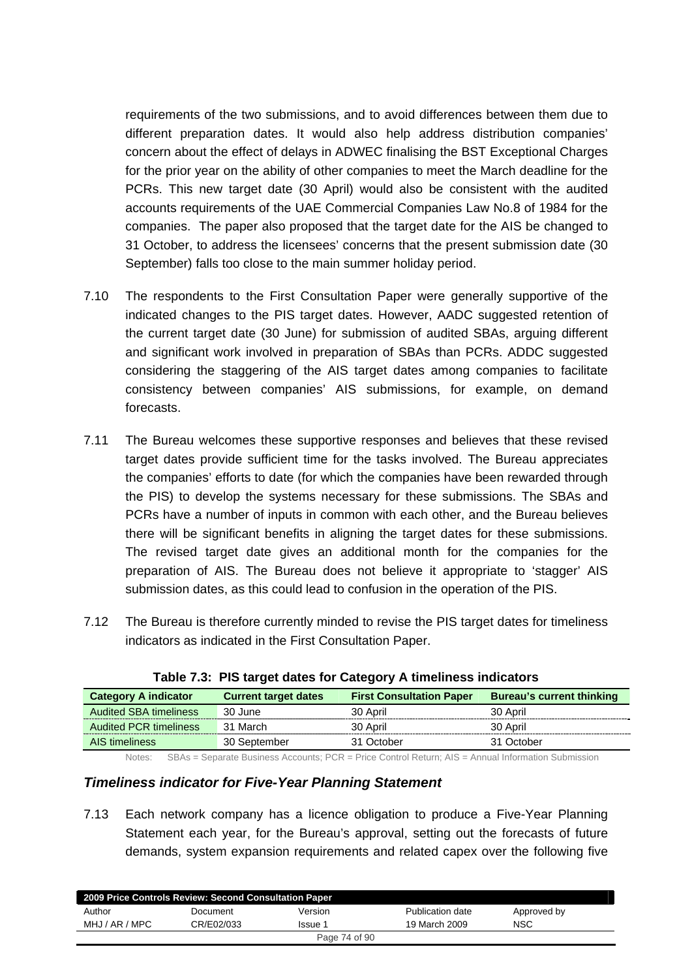requirements of the two submissions, and to avoid differences between them due to different preparation dates. It would also help address distribution companies' concern about the effect of delays in ADWEC finalising the BST Exceptional Charges for the prior year on the ability of other companies to meet the March deadline for the PCRs. This new target date (30 April) would also be consistent with the audited accounts requirements of the UAE Commercial Companies Law No.8 of 1984 for the companies. The paper also proposed that the target date for the AIS be changed to 31 October, to address the licensees' concerns that the present submission date (30 September) falls too close to the main summer holiday period.

- 7.10 The respondents to the First Consultation Paper were generally supportive of the indicated changes to the PIS target dates. However, AADC suggested retention of the current target date (30 June) for submission of audited SBAs, arguing different and significant work involved in preparation of SBAs than PCRs. ADDC suggested considering the staggering of the AIS target dates among companies to facilitate consistency between companies' AIS submissions, for example, on demand forecasts.
- 7.11 The Bureau welcomes these supportive responses and believes that these revised target dates provide sufficient time for the tasks involved. The Bureau appreciates the companies' efforts to date (for which the companies have been rewarded through the PIS) to develop the systems necessary for these submissions. The SBAs and PCRs have a number of inputs in common with each other, and the Bureau believes there will be significant benefits in aligning the target dates for these submissions. The revised target date gives an additional month for the companies for the preparation of AIS. The Bureau does not believe it appropriate to 'stagger' AIS submission dates, as this could lead to confusion in the operation of the PIS.
- 7.12 The Bureau is therefore currently minded to revise the PIS target dates for timeliness indicators as indicated in the First Consultation Paper.

| <b>Table 110. The target adted for bategory A timemboo maleators</b> |                             |                                 |                                  |  |  |
|----------------------------------------------------------------------|-----------------------------|---------------------------------|----------------------------------|--|--|
| <b>Category A indicator</b>                                          | <b>Current target dates</b> | <b>First Consultation Paper</b> | <b>Bureau's current thinking</b> |  |  |
| <b>Audited SBA timeliness</b>                                        | 30 June                     | 30 April                        | 30 April                         |  |  |
| <b>Audited PCR timeliness</b>                                        | 31 March                    | 30 April                        | 30 April                         |  |  |
| AIS timeliness                                                       | 30 September                | 31 October                      | 31 October                       |  |  |

|  |  |  |  | Table 7.3: PIS target dates for Category A timeliness indicators |  |
|--|--|--|--|------------------------------------------------------------------|--|
|--|--|--|--|------------------------------------------------------------------|--|

Notes: SBAs = Separate Business Accounts; PCR = Price Control Return; AIS = Annual Information Submission

#### *Timeliness indicator for Five-Year Planning Statement*

7.13 Each network company has a licence obligation to produce a Five-Year Planning Statement each year, for the Bureau's approval, setting out the forecasts of future demands, system expansion requirements and related capex over the following five

| 2009 Price Controls Review: Second Consultation Paper |            |         |                  |             |  |  |
|-------------------------------------------------------|------------|---------|------------------|-------------|--|--|
| Author                                                | Document   | Version | Publication date | Approved by |  |  |
| MHJ / AR / MPC                                        | CR/E02/033 | Issue 1 | 19 March 2009    | <b>NSC</b>  |  |  |
| Page 74 of 90                                         |            |         |                  |             |  |  |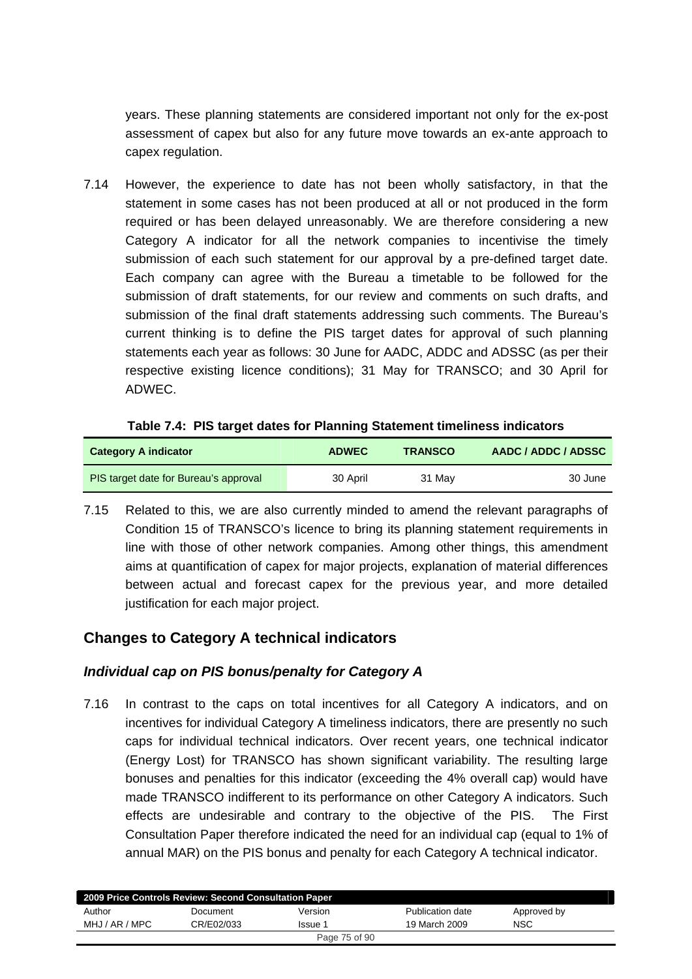years. These planning statements are considered important not only for the ex-post assessment of capex but also for any future move towards an ex-ante approach to capex regulation.

7.14 However, the experience to date has not been wholly satisfactory, in that the statement in some cases has not been produced at all or not produced in the form required or has been delayed unreasonably. We are therefore considering a new Category A indicator for all the network companies to incentivise the timely submission of each such statement for our approval by a pre-defined target date. Each company can agree with the Bureau a timetable to be followed for the submission of draft statements, for our review and comments on such drafts, and submission of the final draft statements addressing such comments. The Bureau's current thinking is to define the PIS target dates for approval of such planning statements each year as follows: 30 June for AADC, ADDC and ADSSC (as per their respective existing licence conditions); 31 May for TRANSCO; and 30 April for ADWEC.

| <b>Category A indicator</b>           | <b>ADWEC</b> | <b>TRANSCO</b> | AADC / ADDC / ADSSC |
|---------------------------------------|--------------|----------------|---------------------|
| PIS target date for Bureau's approval | 30 April     | 31 May         | 30 June             |

7.15 Related to this, we are also currently minded to amend the relevant paragraphs of Condition 15 of TRANSCO's licence to bring its planning statement requirements in line with those of other network companies. Among other things, this amendment aims at quantification of capex for major projects, explanation of material differences between actual and forecast capex for the previous year, and more detailed justification for each major project.

# **Changes to Category A technical indicators**

# *Individual cap on PIS bonus/penalty for Category A*

7.16 In contrast to the caps on total incentives for all Category A indicators, and on incentives for individual Category A timeliness indicators, there are presently no such caps for individual technical indicators. Over recent years, one technical indicator (Energy Lost) for TRANSCO has shown significant variability. The resulting large bonuses and penalties for this indicator (exceeding the 4% overall cap) would have made TRANSCO indifferent to its performance on other Category A indicators. Such effects are undesirable and contrary to the objective of the PIS. The First Consultation Paper therefore indicated the need for an individual cap (equal to 1% of annual MAR) on the PIS bonus and penalty for each Category A technical indicator.

| 2009 Price Controls Review: Second Consultation Paper |            |         |                  |             |  |  |
|-------------------------------------------------------|------------|---------|------------------|-------------|--|--|
| Author                                                | Document   | Version | Publication date | Approved by |  |  |
| MHJ / AR / MPC                                        | CR/E02/033 | Issue 1 | 19 March 2009    | <b>NSC</b>  |  |  |
| Page 75 of 90                                         |            |         |                  |             |  |  |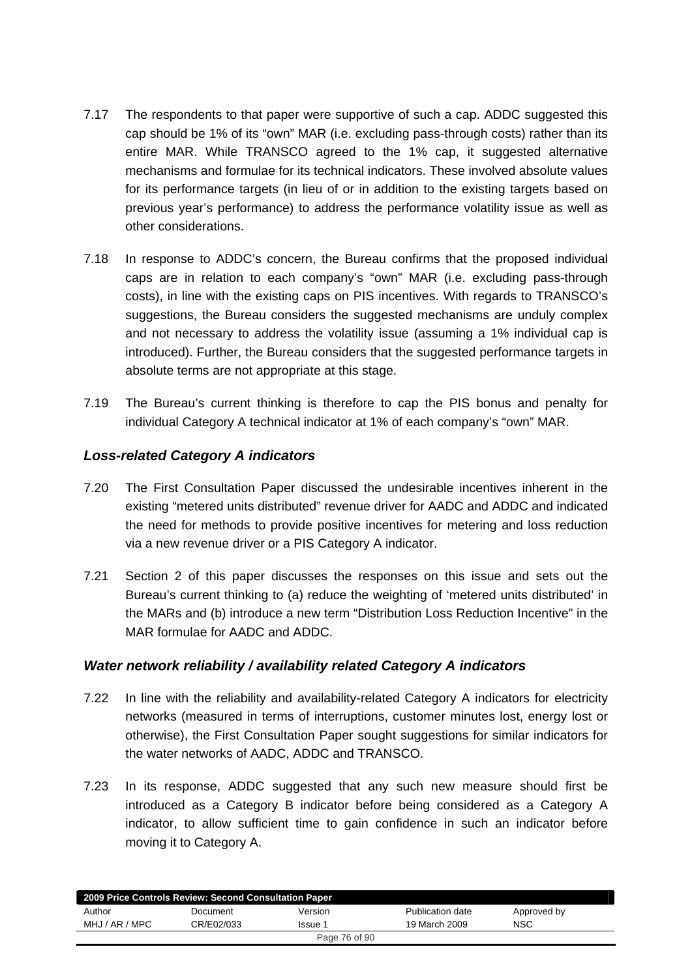- 7.17 The respondents to that paper were supportive of such a cap. ADDC suggested this cap should be 1% of its "own" MAR (i.e. excluding pass-through costs) rather than its entire MAR. While TRANSCO agreed to the 1% cap, it suggested alternative mechanisms and formulae for its technical indicators. These involved absolute values for its performance targets (in lieu of or in addition to the existing targets based on previous year's performance) to address the performance volatility issue as well as other considerations.
- 7.18 In response to ADDC's concern, the Bureau confirms that the proposed individual caps are in relation to each company's "own" MAR (i.e. excluding pass-through costs), in line with the existing caps on PIS incentives. With regards to TRANSCO's suggestions, the Bureau considers the suggested mechanisms are unduly complex and not necessary to address the volatility issue (assuming a 1% individual cap is introduced). Further, the Bureau considers that the suggested performance targets in absolute terms are not appropriate at this stage.
- 7.19 The Bureau's current thinking is therefore to cap the PIS bonus and penalty for individual Category A technical indicator at 1% of each company's "own" MAR.

## *Loss-related Category A indicators*

- 7.20 The First Consultation Paper discussed the undesirable incentives inherent in the existing "metered units distributed" revenue driver for AADC and ADDC and indicated the need for methods to provide positive incentives for metering and loss reduction via a new revenue driver or a PIS Category A indicator.
- 7.21 Section 2 of this paper discusses the responses on this issue and sets out the Bureau's current thinking to (a) reduce the weighting of 'metered units distributed' in the MARs and (b) introduce a new term "Distribution Loss Reduction Incentive" in the MAR formulae for AADC and ADDC.

### *Water network reliability / availability related Category A indicators*

- 7.22 In line with the reliability and availability-related Category A indicators for electricity networks (measured in terms of interruptions, customer minutes lost, energy lost or otherwise), the First Consultation Paper sought suggestions for similar indicators for the water networks of AADC, ADDC and TRANSCO.
- 7.23 In its response, ADDC suggested that any such new measure should first be introduced as a Category B indicator before being considered as a Category A indicator, to allow sufficient time to gain confidence in such an indicator before moving it to Category A.

| 2009 Price Controls Review: Second Consultation Paper |            |         |                  |             |  |  |
|-------------------------------------------------------|------------|---------|------------------|-------------|--|--|
| Author                                                | Document   | Version | Publication date | Approved by |  |  |
| MHJ / AR / MPC                                        | CR/F02/033 | Issue 1 | 19 March 2009    | <b>NSC</b>  |  |  |
| Page 76 of 90                                         |            |         |                  |             |  |  |
|                                                       |            |         |                  |             |  |  |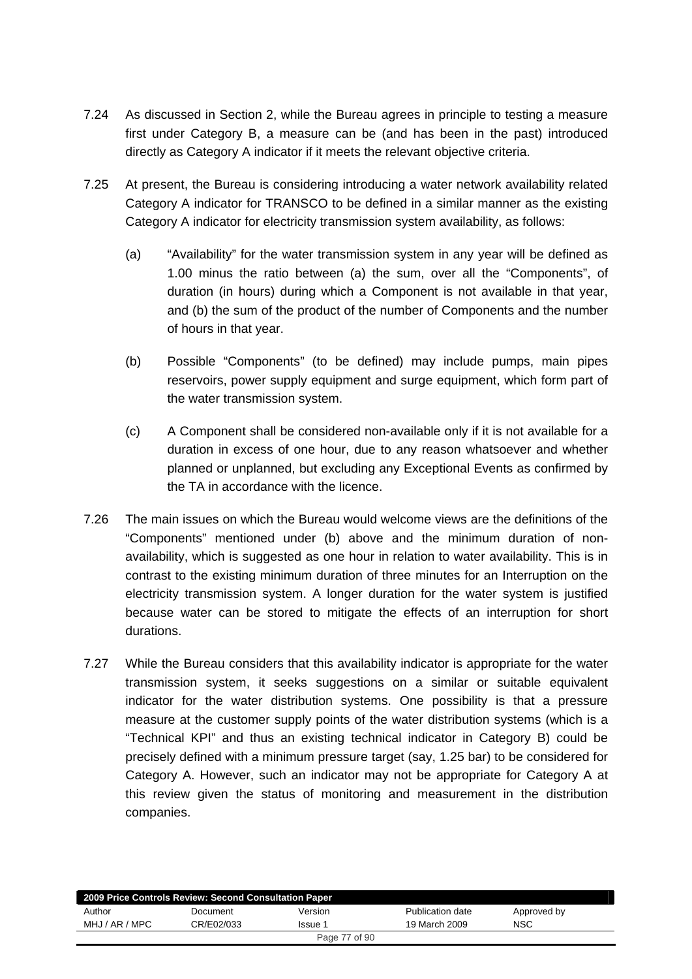- 7.24 As discussed in Section 2, while the Bureau agrees in principle to testing a measure first under Category B, a measure can be (and has been in the past) introduced directly as Category A indicator if it meets the relevant objective criteria.
- 7.25 At present, the Bureau is considering introducing a water network availability related Category A indicator for TRANSCO to be defined in a similar manner as the existing Category A indicator for electricity transmission system availability, as follows:
	- (a) "Availability" for the water transmission system in any year will be defined as 1.00 minus the ratio between (a) the sum, over all the "Components", of duration (in hours) during which a Component is not available in that year, and (b) the sum of the product of the number of Components and the number of hours in that year.
	- (b) Possible "Components" (to be defined) may include pumps, main pipes reservoirs, power supply equipment and surge equipment, which form part of the water transmission system.
	- (c) A Component shall be considered non-available only if it is not available for a duration in excess of one hour, due to any reason whatsoever and whether planned or unplanned, but excluding any Exceptional Events as confirmed by the TA in accordance with the licence.
- 7.26 The main issues on which the Bureau would welcome views are the definitions of the "Components" mentioned under (b) above and the minimum duration of nonavailability, which is suggested as one hour in relation to water availability. This is in contrast to the existing minimum duration of three minutes for an Interruption on the electricity transmission system. A longer duration for the water system is justified because water can be stored to mitigate the effects of an interruption for short durations.
- 7.27 While the Bureau considers that this availability indicator is appropriate for the water transmission system, it seeks suggestions on a similar or suitable equivalent indicator for the water distribution systems. One possibility is that a pressure measure at the customer supply points of the water distribution systems (which is a "Technical KPI" and thus an existing technical indicator in Category B) could be precisely defined with a minimum pressure target (say, 1.25 bar) to be considered for Category A. However, such an indicator may not be appropriate for Category A at this review given the status of monitoring and measurement in the distribution companies.

| 2009 Price Controls Review: Second Consultation Paper |            |         |                  |             |  |  |
|-------------------------------------------------------|------------|---------|------------------|-------------|--|--|
| Author                                                | Document   | Version | Publication date | Approved by |  |  |
| MHJ / AR / MPC                                        | CR/E02/033 | Issue 1 | 19 March 2009    | NSC         |  |  |
| Page 77 of 90                                         |            |         |                  |             |  |  |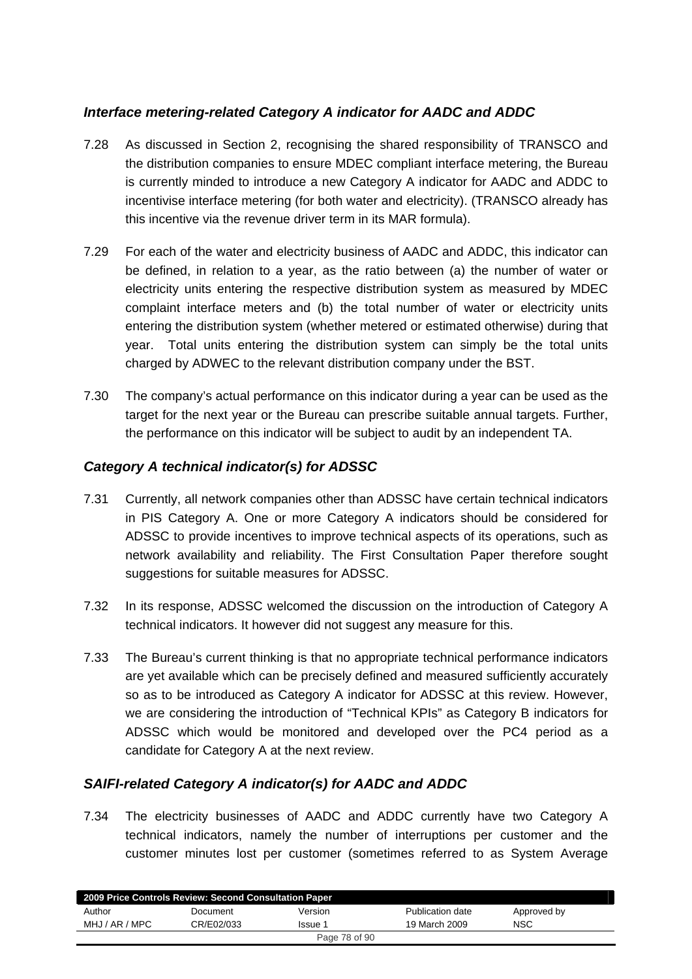## *Interface metering-related Category A indicator for AADC and ADDC*

- 7.28 As discussed in Section 2, recognising the shared responsibility of TRANSCO and the distribution companies to ensure MDEC compliant interface metering, the Bureau is currently minded to introduce a new Category A indicator for AADC and ADDC to incentivise interface metering (for both water and electricity). (TRANSCO already has this incentive via the revenue driver term in its MAR formula).
- 7.29 For each of the water and electricity business of AADC and ADDC, this indicator can be defined, in relation to a year, as the ratio between (a) the number of water or electricity units entering the respective distribution system as measured by MDEC complaint interface meters and (b) the total number of water or electricity units entering the distribution system (whether metered or estimated otherwise) during that year. Total units entering the distribution system can simply be the total units charged by ADWEC to the relevant distribution company under the BST.
- 7.30 The company's actual performance on this indicator during a year can be used as the target for the next year or the Bureau can prescribe suitable annual targets. Further, the performance on this indicator will be subject to audit by an independent TA.

## *Category A technical indicator(s) for ADSSC*

- 7.31 Currently, all network companies other than ADSSC have certain technical indicators in PIS Category A. One or more Category A indicators should be considered for ADSSC to provide incentives to improve technical aspects of its operations, such as network availability and reliability. The First Consultation Paper therefore sought suggestions for suitable measures for ADSSC.
- 7.32 In its response, ADSSC welcomed the discussion on the introduction of Category A technical indicators. It however did not suggest any measure for this.
- 7.33 The Bureau's current thinking is that no appropriate technical performance indicators are yet available which can be precisely defined and measured sufficiently accurately so as to be introduced as Category A indicator for ADSSC at this review. However, we are considering the introduction of "Technical KPIs" as Category B indicators for ADSSC which would be monitored and developed over the PC4 period as a candidate for Category A at the next review.

## *SAIFI-related Category A indicator(s) for AADC and ADDC*

7.34 The electricity businesses of AADC and ADDC currently have two Category A technical indicators, namely the number of interruptions per customer and the customer minutes lost per customer (sometimes referred to as System Average

| 2009 Price Controls Review: Second Consultation Paper |            |         |                  |             |  |
|-------------------------------------------------------|------------|---------|------------------|-------------|--|
| Author                                                | Document   | Version | Publication date | Approved by |  |
| MHJ / AR / MPC                                        | CR/E02/033 | Issue 1 | 19 March 2009    | <b>NSC</b>  |  |
| Page 78 of 90                                         |            |         |                  |             |  |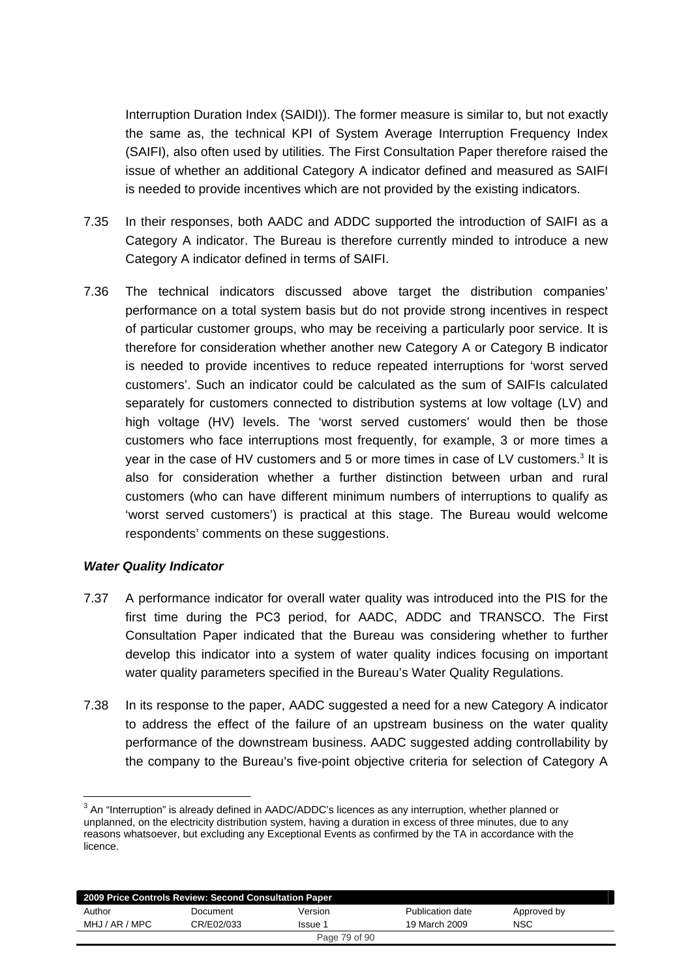Interruption Duration Index (SAIDI)). The former measure is similar to, but not exactly the same as, the technical KPI of System Average Interruption Frequency Index (SAIFI), also often used by utilities. The First Consultation Paper therefore raised the issue of whether an additional Category A indicator defined and measured as SAIFI is needed to provide incentives which are not provided by the existing indicators.

- 7.35 In their responses, both AADC and ADDC supported the introduction of SAIFI as a Category A indicator. The Bureau is therefore currently minded to introduce a new Category A indicator defined in terms of SAIFI.
- 7.36 The technical indicators discussed above target the distribution companies' performance on a total system basis but do not provide strong incentives in respect of particular customer groups, who may be receiving a particularly poor service. It is therefore for consideration whether another new Category A or Category B indicator is needed to provide incentives to reduce repeated interruptions for 'worst served customers'. Such an indicator could be calculated as the sum of SAIFIs calculated separately for customers connected to distribution systems at low voltage (LV) and high voltage (HV) levels. The 'worst served customers' would then be those customers who face interruptions most frequently, for example, 3 or more times a year in the case of HV customers and 5 or more times in case of LV customers.<sup>3</sup> It is also for consideration whether a further distinction between urban and rural customers (who can have different minimum numbers of interruptions to qualify as 'worst served customers') is practical at this stage. The Bureau would welcome respondents' comments on these suggestions.

### *Water Quality Indicator*

 $\overline{a}$ 

- 7.37 A performance indicator for overall water quality was introduced into the PIS for the first time during the PC3 period, for AADC, ADDC and TRANSCO. The First Consultation Paper indicated that the Bureau was considering whether to further develop this indicator into a system of water quality indices focusing on important water quality parameters specified in the Bureau's Water Quality Regulations.
- 7.38 In its response to the paper, AADC suggested a need for a new Category A indicator to address the effect of the failure of an upstream business on the water quality performance of the downstream business. AADC suggested adding controllability by the company to the Bureau's five-point objective criteria for selection of Category A

 $3$  An "Interruption" is already defined in AADC/ADDC's licences as any interruption, whether planned or unplanned, on the electricity distribution system, having a duration in excess of three minutes, due to any reasons whatsoever, but excluding any Exceptional Events as confirmed by the TA in accordance with the licence.

| 2009 Price Controls Review: Second Consultation Paper |            |         |                  |             |  |
|-------------------------------------------------------|------------|---------|------------------|-------------|--|
| Author                                                | Document   | Version | Publication date | Approved by |  |
| MHJ / AR / MPC                                        | CR/E02/033 | Issue 1 | 19 March 2009    | <b>NSC</b>  |  |
| Page 79 of 90                                         |            |         |                  |             |  |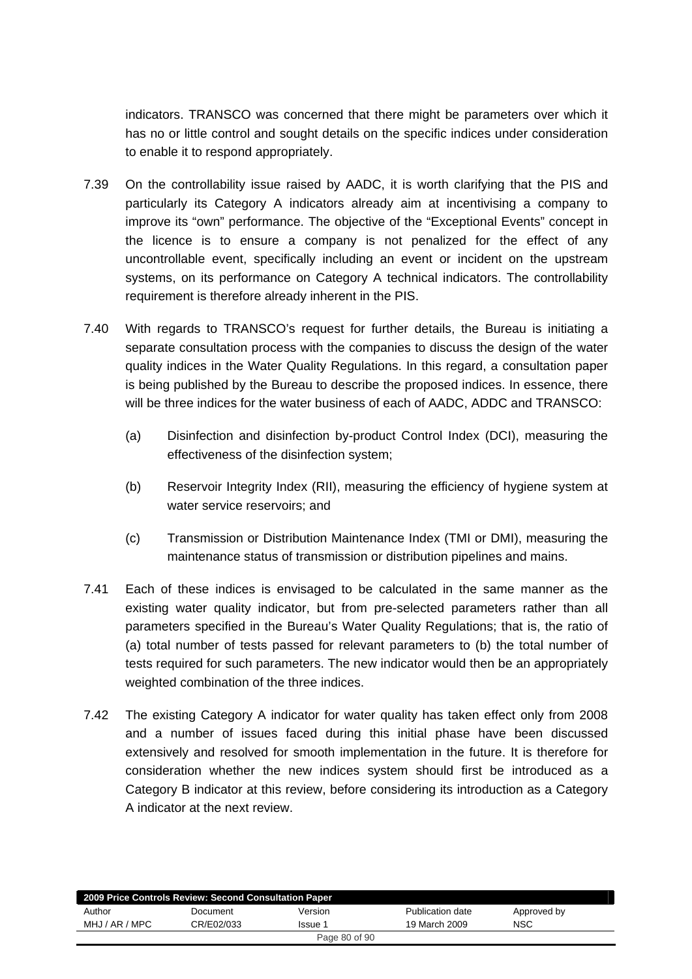indicators. TRANSCO was concerned that there might be parameters over which it has no or little control and sought details on the specific indices under consideration to enable it to respond appropriately.

- 7.39 On the controllability issue raised by AADC, it is worth clarifying that the PIS and particularly its Category A indicators already aim at incentivising a company to improve its "own" performance. The objective of the "Exceptional Events" concept in the licence is to ensure a company is not penalized for the effect of any uncontrollable event, specifically including an event or incident on the upstream systems, on its performance on Category A technical indicators. The controllability requirement is therefore already inherent in the PIS.
- 7.40 With regards to TRANSCO's request for further details, the Bureau is initiating a separate consultation process with the companies to discuss the design of the water quality indices in the Water Quality Regulations. In this regard, a consultation paper is being published by the Bureau to describe the proposed indices. In essence, there will be three indices for the water business of each of AADC, ADDC and TRANSCO:
	- (a) Disinfection and disinfection by-product Control Index (DCI), measuring the effectiveness of the disinfection system;
	- (b) Reservoir Integrity Index (RII), measuring the efficiency of hygiene system at water service reservoirs; and
	- (c) Transmission or Distribution Maintenance Index (TMI or DMI), measuring the maintenance status of transmission or distribution pipelines and mains.
- 7.41 Each of these indices is envisaged to be calculated in the same manner as the existing water quality indicator, but from pre-selected parameters rather than all parameters specified in the Bureau's Water Quality Regulations; that is, the ratio of (a) total number of tests passed for relevant parameters to (b) the total number of tests required for such parameters. The new indicator would then be an appropriately weighted combination of the three indices.
- 7.42 The existing Category A indicator for water quality has taken effect only from 2008 and a number of issues faced during this initial phase have been discussed extensively and resolved for smooth implementation in the future. It is therefore for consideration whether the new indices system should first be introduced as a Category B indicator at this review, before considering its introduction as a Category A indicator at the next review.

| 2009 Price Controls Review: Second Consultation Paper |            |         |                  |             |
|-------------------------------------------------------|------------|---------|------------------|-------------|
| Author                                                | Document   | Version | Publication date | Approved by |
| MHJ / AR / MPC                                        | CR/E02/033 | Issue 1 | 19 March 2009    | <b>NSC</b>  |
| Page 80 of 90                                         |            |         |                  |             |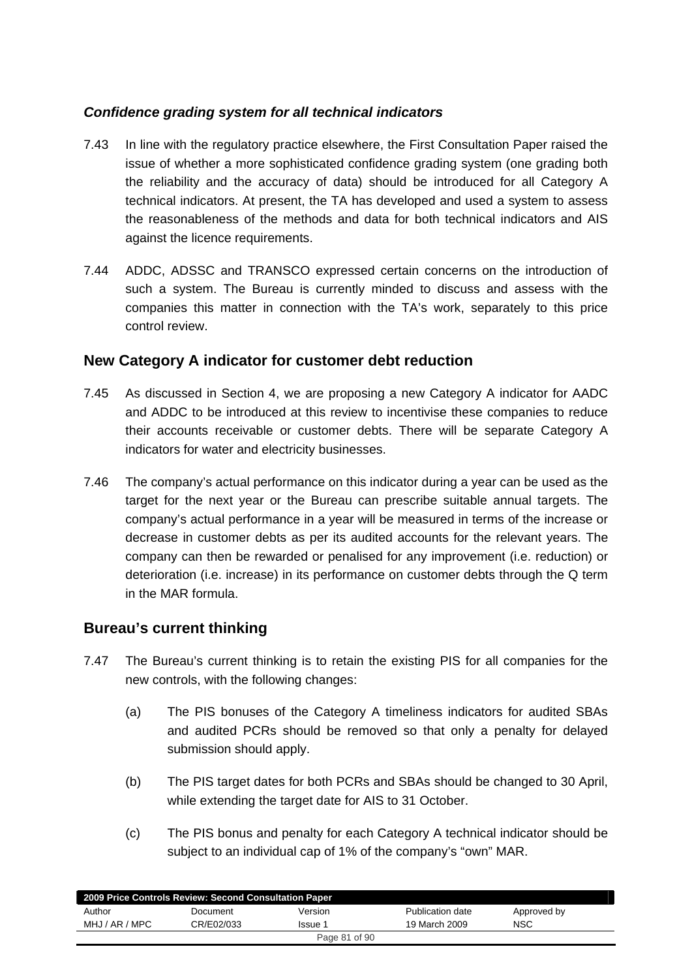## *Confidence grading system for all technical indicators*

- 7.43 In line with the regulatory practice elsewhere, the First Consultation Paper raised the issue of whether a more sophisticated confidence grading system (one grading both the reliability and the accuracy of data) should be introduced for all Category A technical indicators. At present, the TA has developed and used a system to assess the reasonableness of the methods and data for both technical indicators and AIS against the licence requirements.
- 7.44 ADDC, ADSSC and TRANSCO expressed certain concerns on the introduction of such a system. The Bureau is currently minded to discuss and assess with the companies this matter in connection with the TA's work, separately to this price control review.

## **New Category A indicator for customer debt reduction**

- 7.45 As discussed in Section 4, we are proposing a new Category A indicator for AADC and ADDC to be introduced at this review to incentivise these companies to reduce their accounts receivable or customer debts. There will be separate Category A indicators for water and electricity businesses.
- 7.46 The company's actual performance on this indicator during a year can be used as the target for the next year or the Bureau can prescribe suitable annual targets. The company's actual performance in a year will be measured in terms of the increase or decrease in customer debts as per its audited accounts for the relevant years. The company can then be rewarded or penalised for any improvement (i.e. reduction) or deterioration (i.e. increase) in its performance on customer debts through the Q term in the MAR formula.

## **Bureau's current thinking**

- 7.47 The Bureau's current thinking is to retain the existing PIS for all companies for the new controls, with the following changes:
	- (a) The PIS bonuses of the Category A timeliness indicators for audited SBAs and audited PCRs should be removed so that only a penalty for delayed submission should apply.
	- (b) The PIS target dates for both PCRs and SBAs should be changed to 30 April, while extending the target date for AIS to 31 October.
	- (c) The PIS bonus and penalty for each Category A technical indicator should be subject to an individual cap of 1% of the company's "own" MAR.

| 2009 Price Controls Review: Second Consultation Paper |            |               |                  |             |
|-------------------------------------------------------|------------|---------------|------------------|-------------|
| Author                                                | Document   | Version       | Publication date | Approved by |
| MHJ / AR / MPC                                        | CR/E02/033 | Issue 1       | 19 March 2009    | NSC         |
|                                                       |            | Page 81 of 90 |                  |             |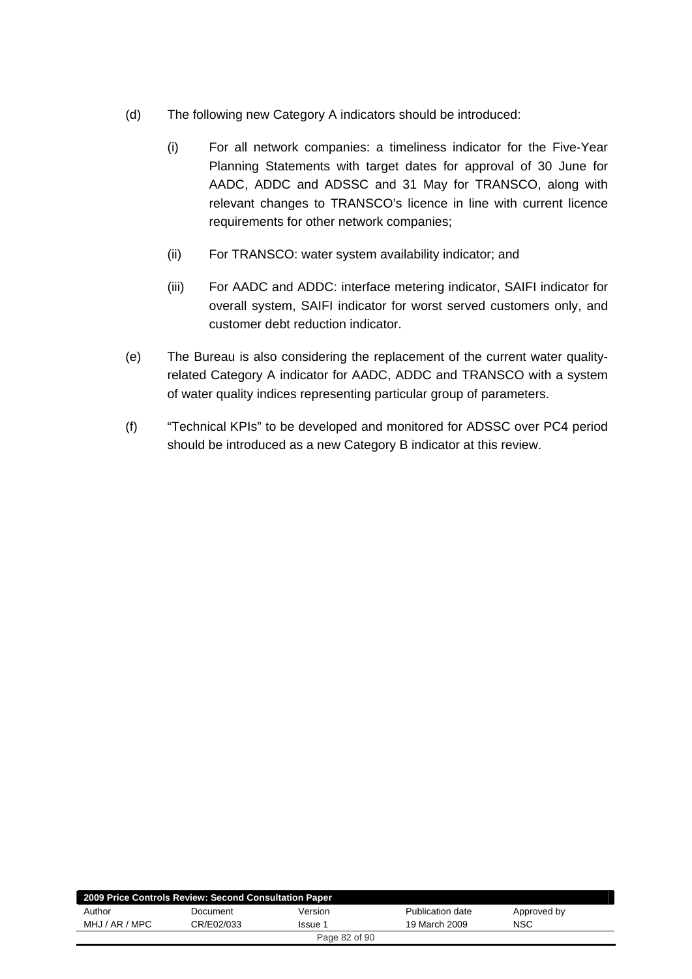- (d) The following new Category A indicators should be introduced:
	- (i) For all network companies: a timeliness indicator for the Five-Year Planning Statements with target dates for approval of 30 June for AADC, ADDC and ADSSC and 31 May for TRANSCO, along with relevant changes to TRANSCO's licence in line with current licence requirements for other network companies;
	- (ii) For TRANSCO: water system availability indicator; and
	- (iii) For AADC and ADDC: interface metering indicator, SAIFI indicator for overall system, SAIFI indicator for worst served customers only, and customer debt reduction indicator.
- (e) The Bureau is also considering the replacement of the current water qualityrelated Category A indicator for AADC, ADDC and TRANSCO with a system of water quality indices representing particular group of parameters.
- (f) "Technical KPIs" to be developed and monitored for ADSSC over PC4 period should be introduced as a new Category B indicator at this review.

| 2009 Price Controls Review: Second Consultation Paper |            |         |                  |             |
|-------------------------------------------------------|------------|---------|------------------|-------------|
| Author                                                | Document   | Version | Publication date | Approved by |
| MHJ / AR / MPC                                        | CR/E02/033 | lssue 1 | 19 March 2009    | NSC         |
| Page 82 of 90                                         |            |         |                  |             |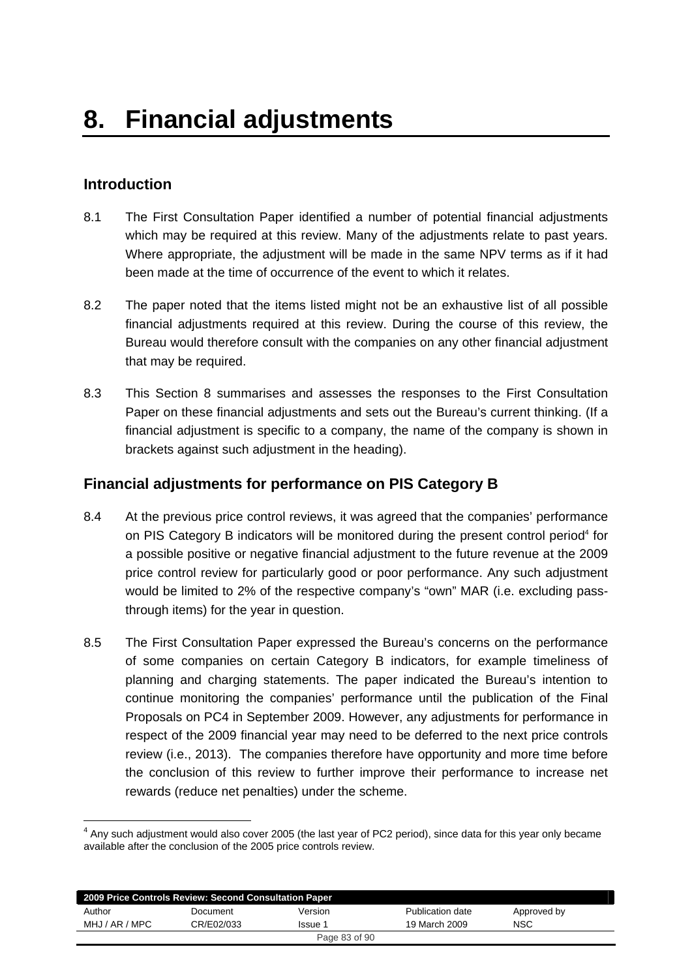## **Introduction**

-

- 8.1 The First Consultation Paper identified a number of potential financial adjustments which may be required at this review. Many of the adjustments relate to past years. Where appropriate, the adjustment will be made in the same NPV terms as if it had been made at the time of occurrence of the event to which it relates.
- 8.2 The paper noted that the items listed might not be an exhaustive list of all possible financial adjustments required at this review. During the course of this review, the Bureau would therefore consult with the companies on any other financial adjustment that may be required.
- 8.3 This Section 8 summarises and assesses the responses to the First Consultation Paper on these financial adjustments and sets out the Bureau's current thinking. (If a financial adjustment is specific to a company, the name of the company is shown in brackets against such adjustment in the heading).

## **Financial adjustments for performance on PIS Category B**

- 8.4 At the previous price control reviews, it was agreed that the companies' performance on PIS Category B indicators will be monitored during the present control period<sup>4</sup> for a possible positive or negative financial adjustment to the future revenue at the 2009 price control review for particularly good or poor performance. Any such adjustment would be limited to 2% of the respective company's "own" MAR (i.e. excluding passthrough items) for the year in question.
- 8.5 The First Consultation Paper expressed the Bureau's concerns on the performance of some companies on certain Category B indicators, for example timeliness of planning and charging statements. The paper indicated the Bureau's intention to continue monitoring the companies' performance until the publication of the Final Proposals on PC4 in September 2009. However, any adjustments for performance in respect of the 2009 financial year may need to be deferred to the next price controls review (i.e., 2013). The companies therefore have opportunity and more time before the conclusion of this review to further improve their performance to increase net rewards (reduce net penalties) under the scheme.

 $<sup>4</sup>$  Any such adjustment would also cover 2005 (the last year of PC2 period), since data for this year only became</sup> available after the conclusion of the 2005 price controls review.

| 2009 Price Controls Review: Second Consultation Paper |            |         |                  |             |  |
|-------------------------------------------------------|------------|---------|------------------|-------------|--|
| Author                                                | Document   | Version | Publication date | Approved by |  |
| MHJ / AR / MPC                                        | CR/E02/033 | Issue 1 | 19 March 2009    | NSC         |  |
| Page 83 of 90                                         |            |         |                  |             |  |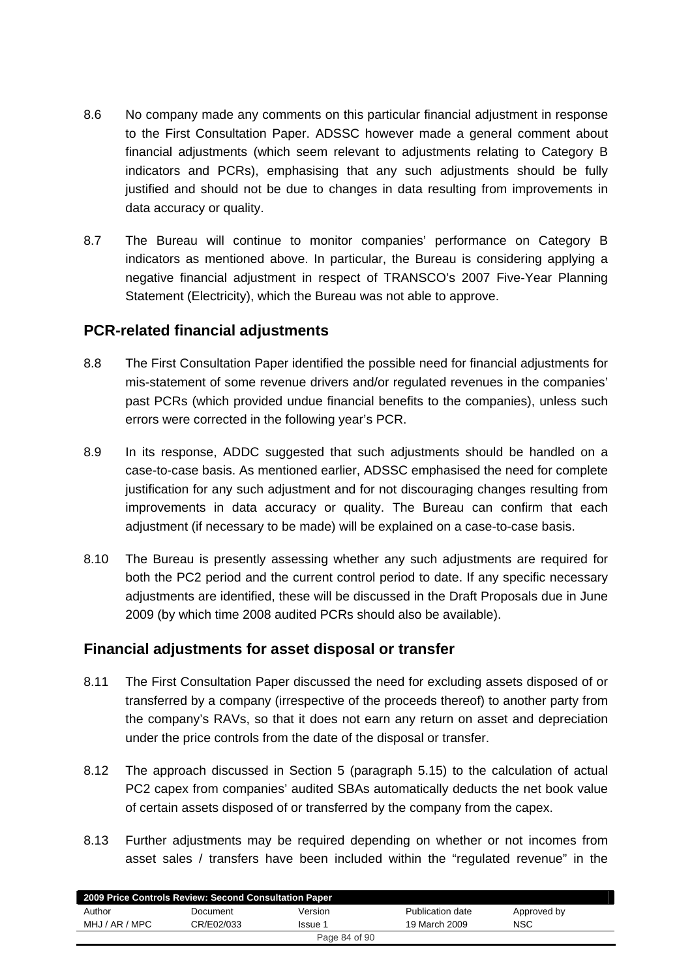- 8.6 No company made any comments on this particular financial adjustment in response to the First Consultation Paper. ADSSC however made a general comment about financial adjustments (which seem relevant to adjustments relating to Category B indicators and PCRs), emphasising that any such adjustments should be fully justified and should not be due to changes in data resulting from improvements in data accuracy or quality.
- 8.7 The Bureau will continue to monitor companies' performance on Category B indicators as mentioned above. In particular, the Bureau is considering applying a negative financial adjustment in respect of TRANSCO's 2007 Five-Year Planning Statement (Electricity), which the Bureau was not able to approve.

## **PCR-related financial adjustments**

- 8.8 The First Consultation Paper identified the possible need for financial adjustments for mis-statement of some revenue drivers and/or regulated revenues in the companies' past PCRs (which provided undue financial benefits to the companies), unless such errors were corrected in the following year's PCR.
- 8.9 In its response, ADDC suggested that such adjustments should be handled on a case-to-case basis. As mentioned earlier, ADSSC emphasised the need for complete justification for any such adjustment and for not discouraging changes resulting from improvements in data accuracy or quality. The Bureau can confirm that each adjustment (if necessary to be made) will be explained on a case-to-case basis.
- 8.10 The Bureau is presently assessing whether any such adjustments are required for both the PC2 period and the current control period to date. If any specific necessary adjustments are identified, these will be discussed in the Draft Proposals due in June 2009 (by which time 2008 audited PCRs should also be available).

# **Financial adjustments for asset disposal or transfer**

- 8.11 The First Consultation Paper discussed the need for excluding assets disposed of or transferred by a company (irrespective of the proceeds thereof) to another party from the company's RAVs, so that it does not earn any return on asset and depreciation under the price controls from the date of the disposal or transfer.
- 8.12 The approach discussed in Section 5 (paragraph 5.15) to the calculation of actual PC2 capex from companies' audited SBAs automatically deducts the net book value of certain assets disposed of or transferred by the company from the capex.
- 8.13 Further adjustments may be required depending on whether or not incomes from asset sales / transfers have been included within the "regulated revenue" in the

| 2009 Price Controls Review: Second Consultation Paper |            |         |                  |             |
|-------------------------------------------------------|------------|---------|------------------|-------------|
| Author                                                | Document   | Version | Publication date | Approved by |
| MHJ / AR / MPC                                        | CR/E02/033 | Issue 1 | 19 March 2009    | NSC         |
| Page 84 of 90                                         |            |         |                  |             |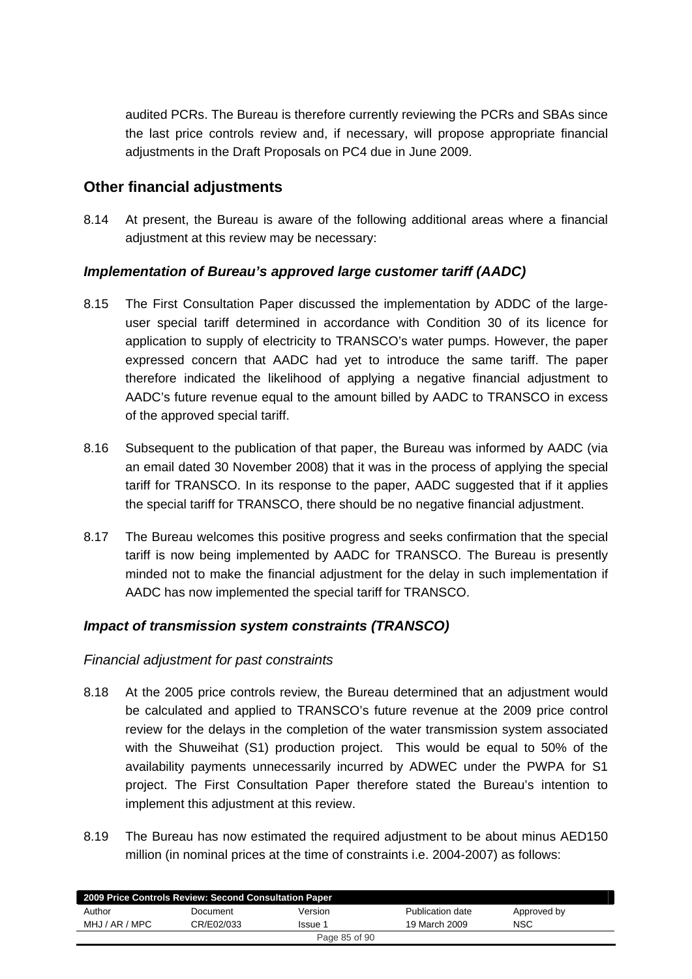audited PCRs. The Bureau is therefore currently reviewing the PCRs and SBAs since the last price controls review and, if necessary, will propose appropriate financial adjustments in the Draft Proposals on PC4 due in June 2009.

## **Other financial adjustments**

8.14 At present, the Bureau is aware of the following additional areas where a financial adjustment at this review may be necessary:

## *Implementation of Bureau's approved large customer tariff (AADC)*

- 8.15 The First Consultation Paper discussed the implementation by ADDC of the largeuser special tariff determined in accordance with Condition 30 of its licence for application to supply of electricity to TRANSCO's water pumps. However, the paper expressed concern that AADC had yet to introduce the same tariff. The paper therefore indicated the likelihood of applying a negative financial adjustment to AADC's future revenue equal to the amount billed by AADC to TRANSCO in excess of the approved special tariff.
- 8.16 Subsequent to the publication of that paper, the Bureau was informed by AADC (via an email dated 30 November 2008) that it was in the process of applying the special tariff for TRANSCO. In its response to the paper, AADC suggested that if it applies the special tariff for TRANSCO, there should be no negative financial adjustment.
- 8.17 The Bureau welcomes this positive progress and seeks confirmation that the special tariff is now being implemented by AADC for TRANSCO. The Bureau is presently minded not to make the financial adjustment for the delay in such implementation if AADC has now implemented the special tariff for TRANSCO.

### *Impact of transmission system constraints (TRANSCO)*

### *Financial adjustment for past constraints*

- 8.18 At the 2005 price controls review, the Bureau determined that an adjustment would be calculated and applied to TRANSCO's future revenue at the 2009 price control review for the delays in the completion of the water transmission system associated with the Shuweihat (S1) production project. This would be equal to 50% of the availability payments unnecessarily incurred by ADWEC under the PWPA for S1 project. The First Consultation Paper therefore stated the Bureau's intention to implement this adjustment at this review.
- 8.19 The Bureau has now estimated the required adjustment to be about minus AED150 million (in nominal prices at the time of constraints i.e. 2004-2007) as follows:

| 2009 Price Controls Review: Second Consultation Paper |            |         |                  |             |  |
|-------------------------------------------------------|------------|---------|------------------|-------------|--|
| Author                                                | Document   | Version | Publication date | Approved by |  |
| MHJ / AR / MPC                                        | CR/E02/033 | Issue 1 | 19 March 2009    | <b>NSC</b>  |  |
| Page 85 of 90                                         |            |         |                  |             |  |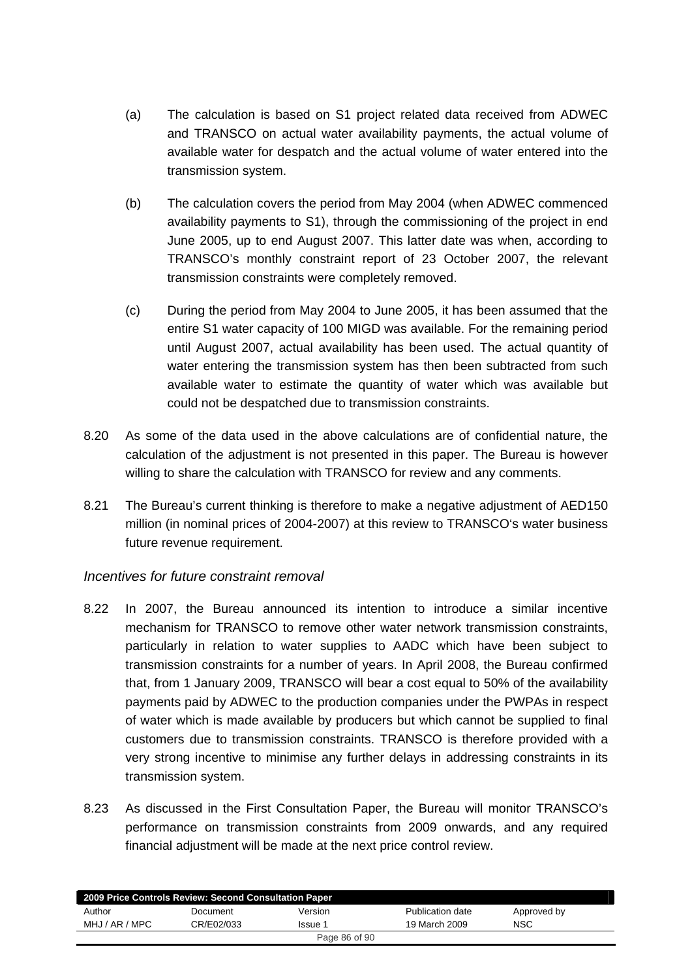- (a) The calculation is based on S1 project related data received from ADWEC and TRANSCO on actual water availability payments, the actual volume of available water for despatch and the actual volume of water entered into the transmission system.
- (b) The calculation covers the period from May 2004 (when ADWEC commenced availability payments to S1), through the commissioning of the project in end June 2005, up to end August 2007. This latter date was when, according to TRANSCO's monthly constraint report of 23 October 2007, the relevant transmission constraints were completely removed.
- (c) During the period from May 2004 to June 2005, it has been assumed that the entire S1 water capacity of 100 MIGD was available. For the remaining period until August 2007, actual availability has been used. The actual quantity of water entering the transmission system has then been subtracted from such available water to estimate the quantity of water which was available but could not be despatched due to transmission constraints.
- 8.20 As some of the data used in the above calculations are of confidential nature, the calculation of the adjustment is not presented in this paper. The Bureau is however willing to share the calculation with TRANSCO for review and any comments.
- 8.21 The Bureau's current thinking is therefore to make a negative adjustment of AED150 million (in nominal prices of 2004-2007) at this review to TRANSCO's water business future revenue requirement.

### *Incentives for future constraint removal*

- 8.22 In 2007, the Bureau announced its intention to introduce a similar incentive mechanism for TRANSCO to remove other water network transmission constraints, particularly in relation to water supplies to AADC which have been subject to transmission constraints for a number of years. In April 2008, the Bureau confirmed that, from 1 January 2009, TRANSCO will bear a cost equal to 50% of the availability payments paid by ADWEC to the production companies under the PWPAs in respect of water which is made available by producers but which cannot be supplied to final customers due to transmission constraints. TRANSCO is therefore provided with a very strong incentive to minimise any further delays in addressing constraints in its transmission system.
- 8.23 As discussed in the First Consultation Paper, the Bureau will monitor TRANSCO's performance on transmission constraints from 2009 onwards, and any required financial adjustment will be made at the next price control review.

| 2009 Price Controls Review: Second Consultation Paper |            |         |                  |             |  |
|-------------------------------------------------------|------------|---------|------------------|-------------|--|
| Author                                                | Document   | Version | Publication date | Approved by |  |
| MHJ / AR / MPC                                        | CR/E02/033 | Issue 1 | 19 March 2009    | <b>NSC</b>  |  |
| Page 86 of 90                                         |            |         |                  |             |  |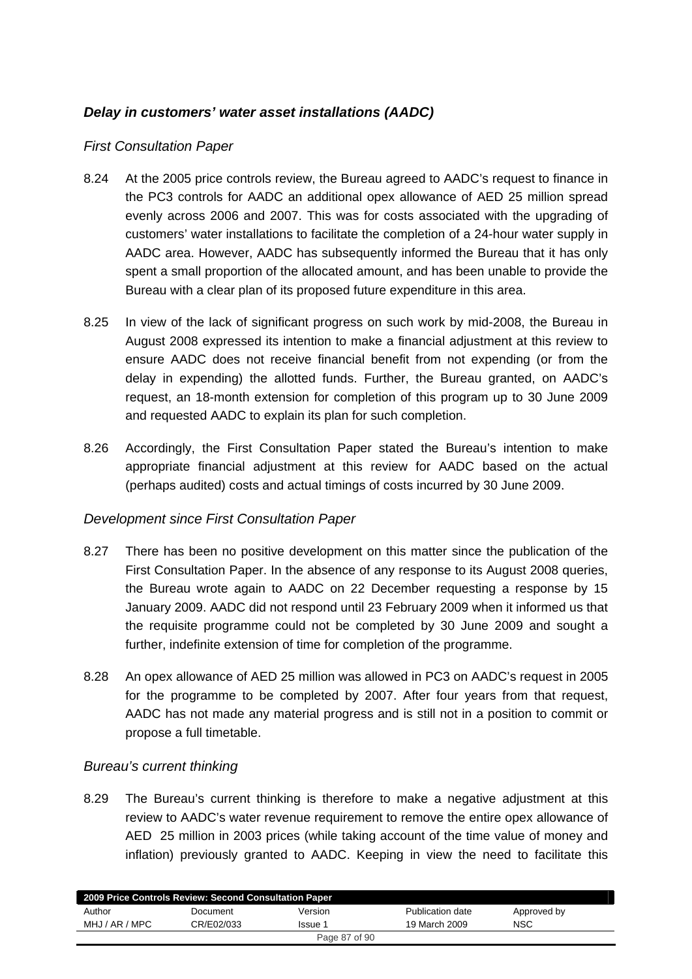## *Delay in customers' water asset installations (AADC)*

### *First Consultation Paper*

- 8.24 At the 2005 price controls review, the Bureau agreed to AADC's request to finance in the PC3 controls for AADC an additional opex allowance of AED 25 million spread evenly across 2006 and 2007. This was for costs associated with the upgrading of customers' water installations to facilitate the completion of a 24-hour water supply in AADC area. However, AADC has subsequently informed the Bureau that it has only spent a small proportion of the allocated amount, and has been unable to provide the Bureau with a clear plan of its proposed future expenditure in this area.
- 8.25 In view of the lack of significant progress on such work by mid-2008, the Bureau in August 2008 expressed its intention to make a financial adjustment at this review to ensure AADC does not receive financial benefit from not expending (or from the delay in expending) the allotted funds. Further, the Bureau granted, on AADC's request, an 18-month extension for completion of this program up to 30 June 2009 and requested AADC to explain its plan for such completion.
- 8.26 Accordingly, the First Consultation Paper stated the Bureau's intention to make appropriate financial adjustment at this review for AADC based on the actual (perhaps audited) costs and actual timings of costs incurred by 30 June 2009.

### *Development since First Consultation Paper*

- 8.27 There has been no positive development on this matter since the publication of the First Consultation Paper. In the absence of any response to its August 2008 queries, the Bureau wrote again to AADC on 22 December requesting a response by 15 January 2009. AADC did not respond until 23 February 2009 when it informed us that the requisite programme could not be completed by 30 June 2009 and sought a further, indefinite extension of time for completion of the programme.
- 8.28 An opex allowance of AED 25 million was allowed in PC3 on AADC's request in 2005 for the programme to be completed by 2007. After four years from that request, AADC has not made any material progress and is still not in a position to commit or propose a full timetable.

### *Bureau's current thinking*

8.29 The Bureau's current thinking is therefore to make a negative adjustment at this review to AADC's water revenue requirement to remove the entire opex allowance of AED 25 million in 2003 prices (while taking account of the time value of money and inflation) previously granted to AADC. Keeping in view the need to facilitate this

|                | 2009 Price Controls Review: Second Consultation Paper |         |                  |             |
|----------------|-------------------------------------------------------|---------|------------------|-------------|
| Author         | Document                                              | Version | Publication date | Approved by |
| MHJ / AR / MPC | CR/E02/033                                            | Issue 1 | 19 March 2009    | <b>NSC</b>  |
| Page 87 of 90  |                                                       |         |                  |             |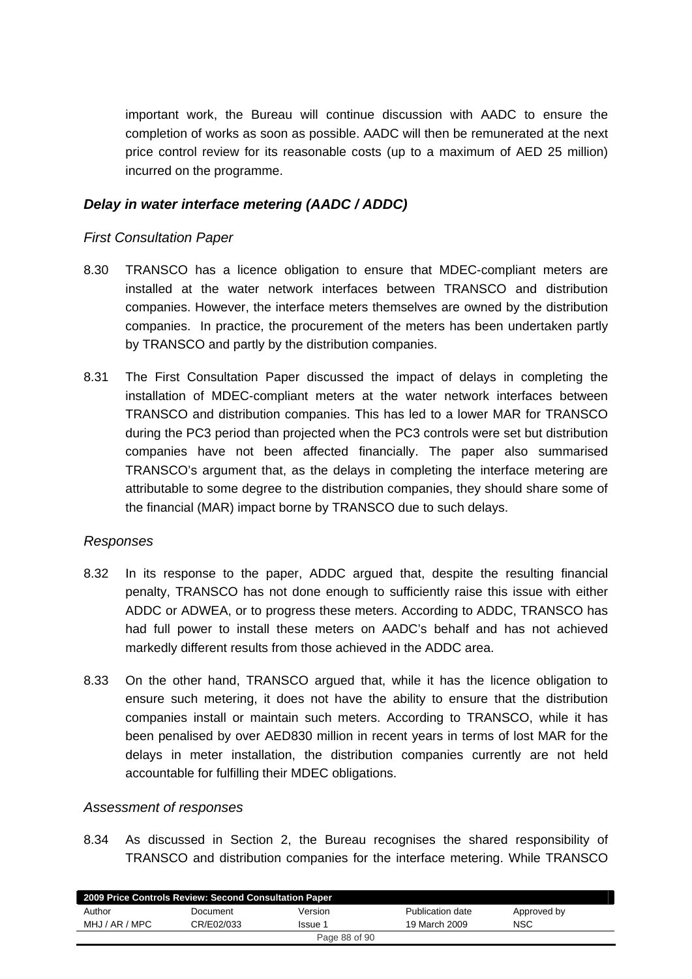important work, the Bureau will continue discussion with AADC to ensure the completion of works as soon as possible. AADC will then be remunerated at the next price control review for its reasonable costs (up to a maximum of AED 25 million) incurred on the programme.

## *Delay in water interface metering (AADC / ADDC)*

### *First Consultation Paper*

- 8.30 TRANSCO has a licence obligation to ensure that MDEC-compliant meters are installed at the water network interfaces between TRANSCO and distribution companies. However, the interface meters themselves are owned by the distribution companies. In practice, the procurement of the meters has been undertaken partly by TRANSCO and partly by the distribution companies.
- 8.31 The First Consultation Paper discussed the impact of delays in completing the installation of MDEC-compliant meters at the water network interfaces between TRANSCO and distribution companies. This has led to a lower MAR for TRANSCO during the PC3 period than projected when the PC3 controls were set but distribution companies have not been affected financially. The paper also summarised TRANSCO's argument that, as the delays in completing the interface metering are attributable to some degree to the distribution companies, they should share some of the financial (MAR) impact borne by TRANSCO due to such delays.

#### *Responses*

- 8.32 In its response to the paper, ADDC argued that, despite the resulting financial penalty, TRANSCO has not done enough to sufficiently raise this issue with either ADDC or ADWEA, or to progress these meters. According to ADDC, TRANSCO has had full power to install these meters on AADC's behalf and has not achieved markedly different results from those achieved in the ADDC area.
- 8.33 On the other hand, TRANSCO argued that, while it has the licence obligation to ensure such metering, it does not have the ability to ensure that the distribution companies install or maintain such meters. According to TRANSCO, while it has been penalised by over AED830 million in recent years in terms of lost MAR for the delays in meter installation, the distribution companies currently are not held accountable for fulfilling their MDEC obligations.

### *Assessment of responses*

8.34 As discussed in Section 2, the Bureau recognises the shared responsibility of TRANSCO and distribution companies for the interface metering. While TRANSCO

| 2009 Price Controls Review: Second Consultation Paper |            |         |                  |             |  |
|-------------------------------------------------------|------------|---------|------------------|-------------|--|
| Author                                                | Document   | Version | Publication date | Approved by |  |
| MHJ / AR / MPC                                        | CR/E02/033 | Issue 1 | 19 March 2009    | <b>NSC</b>  |  |
| Page 88 of 90                                         |            |         |                  |             |  |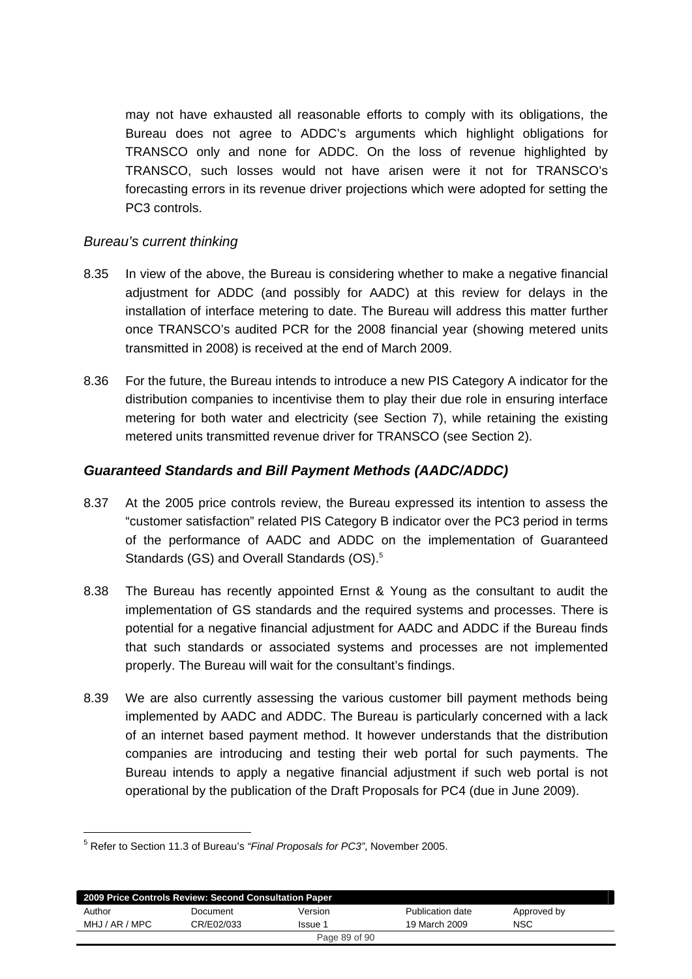may not have exhausted all reasonable efforts to comply with its obligations, the Bureau does not agree to ADDC's arguments which highlight obligations for TRANSCO only and none for ADDC. On the loss of revenue highlighted by TRANSCO, such losses would not have arisen were it not for TRANSCO's forecasting errors in its revenue driver projections which were adopted for setting the PC3 controls.

### *Bureau's current thinking*

- 8.35 In view of the above, the Bureau is considering whether to make a negative financial adjustment for ADDC (and possibly for AADC) at this review for delays in the installation of interface metering to date. The Bureau will address this matter further once TRANSCO's audited PCR for the 2008 financial year (showing metered units transmitted in 2008) is received at the end of March 2009.
- 8.36 For the future, the Bureau intends to introduce a new PIS Category A indicator for the distribution companies to incentivise them to play their due role in ensuring interface metering for both water and electricity (see Section 7), while retaining the existing metered units transmitted revenue driver for TRANSCO (see Section 2).

### *Guaranteed Standards and Bill Payment Methods (AADC/ADDC)*

- 8.37 At the 2005 price controls review, the Bureau expressed its intention to assess the "customer satisfaction" related PIS Category B indicator over the PC3 period in terms of the performance of AADC and ADDC on the implementation of Guaranteed Standards (GS) and Overall Standards (OS).<sup>5</sup>
- 8.38 The Bureau has recently appointed Ernst & Young as the consultant to audit the implementation of GS standards and the required systems and processes. There is potential for a negative financial adjustment for AADC and ADDC if the Bureau finds that such standards or associated systems and processes are not implemented properly. The Bureau will wait for the consultant's findings.
- 8.39 We are also currently assessing the various customer bill payment methods being implemented by AADC and ADDC. The Bureau is particularly concerned with a lack of an internet based payment method. It however understands that the distribution companies are introducing and testing their web portal for such payments. The Bureau intends to apply a negative financial adjustment if such web portal is not operational by the publication of the Draft Proposals for PC4 (due in June 2009).

1

| 2009 Price Controls Review: Second Consultation Paper |            |         |                  |             |  |
|-------------------------------------------------------|------------|---------|------------------|-------------|--|
| Author                                                | Document   | Version | Publication date | Approved by |  |
| MHJ / AR / MPC                                        | CR/E02/033 | Issue 1 | 19 March 2009    | <b>NSC</b>  |  |
| Page 89 of 90                                         |            |         |                  |             |  |

<sup>5</sup> Refer to Section 11.3 of Bureau's *"Final Proposals for PC3"*, November 2005.